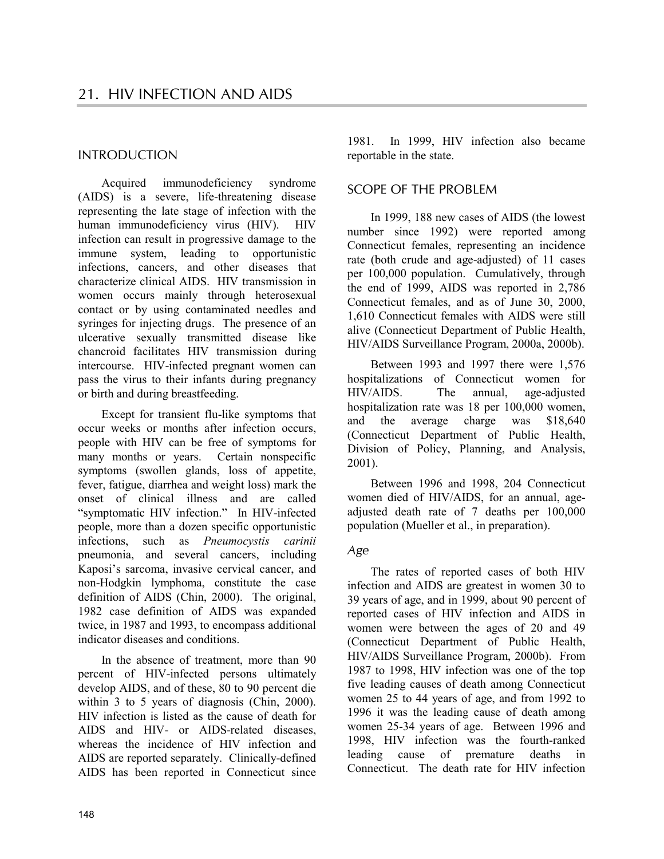# INTRODUCTION

Acquired immunodeficiency syndrome (AIDS) is a severe, life-threatening disease representing the late stage of infection with the human immunodeficiency virus (HIV). HIV infection can result in progressive damage to the immune system, leading to opportunistic infections, cancers, and other diseases that characterize clinical AIDS. HIV transmission in women occurs mainly through heterosexual contact or by using contaminated needles and syringes for injecting drugs. The presence of an ulcerative sexually transmitted disease like chancroid facilitates HIV transmission during intercourse. HIV-infected pregnant women can pass the virus to their infants during pregnancy or birth and during breastfeeding.

Except for transient flu-like symptoms that occur weeks or months after infection occurs, people with HIV can be free of symptoms for many months or years. Certain nonspecific symptoms (swollen glands, loss of appetite, fever, fatigue, diarrhea and weight loss) mark the onset of clinical illness and are called "symptomatic HIV infection." In HIV-infected people, more than a dozen specific opportunistic infections, such as *Pneumocystis carinii* pneumonia, and several cancers, including Kaposi's sarcoma, invasive cervical cancer, and non-Hodgkin lymphoma, constitute the case definition of AIDS (Chin, 2000). The original, 1982 case definition of AIDS was expanded twice, in 1987 and 1993, to encompass additional indicator diseases and conditions.

In the absence of treatment, more than 90 percent of HIV-infected persons ultimately develop AIDS, and of these, 80 to 90 percent die within 3 to 5 years of diagnosis (Chin, 2000). HIV infection is listed as the cause of death for AIDS and HIV- or AIDS-related diseases, whereas the incidence of HIV infection and AIDS are reported separately. Clinically-defined AIDS has been reported in Connecticut since

1981. In 1999, HIV infection also became reportable in the state.

# SCOPE OF THE PROBLEM

In 1999, 188 new cases of AIDS (the lowest number since 1992) were reported among Connecticut females, representing an incidence rate (both crude and age-adjusted) of 11 cases per 100,000 population. Cumulatively, through the end of 1999, AIDS was reported in 2,786 Connecticut females, and as of June 30, 2000, 1,610 Connecticut females with AIDS were still alive (Connecticut Department of Public Health, HIV/AIDS Surveillance Program, 2000a, 2000b).

Between 1993 and 1997 there were 1,576 hospitalizations of Connecticut women for HIV/AIDS. The annual, age-adjusted hospitalization rate was 18 per 100,000 women, and the average charge was \$18,640 (Connecticut Department of Public Health, Division of Policy, Planning, and Analysis, 2001).

Between 1996 and 1998, 204 Connecticut women died of HIV/AIDS, for an annual, ageadjusted death rate of 7 deaths per 100,000 population (Mueller et al., in preparation).

# *Age*

The rates of reported cases of both HIV infection and AIDS are greatest in women 30 to 39 years of age, and in 1999, about 90 percent of reported cases of HIV infection and AIDS in women were between the ages of 20 and 49 (Connecticut Department of Public Health, HIV/AIDS Surveillance Program, 2000b). From 1987 to 1998, HIV infection was one of the top five leading causes of death among Connecticut women 25 to 44 years of age, and from 1992 to 1996 it was the leading cause of death among women 25-34 years of age. Between 1996 and 1998, HIV infection was the fourth-ranked leading cause of premature deaths in Connecticut. The death rate for HIV infection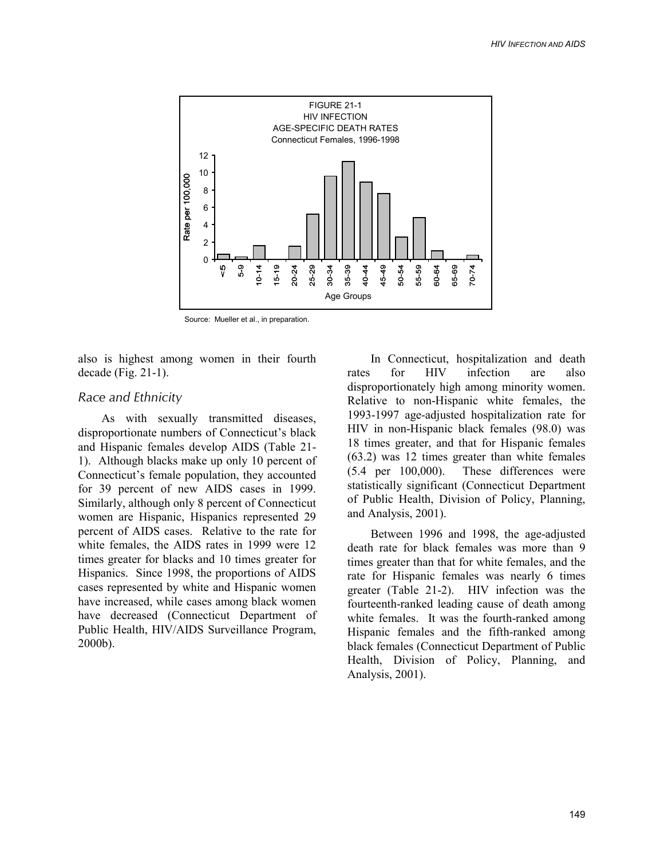

Source: Mueller et al., in preparation.

also is highest among women in their fourth decade (Fig. 21-1).

#### *Race and Ethnicity*

As with sexually transmitted diseases, disproportionate numbers of Connecticut's black and Hispanic females develop AIDS (Table 21- 1). Although blacks make up only 10 percent of Connecticut's female population, they accounted for 39 percent of new AIDS cases in 1999. Similarly, although only 8 percent of Connecticut women are Hispanic, Hispanics represented 29 percent of AIDS cases. Relative to the rate for white females, the AIDS rates in 1999 were 12 times greater for blacks and 10 times greater for Hispanics. Since 1998, the proportions of AIDS cases represented by white and Hispanic women have increased, while cases among black women have decreased (Connecticut Department of Public Health, HIV/AIDS Surveillance Program, 2000b).

In Connecticut, hospitalization and death rates for HIV infection are also disproportionately high among minority women. Relative to non-Hispanic white females, the 1993-1997 age-adjusted hospitalization rate for HIV in non-Hispanic black females (98.0) was 18 times greater, and that for Hispanic females (63.2) was 12 times greater than white females (5.4 per 100,000). These differences were statistically significant (Connecticut Department of Public Health, Division of Policy, Planning, and Analysis, 2001).

Between 1996 and 1998, the age-adjusted death rate for black females was more than 9 times greater than that for white females, and the rate for Hispanic females was nearly 6 times greater (Table 21-2). HIV infection was the fourteenth-ranked leading cause of death among white females. It was the fourth-ranked among Hispanic females and the fifth-ranked among black females (Connecticut Department of Public Health, Division of Policy, Planning, and Analysis, 2001).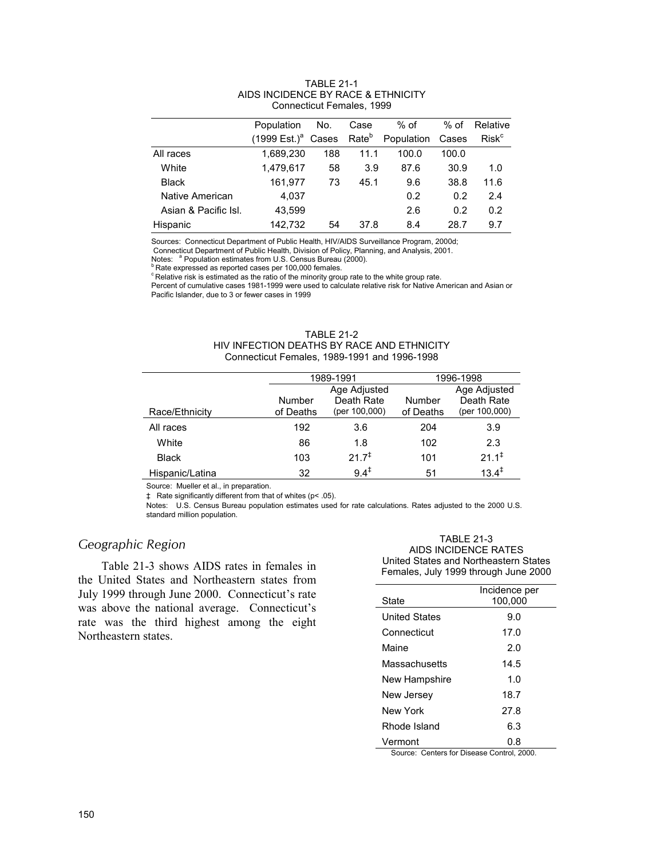|                      | Population                    | No. | Case              | $%$ of     | $%$ of | Relative                |
|----------------------|-------------------------------|-----|-------------------|------------|--------|-------------------------|
|                      | $(1999 \text{ Est.})^a$ Cases |     | Rate <sup>b</sup> | Population | Cases  | <b>Risk<sup>c</sup></b> |
| All races            | 1.689.230                     | 188 | 11.1              | 100.0      | 100.0  |                         |
| White                | 1,479,617                     | 58  | 3.9               | 87.6       | 30.9   | 1.0                     |
| <b>Black</b>         | 161.977                       | 73  | 45.1              | 9.6        | 38.8   | 11.6                    |
| Native American      | 4,037                         |     |                   | 0.2        | 0.2    | 2.4                     |
| Asian & Pacific Isl. | 43.599                        |     |                   | 2.6        | 0.2    | 0.2                     |
| Hispanic             | 142.732                       | 54  | 37.8              | 8.4        | 28.7   | 9.7                     |

#### TABLE 21-1 AIDS INCIDENCE BY RACE & ETHNICITY Connecticut Females, 1999

Sources: Connecticut Department of Public Health, HIV/AIDS Surveillance Program, 2000d;

Connecticut Department of Public Health, Division of Policy, Planning, and Analysis, 2001.

Notes: <sup>a</sup> Population estimates from U.S. Census Bureau (2000).<br><sup>b</sup> Rate expressed as reported cases per 100,000 females.

c Relative risk is estimated as the ratio of the minority group rate to the white group rate.

Percent of cumulative cases 1981-1999 were used to calculate relative risk for Native American and Asian or Pacific Islander, due to 3 or fewer cases in 1999

| TABL F 21-2                                  |
|----------------------------------------------|
| HIV INFECTION DEATHS BY RACE AND ETHNICITY   |
| Connecticut Females, 1989-1991 and 1996-1998 |

|                 | 1989-1991           |                                             | 1996-1998           |                                             |
|-----------------|---------------------|---------------------------------------------|---------------------|---------------------------------------------|
| Race/Ethnicity  | Number<br>of Deaths | Age Adjusted<br>Death Rate<br>(per 100,000) | Number<br>of Deaths | Age Adjusted<br>Death Rate<br>(per 100,000) |
| All races       | 192                 | 3.6                                         | 204                 | 3.9                                         |
| White           | 86                  | 1.8                                         | 102                 | 2.3                                         |
| <b>Black</b>    | 103                 | $21.7^{*}$                                  | 101                 | $21.1^{\ddagger}$                           |
| Hispanic/Latina | 32                  | $9.4^{\ddagger}$                            | 51                  | $13.4^{\ddagger}$                           |

Source: Mueller et al., in preparation.

‡ Rate significantly different from that of whites (p< .05).

Notes: U.S. Census Bureau population estimates used for rate calculations. Rates adjusted to the 2000 U.S. standard million population.

# *Geographic Region*

Table 21-3 shows AIDS rates in females in the United States and Northeastern states from July 1999 through June 2000. Connecticut's rate was above the national average. Connecticut's rate was the third highest among the eight Northeastern states.

TABLE 21-3 AIDS INCIDENCE RATES United States and Northeastern States Females, July 1999 through June 2000

|                      | Incidence per |
|----------------------|---------------|
| State                | 100.000       |
| <b>United States</b> | 9.0           |
| Connecticut          | 17.0          |
| Maine                | 2.0           |
| Massachusetts        | 14.5          |
| New Hampshire        | 1.0           |
| New Jersey           | 18.7          |
| New York             | 27.8          |
| Rhode Island         | 6.3           |
| Vermont              | 0.8           |

Source: Centers for Disease Control, 2000.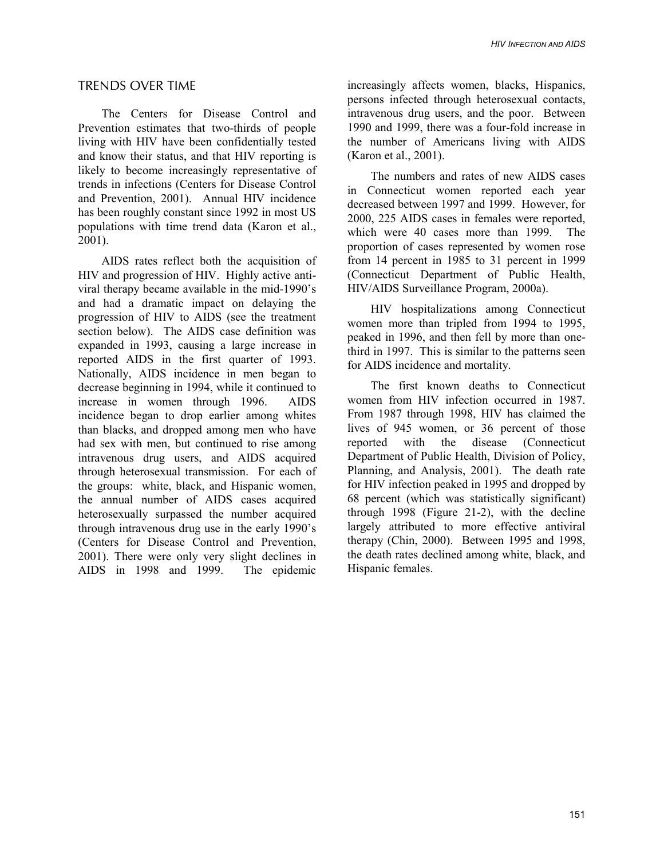#### TRENDS OVER TIME

The Centers for Disease Control and Prevention estimates that two-thirds of people living with HIV have been confidentially tested and know their status, and that HIV reporting is likely to become increasingly representative of trends in infections (Centers for Disease Control and Prevention, 2001). Annual HIV incidence has been roughly constant since 1992 in most US populations with time trend data (Karon et al., 2001).

AIDS rates reflect both the acquisition of HIV and progression of HIV. Highly active antiviral therapy became available in the mid-1990's and had a dramatic impact on delaying the progression of HIV to AIDS (see the treatment section below). The AIDS case definition was expanded in 1993, causing a large increase in reported AIDS in the first quarter of 1993. Nationally, AIDS incidence in men began to decrease beginning in 1994, while it continued to increase in women through 1996. AIDS incidence began to drop earlier among whites than blacks, and dropped among men who have had sex with men, but continued to rise among intravenous drug users, and AIDS acquired through heterosexual transmission. For each of the groups: white, black, and Hispanic women, the annual number of AIDS cases acquired heterosexually surpassed the number acquired through intravenous drug use in the early 1990's (Centers for Disease Control and Prevention, 2001). There were only very slight declines in AIDS in 1998 and 1999. The epidemic

increasingly affects women, blacks, Hispanics, persons infected through heterosexual contacts, intravenous drug users, and the poor. Between 1990 and 1999, there was a four-fold increase in the number of Americans living with AIDS (Karon et al., 2001).

The numbers and rates of new AIDS cases in Connecticut women reported each year decreased between 1997 and 1999. However, for 2000, 225 AIDS cases in females were reported, which were 40 cases more than 1999. The proportion of cases represented by women rose from 14 percent in 1985 to 31 percent in 1999 (Connecticut Department of Public Health, HIV/AIDS Surveillance Program, 2000a).

HIV hospitalizations among Connecticut women more than tripled from 1994 to 1995, peaked in 1996, and then fell by more than onethird in 1997. This is similar to the patterns seen for AIDS incidence and mortality.

The first known deaths to Connecticut women from HIV infection occurred in 1987. From 1987 through 1998, HIV has claimed the lives of 945 women, or 36 percent of those reported with the disease (Connecticut Department of Public Health, Division of Policy, Planning, and Analysis, 2001). The death rate for HIV infection peaked in 1995 and dropped by 68 percent (which was statistically significant) through 1998 (Figure 21-2), with the decline largely attributed to more effective antiviral therapy (Chin, 2000). Between 1995 and 1998, the death rates declined among white, black, and Hispanic females.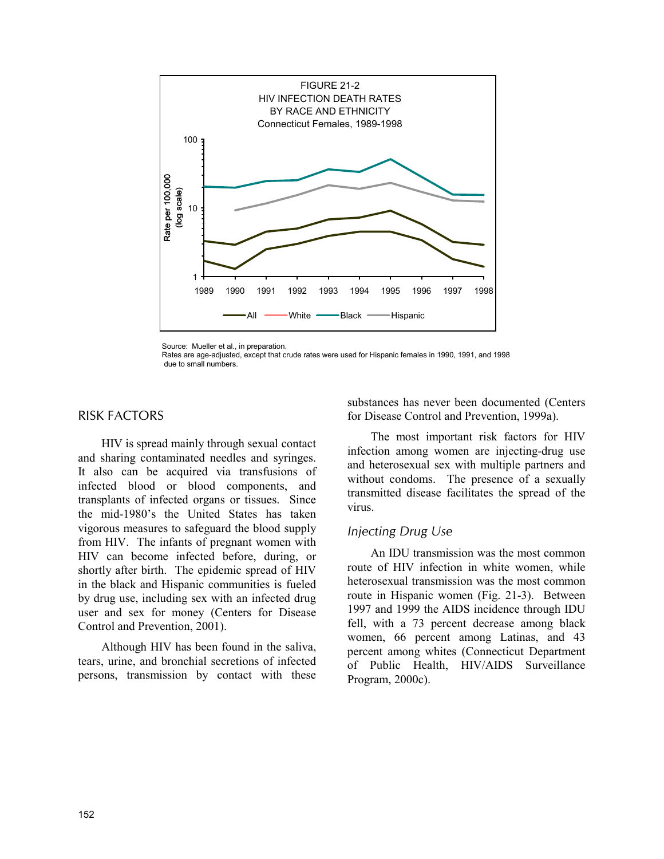

Source: Mueller et al., in preparation.

# RISK FACTORS

HIV is spread mainly through sexual contact and sharing contaminated needles and syringes. It also can be acquired via transfusions of infected blood or blood components, and transplants of infected organs or tissues. Since the mid-1980's the United States has taken vigorous measures to safeguard the blood supply from HIV. The infants of pregnant women with HIV can become infected before, during, or shortly after birth. The epidemic spread of HIV in the black and Hispanic communities is fueled by drug use, including sex with an infected drug user and sex for money (Centers for Disease Control and Prevention, 2001).

Although HIV has been found in the saliva, tears, urine, and bronchial secretions of infected persons, transmission by contact with these substances has never been documented (Centers for Disease Control and Prevention, 1999a).

The most important risk factors for HIV infection among women are injecting-drug use and heterosexual sex with multiple partners and without condoms. The presence of a sexually transmitted disease facilitates the spread of the virus.

# *Injecting Drug Use*

An IDU transmission was the most common route of HIV infection in white women, while heterosexual transmission was the most common route in Hispanic women (Fig. 21-3). Between 1997 and 1999 the AIDS incidence through IDU fell, with a 73 percent decrease among black women, 66 percent among Latinas, and 43 percent among whites (Connecticut Department of Public Health, HIV/AIDS Surveillance Program, 2000c).

Rates are age-adjusted, except that crude rates were used for Hispanic females in 1990, 1991, and 1998 due to small numbers.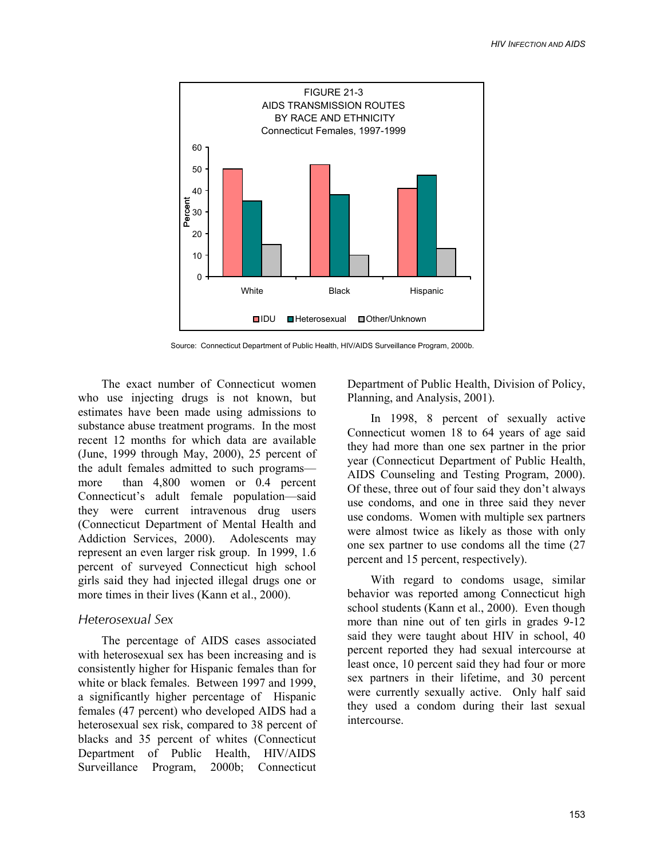

Source: Connecticut Department of Public Health, HIV/AIDS Surveillance Program, 2000b.

The exact number of Connecticut women who use injecting drugs is not known, but estimates have been made using admissions to substance abuse treatment programs. In the most recent 12 months for which data are available (June, 1999 through May, 2000), 25 percent of the adult females admitted to such programs more than 4,800 women or 0.4 percent Connecticut's adult female population—said they were current intravenous drug users (Connecticut Department of Mental Health and Addiction Services, 2000). Adolescents may represent an even larger risk group. In 1999, 1.6 percent of surveyed Connecticut high school girls said they had injected illegal drugs one or more times in their lives (Kann et al., 2000).

#### *Heterosexual Sex*

The percentage of AIDS cases associated with heterosexual sex has been increasing and is consistently higher for Hispanic females than for white or black females. Between 1997 and 1999, a significantly higher percentage of Hispanic females (47 percent) who developed AIDS had a heterosexual sex risk, compared to 38 percent of blacks and 35 percent of whites (Connecticut Department of Public Health, HIV/AIDS Surveillance Program, 2000b; Connecticut Department of Public Health, Division of Policy, Planning, and Analysis, 2001).

In 1998, 8 percent of sexually active Connecticut women 18 to 64 years of age said they had more than one sex partner in the prior year (Connecticut Department of Public Health, AIDS Counseling and Testing Program, 2000). Of these, three out of four said they don't always use condoms, and one in three said they never use condoms. Women with multiple sex partners were almost twice as likely as those with only one sex partner to use condoms all the time (27 percent and 15 percent, respectively).

With regard to condoms usage, similar behavior was reported among Connecticut high school students (Kann et al., 2000). Even though more than nine out of ten girls in grades 9-12 said they were taught about HIV in school, 40 percent reported they had sexual intercourse at least once, 10 percent said they had four or more sex partners in their lifetime, and 30 percent were currently sexually active. Only half said they used a condom during their last sexual intercourse.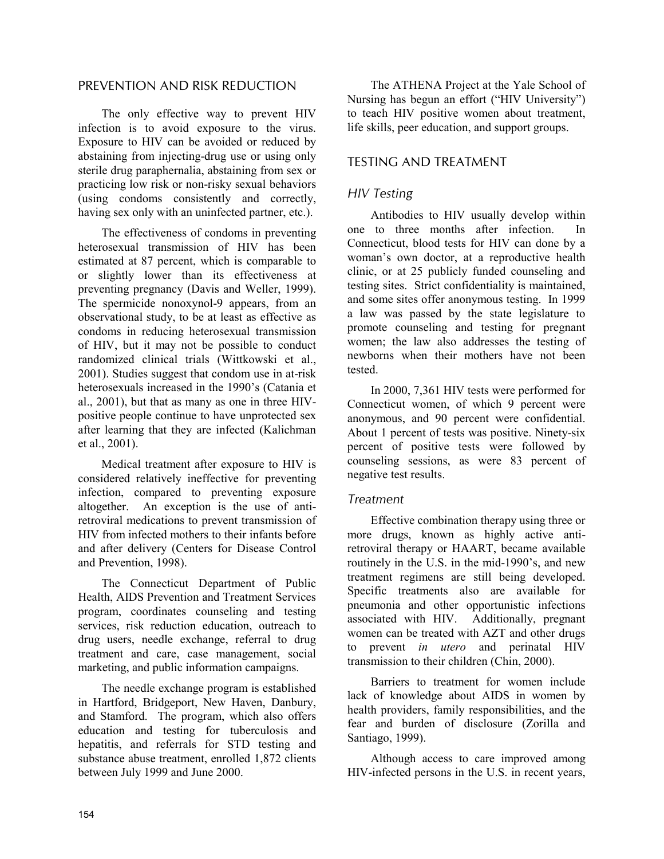# PREVENTION AND RISK REDUCTION

The only effective way to prevent HIV infection is to avoid exposure to the virus. Exposure to HIV can be avoided or reduced by abstaining from injecting-drug use or using only sterile drug paraphernalia, abstaining from sex or practicing low risk or non-risky sexual behaviors (using condoms consistently and correctly, having sex only with an uninfected partner, etc.).

The effectiveness of condoms in preventing heterosexual transmission of HIV has been estimated at 87 percent, which is comparable to or slightly lower than its effectiveness at preventing pregnancy (Davis and Weller, 1999). The spermicide nonoxynol-9 appears, from an observational study, to be at least as effective as condoms in reducing heterosexual transmission of HIV, but it may not be possible to conduct randomized clinical trials (Wittkowski et al., 2001). Studies suggest that condom use in at-risk heterosexuals increased in the 1990's (Catania et al., 2001), but that as many as one in three HIVpositive people continue to have unprotected sex after learning that they are infected (Kalichman et al., 2001).

Medical treatment after exposure to HIV is considered relatively ineffective for preventing infection, compared to preventing exposure altogether. An exception is the use of antiretroviral medications to prevent transmission of HIV from infected mothers to their infants before and after delivery (Centers for Disease Control and Prevention, 1998).

The Connecticut Department of Public Health, AIDS Prevention and Treatment Services program, coordinates counseling and testing services, risk reduction education, outreach to drug users, needle exchange, referral to drug treatment and care, case management, social marketing, and public information campaigns.

The needle exchange program is established in Hartford, Bridgeport, New Haven, Danbury, and Stamford. The program, which also offers education and testing for tuberculosis and hepatitis, and referrals for STD testing and substance abuse treatment, enrolled 1,872 clients between July 1999 and June 2000.

The ATHENA Project at the Yale School of Nursing has begun an effort ("HIV University") to teach HIV positive women about treatment, life skills, peer education, and support groups.

# TESTING AND TREATMENT

# *HIV Testing*

Antibodies to HIV usually develop within one to three months after infection. In Connecticut, blood tests for HIV can done by a woman's own doctor, at a reproductive health clinic, or at 25 publicly funded counseling and testing sites. Strict confidentiality is maintained, and some sites offer anonymous testing. In 1999 a law was passed by the state legislature to promote counseling and testing for pregnant women; the law also addresses the testing of newborns when their mothers have not been tested.

In 2000, 7,361 HIV tests were performed for Connecticut women, of which 9 percent were anonymous, and 90 percent were confidential. About 1 percent of tests was positive. Ninety-six percent of positive tests were followed by counseling sessions, as were 83 percent of negative test results.

# *Treatment*

Effective combination therapy using three or more drugs, known as highly active antiretroviral therapy or HAART, became available routinely in the U.S. in the mid-1990's, and new treatment regimens are still being developed. Specific treatments also are available for pneumonia and other opportunistic infections associated with HIV. Additionally, pregnant women can be treated with AZT and other drugs to prevent *in utero* and perinatal HIV transmission to their children (Chin, 2000).

Barriers to treatment for women include lack of knowledge about AIDS in women by health providers, family responsibilities, and the fear and burden of disclosure (Zorilla and Santiago, 1999).

Although access to care improved among HIV-infected persons in the U.S. in recent years,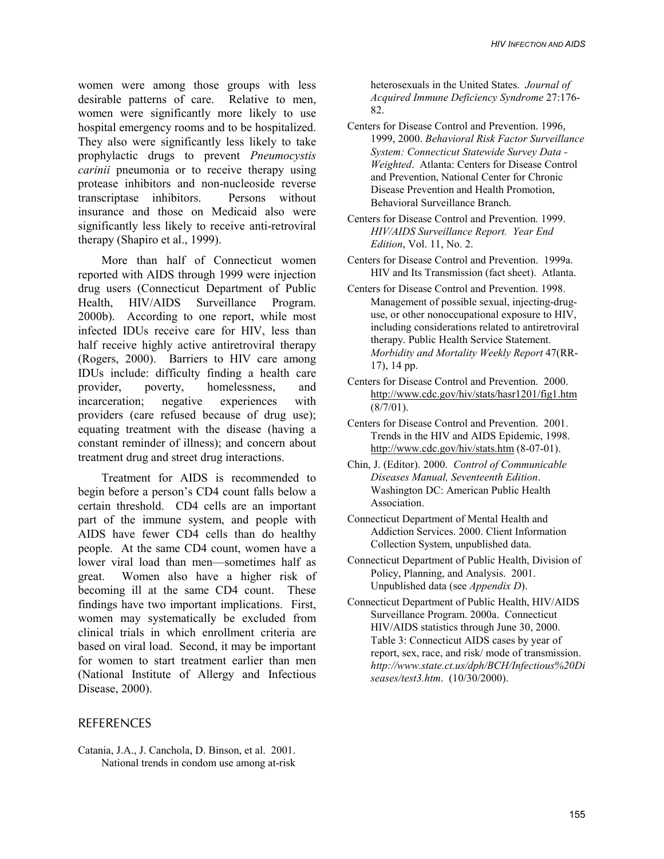women were among those groups with less desirable patterns of care. Relative to men, women were significantly more likely to use hospital emergency rooms and to be hospitalized. They also were significantly less likely to take prophylactic drugs to prevent *Pneumocystis carinii* pneumonia or to receive therapy using protease inhibitors and non-nucleoside reverse transcriptase inhibitors. Persons without insurance and those on Medicaid also were significantly less likely to receive anti-retroviral therapy (Shapiro et al., 1999).

More than half of Connecticut women reported with AIDS through 1999 were injection drug users (Connecticut Department of Public Health, HIV/AIDS Surveillance Program. 2000b). According to one report, while most infected IDUs receive care for HIV, less than half receive highly active antiretroviral therapy (Rogers, 2000). Barriers to HIV care among IDUs include: difficulty finding a health care provider, poverty, homelessness, and incarceration; negative experiences with providers (care refused because of drug use); equating treatment with the disease (having a constant reminder of illness); and concern about treatment drug and street drug interactions.

Treatment for AIDS is recommended to begin before a person's CD4 count falls below a certain threshold. CD4 cells are an important part of the immune system, and people with AIDS have fewer CD4 cells than do healthy people. At the same CD4 count, women have a lower viral load than men—sometimes half as great. Women also have a higher risk of becoming ill at the same CD4 count. These findings have two important implications. First, women may systematically be excluded from clinical trials in which enrollment criteria are based on viral load. Second, it may be important for women to start treatment earlier than men (National Institute of Allergy and Infectious Disease, 2000).

# **REFERENCES**

Catania, J.A., J. Canchola, D. Binson, et al. 2001. National trends in condom use among at-risk

heterosexuals in the United States. *Journal of Acquired Immune Deficiency Syndrome* 27:176- 82.

- Centers for Disease Control and Prevention. 1996, 1999, 2000. *Behavioral Risk Factor Surveillance System: Connecticut Statewide Survey Data - Weighted*. Atlanta: Centers for Disease Control and Prevention, National Center for Chronic Disease Prevention and Health Promotion, Behavioral Surveillance Branch.
- Centers for Disease Control and Prevention. 1999. *HIV/AIDS Surveillance Report. Year End Edition*, Vol. 11, No. 2.
- Centers for Disease Control and Prevention. 1999a. HIV and Its Transmission (fact sheet). Atlanta.
- Centers for Disease Control and Prevention. 1998. Management of possible sexual, injecting-druguse, or other nonoccupational exposure to HIV, including considerations related to antiretroviral therapy. Public Health Service Statement. *Morbidity and Mortality Weekly Report* 47(RR-17), 14 pp.
- Centers for Disease Control and Prevention. 2000. http://www.cdc.gov/hiv/stats/hasr1201/fig1.htm  $(8/7/01)$ .
- Centers for Disease Control and Prevention. 2001. Trends in the HIV and AIDS Epidemic, 1998. http://www.cdc.gov/hiv/stats.htm (8-07-01).
- Chin, J. (Editor). 2000. *Control of Communicable Diseases Manual, Seventeenth Edition*. Washington DC: American Public Health Association.
- Connecticut Department of Mental Health and Addiction Services. 2000. Client Information Collection System, unpublished data.
- Connecticut Department of Public Health, Division of Policy, Planning, and Analysis. 2001. Unpublished data (see *Appendix D*).
- Connecticut Department of Public Health, HIV/AIDS Surveillance Program. 2000a. Connecticut HIV/AIDS statistics through June 30, 2000. Table 3: Connecticut AIDS cases by year of report, sex, race, and risk/ mode of transmission. *http://www.state.ct.us/dph/BCH/Infectious%20Di seases/test3.htm*. (10/30/2000).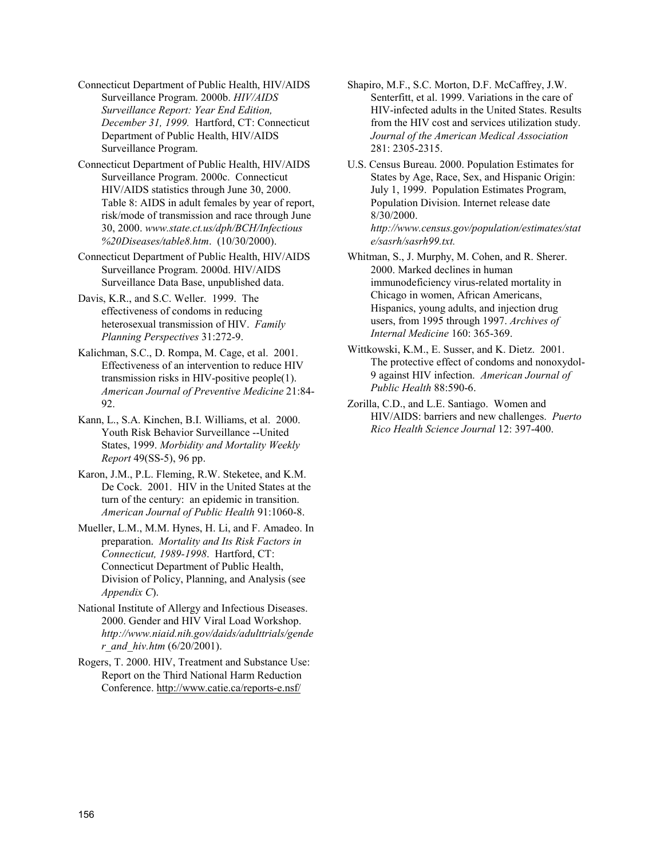Connecticut Department of Public Health, HIV/AIDS Surveillance Program. 2000b. *HIV/AIDS Surveillance Report: Year End Edition, December 31, 1999.* Hartford, CT: Connecticut Department of Public Health, HIV/AIDS Surveillance Program.

Connecticut Department of Public Health, HIV/AIDS Surveillance Program. 2000c. Connecticut HIV/AIDS statistics through June 30, 2000. Table 8: AIDS in adult females by year of report, risk/mode of transmission and race through June 30, 2000. *www.state.ct.us/dph/BCH/Infectious %20Diseases/table8.htm*. (10/30/2000).

Connecticut Department of Public Health, HIV/AIDS Surveillance Program. 2000d. HIV/AIDS Surveillance Data Base, unpublished data.

Davis, K.R., and S.C. Weller. 1999. The effectiveness of condoms in reducing heterosexual transmission of HIV. *Family Planning Perspectives* 31:272-9.

Kalichman, S.C., D. Rompa, M. Cage, et al. 2001. Effectiveness of an intervention to reduce HIV transmission risks in HIV-positive people(1). *American Journal of Preventive Medicine* 21:84- 92.

Kann, L., S.A. Kinchen, B.I. Williams, et al. 2000. Youth Risk Behavior Surveillance --United States, 1999. *Morbidity and Mortality Weekly Report* 49(SS-5), 96 pp.

Karon, J.M., P.L. Fleming, R.W. Steketee, and K.M. De Cock. 2001. HIV in the United States at the turn of the century: an epidemic in transition. *American Journal of Public Health* 91:1060-8.

Mueller, L.M., M.M. Hynes, H. Li, and F. Amadeo. In preparation. *Mortality and Its Risk Factors in Connecticut, 1989-1998*. Hartford, CT: Connecticut Department of Public Health, Division of Policy, Planning, and Analysis (see *Appendix C*).

National Institute of Allergy and Infectious Diseases. 2000. Gender and HIV Viral Load Workshop. *http://www.niaid.nih.gov/daids/adulttrials/gende r\_and\_hiv.htm* (6/20/2001).

Rogers, T. 2000. HIV, Treatment and Substance Use: Report on the Third National Harm Reduction Conference. http://www.catie.ca/reports-e.nsf/

Shapiro, M.F., S.C. Morton, D.F. McCaffrey, J.W. Senterfitt, et al. 1999. Variations in the care of HIV-infected adults in the United States. Results from the HIV cost and services utilization study. *Journal of the American Medical Association* 281: 2305-2315.

U.S. Census Bureau. 2000. Population Estimates for States by Age, Race, Sex, and Hispanic Origin: July 1, 1999. Population Estimates Program, Population Division. Internet release date 8/30/2000. *http://www.census.gov/population/estimates/stat e/sasrh/sasrh99.txt.*

Whitman, S., J. Murphy, M. Cohen, and R. Sherer. 2000. Marked declines in human immunodeficiency virus-related mortality in Chicago in women, African Americans, Hispanics, young adults, and injection drug users, from 1995 through 1997. *Archives of Internal Medicine* 160: 365-369.

Wittkowski, K.M., E. Susser, and K. Dietz. 2001. The protective effect of condoms and nonoxydol-9 against HIV infection. *American Journal of Public Health* 88:590-6.

Zorilla, C.D., and L.E. Santiago. Women and HIV/AIDS: barriers and new challenges. *Puerto Rico Health Science Journal* 12: 397-400.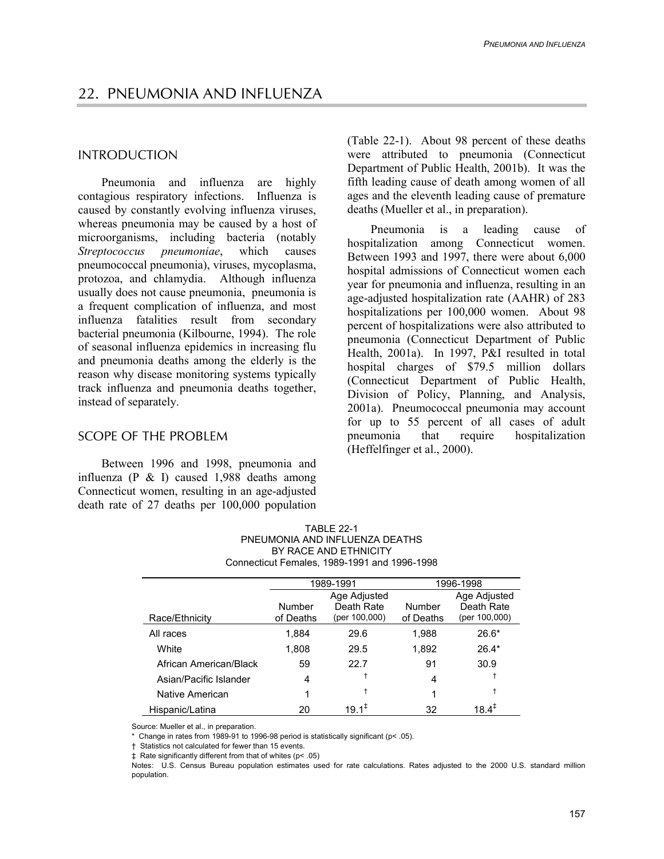# INTRODUCTION

Pneumonia and influenza are highly contagious respiratory infections. Influenza is caused by constantly evolving influenza viruses, whereas pneumonia may be caused by a host of microorganisms, including bacteria (notably *Streptococcus pneumoniae*, which causes pneumococcal pneumonia), viruses, mycoplasma, protozoa, and chlamydia. Although influenza usually does not cause pneumonia, pneumonia is a frequent complication of influenza, and most influenza fatalities result from secondary bacterial pneumonia (Kilbourne, 1994). The role of seasonal influenza epidemics in increasing flu and pneumonia deaths among the elderly is the reason why disease monitoring systems typically track influenza and pneumonia deaths together, instead of separately.

# SCOPE OF THE PROBLEM

Between 1996 and 1998, pneumonia and influenza (P & I) caused 1,988 deaths among Connecticut women, resulting in an age-adjusted death rate of 27 deaths per 100,000 population (Table 22-1). About 98 percent of these deaths were attributed to pneumonia (Connecticut Department of Public Health, 2001b). It was the fifth leading cause of death among women of all ages and the eleventh leading cause of premature deaths (Mueller et al., in preparation).

Pneumonia is a leading cause of hospitalization among Connecticut women. Between 1993 and 1997, there were about 6,000 hospital admissions of Connecticut women each year for pneumonia and influenza, resulting in an age-adjusted hospitalization rate (AAHR) of 283 hospitalizations per 100,000 women. About 98 percent of hospitalizations were also attributed to pneumonia (Connecticut Department of Public Health, 2001a). In 1997, P&I resulted in total hospital charges of \$79.5 million dollars (Connecticut Department of Public Health, Division of Policy, Planning, and Analysis, 2001a). Pneumococcal pneumonia may account for up to 55 percent of all cases of adult pneumonia that require hospitalization (Heffelfinger et al., 2000).

|                        | 1989-1991 |                            | 1996-1998 |                            |  |
|------------------------|-----------|----------------------------|-----------|----------------------------|--|
|                        | Number    | Age Adjusted<br>Death Rate | Number    | Age Adjusted<br>Death Rate |  |
| Race/Ethnicity         | of Deaths | (per 100,000)              | of Deaths | (per 100,000)              |  |
| All races              | 1.884     | 29.6                       | 1,988     | $26.6*$                    |  |
| White                  | 1.808     | 29.5                       | 1,892     | $26.4*$                    |  |
| African American/Black | 59        | 22.7                       | 91        | 30.9                       |  |
| Asian/Pacific Islander | 4         |                            | 4         |                            |  |
| Native American        | 1         | t                          |           | ÷                          |  |
| Hispanic/Latina        | 20        | $19.1^{\ddagger}$          | 32        | $18.4^{+}$                 |  |

Source: Mueller et al., in preparation.

\* Change in rates from 1989-91 to 1996-98 period is statistically significant (p< .05).

† Statistics not calculated for fewer than 15 events.

‡ Rate significantly different from that of whites (p< .05)

Notes: U.S. Census Bureau population estimates used for rate calculations. Rates adjusted to the 2000 U.S. standard million population.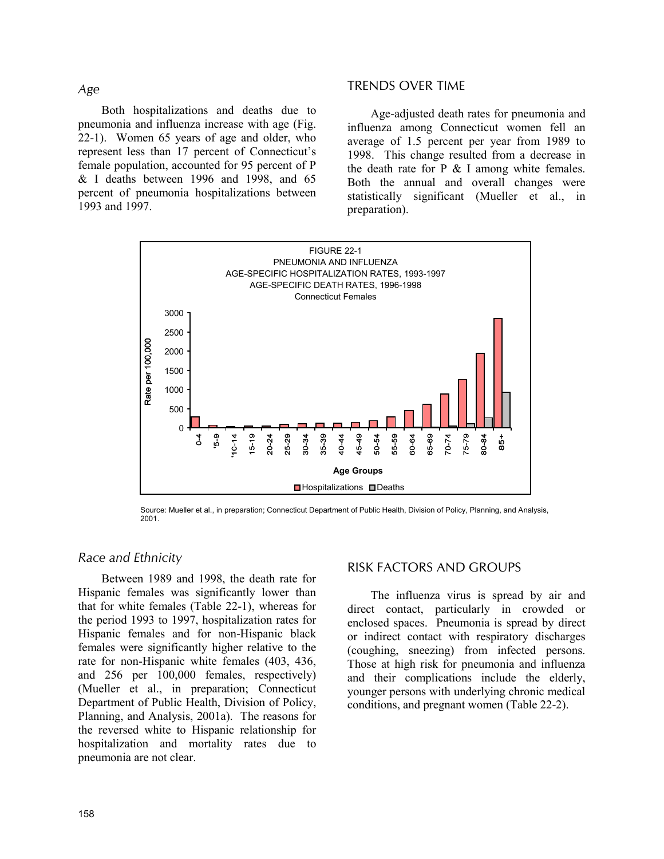*Age*

Both hospitalizations and deaths due to pneumonia and influenza increase with age (Fig. 22-1). Women 65 years of age and older, who represent less than 17 percent of Connecticut's female population, accounted for 95 percent of P & I deaths between 1996 and 1998, and 65 percent of pneumonia hospitalizations between 1993 and 1997.

### TRENDS OVER TIME

Age-adjusted death rates for pneumonia and influenza among Connecticut women fell an average of 1.5 percent per year from 1989 to 1998. This change resulted from a decrease in the death rate for  $P \& I$  among white females. Both the annual and overall changes were statistically significant (Mueller et al., in preparation).



Source: Mueller et al., in preparation; Connecticut Department of Public Health, Division of Policy, Planning, and Analysis, 2001.

# *Race and Ethnicity*

Between 1989 and 1998, the death rate for Hispanic females was significantly lower than that for white females (Table 22-1), whereas for the period 1993 to 1997, hospitalization rates for Hispanic females and for non-Hispanic black females were significantly higher relative to the rate for non-Hispanic white females (403, 436, and 256 per 100,000 females, respectively) (Mueller et al., in preparation; Connecticut Department of Public Health, Division of Policy, Planning, and Analysis, 2001a). The reasons for the reversed white to Hispanic relationship for hospitalization and mortality rates due to pneumonia are not clear.

#### RISK FACTORS AND GROUPS

The influenza virus is spread by air and direct contact, particularly in crowded or enclosed spaces. Pneumonia is spread by direct or indirect contact with respiratory discharges (coughing, sneezing) from infected persons. Those at high risk for pneumonia and influenza and their complications include the elderly, younger persons with underlying chronic medical conditions, and pregnant women (Table 22-2).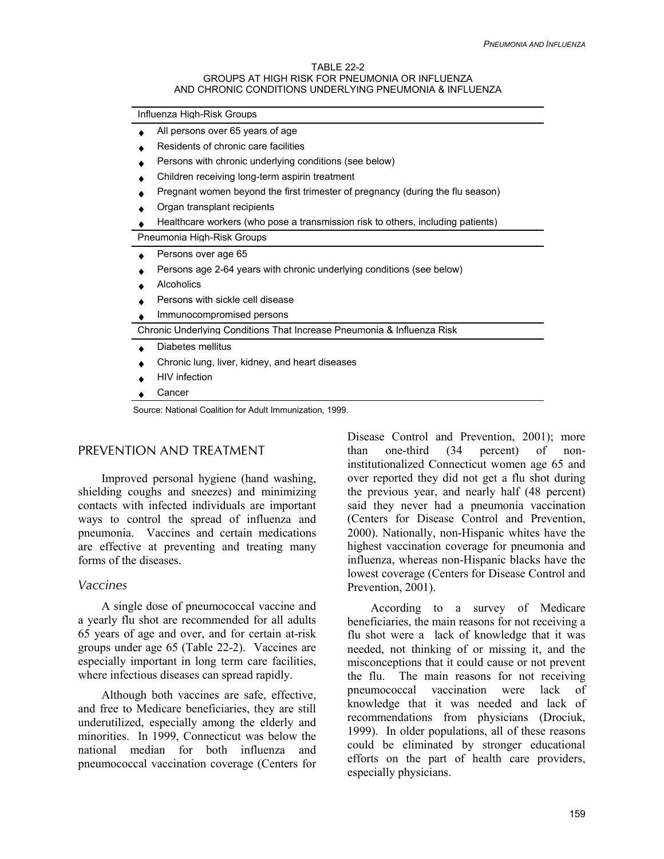#### TABLE 22-2 GROUPS AT HIGH RISK FOR PNEUMONIA OR INFLUENZA AND CHRONIC CONDITIONS UNDERLYING PNEUMONIA & INFLUENZA

| Influenza High-Risk Groups                                                      |  |  |  |  |
|---------------------------------------------------------------------------------|--|--|--|--|
| All persons over 65 years of age                                                |  |  |  |  |
| Residents of chronic care facilities                                            |  |  |  |  |
| Persons with chronic underlying conditions (see below)                          |  |  |  |  |
| Children receiving long-term aspirin treatment                                  |  |  |  |  |
| Pregnant women beyond the first trimester of pregnancy (during the flu season)  |  |  |  |  |
| Organ transplant recipients                                                     |  |  |  |  |
| Healthcare workers (who pose a transmission risk to others, including patients) |  |  |  |  |
| Pneumonia High-Risk Groups                                                      |  |  |  |  |
| Persons over age 65                                                             |  |  |  |  |
| Persons age 2-64 years with chronic underlying conditions (see below)           |  |  |  |  |
| Alcoholics                                                                      |  |  |  |  |
| Persons with sickle cell disease                                                |  |  |  |  |
| Immunocompromised persons                                                       |  |  |  |  |
| Chronic Underlying Conditions That Increase Pneumonia & Influenza Risk          |  |  |  |  |
| Diabetes mellitus                                                               |  |  |  |  |
| Chronic lung, liver, kidney, and heart diseases                                 |  |  |  |  |
| <b>HIV</b> infection                                                            |  |  |  |  |
| Cancer                                                                          |  |  |  |  |

Source: National Coalition for Adult Immunization, 1999.

# PREVENTION AND TREATMENT

Improved personal hygiene (hand washing, shielding coughs and sneezes) and minimizing contacts with infected individuals are important ways to control the spread of influenza and pneumonia. Vaccines and certain medications are effective at preventing and treating many forms of the diseases.

#### *Vaccines*

A single dose of pneumococcal vaccine and a yearly flu shot are recommended for all adults 65 years of age and over, and for certain at-risk groups under age 65 (Table 22-2). Vaccines are especially important in long term care facilities, where infectious diseases can spread rapidly.

Although both vaccines are safe, effective, and free to Medicare beneficiaries, they are still underutilized, especially among the elderly and minorities. In 1999, Connecticut was below the national median for both influenza and pneumococcal vaccination coverage (Centers for

Disease Control and Prevention, 2001); more than one-third (34 percent) of noninstitutionalized Connecticut women age 65 and over reported they did not get a flu shot during the previous year, and nearly half (48 percent) said they never had a pneumonia vaccination (Centers for Disease Control and Prevention, 2000). Nationally, non-Hispanic whites have the highest vaccination coverage for pneumonia and influenza, whereas non-Hispanic blacks have the lowest coverage (Centers for Disease Control and Prevention, 2001).

According to a survey of Medicare beneficiaries, the main reasons for not receiving a flu shot were a lack of knowledge that it was needed, not thinking of or missing it, and the misconceptions that it could cause or not prevent the flu. The main reasons for not receiving pneumococcal vaccination were lack of knowledge that it was needed and lack of recommendations from physicians (Drociuk, 1999). In older populations, all of these reasons could be eliminated by stronger educational efforts on the part of health care providers, especially physicians.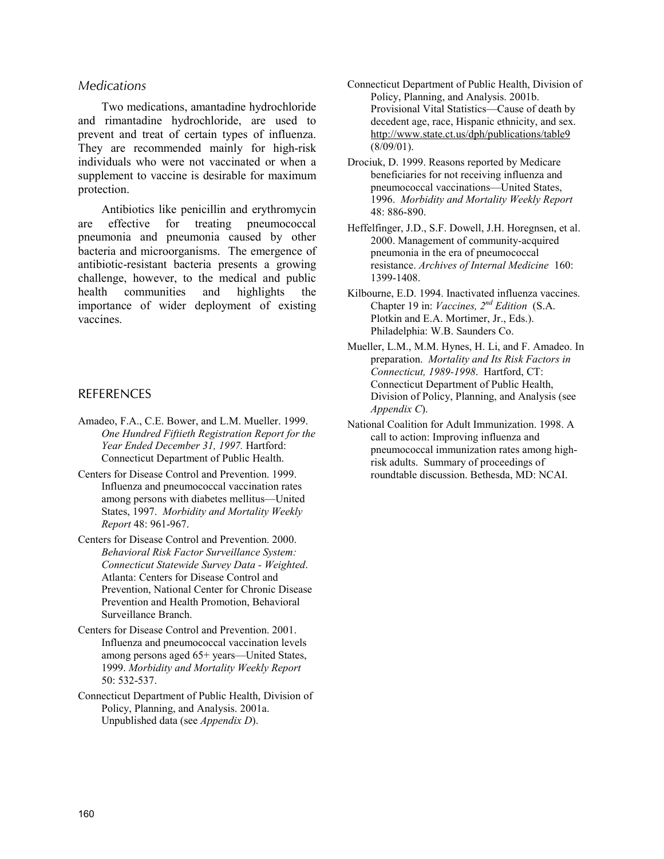## *Medications*

Two medications, amantadine hydrochloride and rimantadine hydrochloride, are used to prevent and treat of certain types of influenza. They are recommended mainly for high-risk individuals who were not vaccinated or when a supplement to vaccine is desirable for maximum protection.

Antibiotics like penicillin and erythromycin are effective for treating pneumococcal pneumonia and pneumonia caused by other bacteria and microorganisms. The emergence of antibiotic-resistant bacteria presents a growing challenge, however, to the medical and public health communities and highlights the importance of wider deployment of existing vaccines.

# **REFERENCES**

- Amadeo, F.A., C.E. Bower, and L.M. Mueller. 1999. *One Hundred Fiftieth Registration Report for the Year Ended December 31, 1997.* Hartford: Connecticut Department of Public Health.
- Centers for Disease Control and Prevention. 1999. Influenza and pneumococcal vaccination rates among persons with diabetes mellitus—United States, 1997. *Morbidity and Mortality Weekly Report* 48: 961-967.
- Centers for Disease Control and Prevention. 2000. *Behavioral Risk Factor Surveillance System: Connecticut Statewide Survey Data - Weighted*. Atlanta: Centers for Disease Control and Prevention, National Center for Chronic Disease Prevention and Health Promotion, Behavioral Surveillance Branch.
- Centers for Disease Control and Prevention. 2001. Influenza and pneumococcal vaccination levels among persons aged 65+ years—United States, 1999. *Morbidity and Mortality Weekly Report* 50: 532-537.
- Connecticut Department of Public Health, Division of Policy, Planning, and Analysis. 2001a. Unpublished data (see *Appendix D*).
- Connecticut Department of Public Health, Division of Policy, Planning, and Analysis. 2001b. Provisional Vital Statistics—Cause of death by decedent age, race, Hispanic ethnicity, and sex. http://www.state.ct.us/dph/publications/table9 (8/09/01).
- Drociuk, D. 1999. Reasons reported by Medicare beneficiaries for not receiving influenza and pneumococcal vaccinations—United States, 1996. *Morbidity and Mortality Weekly Report* 48: 886-890.
- Heffelfinger, J.D., S.F. Dowell, J.H. Horegnsen, et al. 2000. Management of community-acquired pneumonia in the era of pneumococcal resistance. *Archives of Internal Medicine* 160: 1399-1408.
- Kilbourne, E.D. 1994. Inactivated influenza vaccines. Chapter 19 in: *Vaccines, 2nd Edition* (S.A. Plotkin and E.A. Mortimer, Jr., Eds.). Philadelphia: W.B. Saunders Co.
- Mueller, L.M., M.M. Hynes, H. Li, and F. Amadeo. In preparation. *Mortality and Its Risk Factors in Connecticut, 1989-1998*. Hartford, CT: Connecticut Department of Public Health, Division of Policy, Planning, and Analysis (see *Appendix C*).
- National Coalition for Adult Immunization. 1998. A call to action: Improving influenza and pneumococcal immunization rates among highrisk adults. Summary of proceedings of roundtable discussion. Bethesda, MD: NCAI.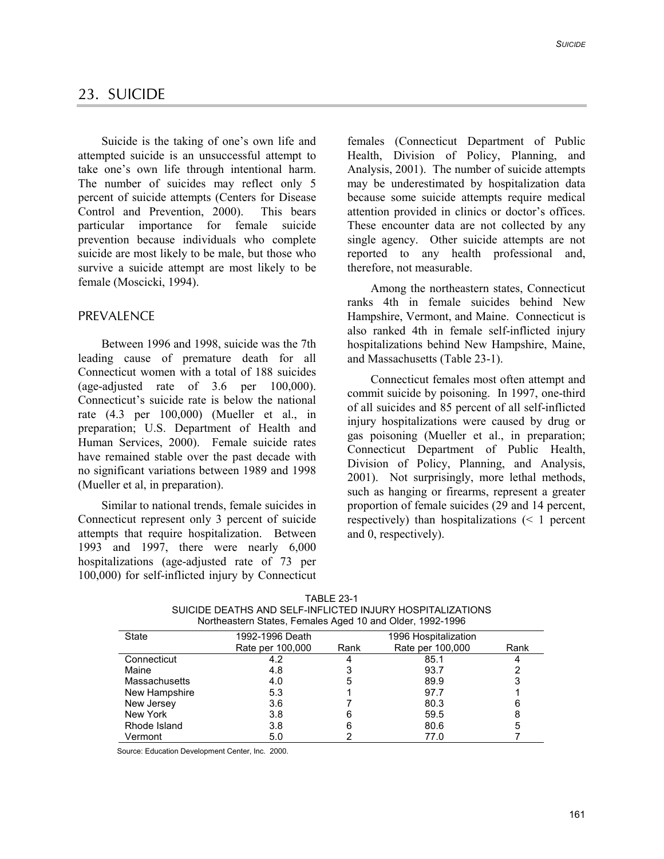# 23. SUICIDE

Suicide is the taking of one's own life and attempted suicide is an unsuccessful attempt to take one's own life through intentional harm. The number of suicides may reflect only 5 percent of suicide attempts (Centers for Disease Control and Prevention, 2000). This bears particular importance for female suicide prevention because individuals who complete suicide are most likely to be male, but those who survive a suicide attempt are most likely to be female (Moscicki, 1994).

# PREVALENCE

Between 1996 and 1998, suicide was the 7th leading cause of premature death for all Connecticut women with a total of 188 suicides (age-adjusted rate of 3.6 per 100,000). Connecticut's suicide rate is below the national rate (4.3 per 100,000) (Mueller et al., in preparation; U.S. Department of Health and Human Services, 2000). Female suicide rates have remained stable over the past decade with no significant variations between 1989 and 1998 (Mueller et al, in preparation).

Similar to national trends, female suicides in Connecticut represent only 3 percent of suicide attempts that require hospitalization. Between 1993 and 1997, there were nearly 6,000 hospitalizations (age-adjusted rate of 73 per 100,000) for self-inflicted injury by Connecticut females (Connecticut Department of Public Health, Division of Policy, Planning, and Analysis, 2001). The number of suicide attempts may be underestimated by hospitalization data because some suicide attempts require medical attention provided in clinics or doctor's offices. These encounter data are not collected by any single agency. Other suicide attempts are not reported to any health professional and, therefore, not measurable.

Among the northeastern states, Connecticut ranks 4th in female suicides behind New Hampshire, Vermont, and Maine. Connecticut is also ranked 4th in female self-inflicted injury hospitalizations behind New Hampshire, Maine, and Massachusetts (Table 23-1).

Connecticut females most often attempt and commit suicide by poisoning. In 1997, one-third of all suicides and 85 percent of all self-inflicted injury hospitalizations were caused by drug or gas poisoning (Mueller et al., in preparation; Connecticut Department of Public Health, Division of Policy, Planning, and Analysis, 2001). Not surprisingly, more lethal methods, such as hanging or firearms, represent a greater proportion of female suicides (29 and 14 percent, respectively) than hospitalizations (< 1 percent and 0, respectively).

| Northeastern States, Females Aged 10 and Older, 1992-1996 |                  |                      |                  |      |  |
|-----------------------------------------------------------|------------------|----------------------|------------------|------|--|
| <b>State</b>                                              | 1992-1996 Death  | 1996 Hospitalization |                  |      |  |
|                                                           | Rate per 100,000 | Rank                 | Rate per 100,000 | Rank |  |
| Connecticut                                               | 4.2              | 4                    | 85.1             | 4    |  |
| Maine                                                     | 4.8              | 3                    | 93.7             | 2    |  |
| <b>Massachusetts</b>                                      | 4.0              | 5                    | 89.9             | 3    |  |
| New Hampshire                                             | 5.3              |                      | 97.7             |      |  |
| New Jersey                                                | 3.6              |                      | 80.3             | 6    |  |
| New York                                                  | 3.8              | 6                    | 59.5             | 8    |  |
| Rhode Island                                              | 3.8              | 6                    | 80.6             | 5    |  |
| Vermont                                                   | 5.0              |                      | 77.0             |      |  |

| <b>TABLE 23-1</b>                                         |
|-----------------------------------------------------------|
| SUICIDE DEATHS AND SELF-INFLICTED INJURY HOSPITALIZATIONS |
| Northeastern States, Females Aged 10 and Older, 1992-1996 |

Source: Education Development Center, Inc. 2000.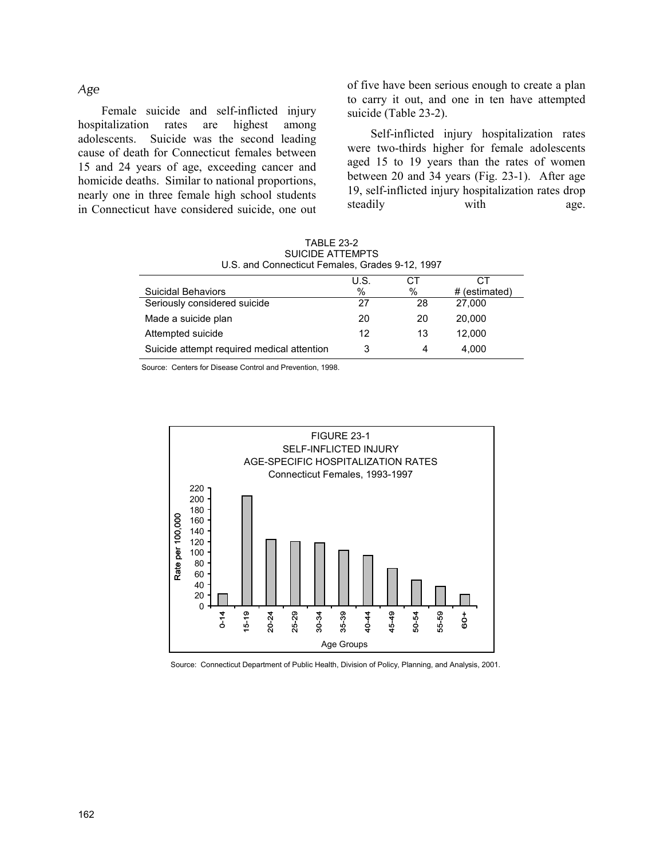# *Age*

Female suicide and self-inflicted injury hospitalization rates are highest among adolescents. Suicide was the second leading cause of death for Connecticut females between 15 and 24 years of age, exceeding cancer and homicide deaths. Similar to national proportions, nearly one in three female high school students in Connecticut have considered suicide, one out of five have been serious enough to create a plan to carry it out, and one in ten have attempted suicide (Table 23-2).

Self-inflicted injury hospitalization rates were two-thirds higher for female adolescents aged 15 to 19 years than the rates of women between 20 and 34 years (Fig. 23-1). After age 19, self-inflicted injury hospitalization rates drop steadily with age.

| U.S. and Connecticut Females, Grades 9-12, 1997 |      |      |               |  |
|-------------------------------------------------|------|------|---------------|--|
|                                                 | U.S. | CТ   | CТ            |  |
| <b>Suicidal Behaviors</b>                       | %    | $\%$ | # (estimated) |  |
| Seriously considered suicide                    | 27   | 28   | 27,000        |  |
| Made a suicide plan                             | 20   | 20   | 20,000        |  |
| Attempted suicide                               | 12   | 13   | 12.000        |  |
| Suicide attempt required medical attention      | 3    | 4    | 4.000         |  |

TABLE 23-2 SUICIDE ATTEMPTS U.S. and Connecticut Females, Grades 9-12, 1997

Source: Centers for Disease Control and Prevention, 1998.



Source: Connecticut Department of Public Health, Division of Policy, Planning, and Analysis, 2001.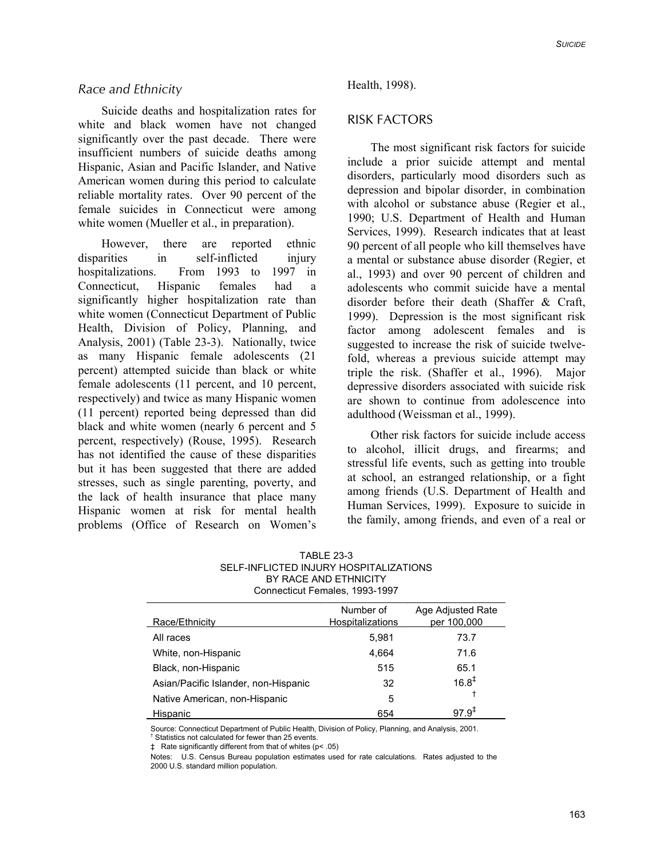## *Race and Ethnicity*

Suicide deaths and hospitalization rates for white and black women have not changed significantly over the past decade. There were insufficient numbers of suicide deaths among Hispanic, Asian and Pacific Islander, and Native American women during this period to calculate reliable mortality rates. Over 90 percent of the female suicides in Connecticut were among white women (Mueller et al., in preparation).

However, there are reported ethnic disparities in self-inflicted injury hospitalizations. From 1993 to 1997 in Connecticut, Hispanic females had a significantly higher hospitalization rate than white women (Connecticut Department of Public Health, Division of Policy, Planning, and Analysis, 2001) (Table 23-3). Nationally, twice as many Hispanic female adolescents (21 percent) attempted suicide than black or white female adolescents (11 percent, and 10 percent, respectively) and twice as many Hispanic women (11 percent) reported being depressed than did black and white women (nearly 6 percent and 5 percent, respectively) (Rouse, 1995). Research has not identified the cause of these disparities but it has been suggested that there are added stresses, such as single parenting, poverty, and the lack of health insurance that place many Hispanic women at risk for mental health problems (Office of Research on Women's

#### Health, 1998).

# RISK FACTORS

The most significant risk factors for suicide include a prior suicide attempt and mental disorders, particularly mood disorders such as depression and bipolar disorder, in combination with alcohol or substance abuse (Regier et al., 1990; U.S. Department of Health and Human Services, 1999). Research indicates that at least 90 percent of all people who kill themselves have a mental or substance abuse disorder (Regier, et al., 1993) and over 90 percent of children and adolescents who commit suicide have a mental disorder before their death (Shaffer & Craft, 1999). Depression is the most significant risk factor among adolescent females and is suggested to increase the risk of suicide twelvefold, whereas a previous suicide attempt may triple the risk. (Shaffer et al., 1996). Major depressive disorders associated with suicide risk are shown to continue from adolescence into adulthood (Weissman et al., 1999).

Other risk factors for suicide include access to alcohol, illicit drugs, and firearms; and stressful life events, such as getting into trouble at school, an estranged relationship, or a fight among friends (U.S. Department of Health and Human Services, 1999). Exposure to suicide in the family, among friends, and even of a real or

TABLE 23-3 SELF-INFLICTED INJURY HOSPITALIZATIONS BY RACE AND ETHNICITY Connecticut Females, 1993-1997

|                                      | Number of        | Age Adjusted Rate |
|--------------------------------------|------------------|-------------------|
| Race/Ethnicity                       | Hospitalizations | per 100,000       |
| All races                            | 5,981            | 73.7              |
| White, non-Hispanic                  | 4,664            | 71.6              |
| Black, non-Hispanic                  | 515              | 65.1              |
| Asian/Pacific Islander, non-Hispanic | 32               | $16.8^{\ddagger}$ |
| Native American, non-Hispanic        | 5                | Ť                 |
| Hispanic                             | 654              | $97.9^{+}$        |

Source: Connecticut Department of Public Health, Division of Policy, Planning, and Analysis, 2001.

† Statistics not calculated for fewer than 25 events.

Notes: U.S. Census Bureau population estimates used for rate calculations. Rates adjusted to the 2000 U.S. standard million population.

<sup>‡</sup> Rate significantly different from that of whites (p< .05)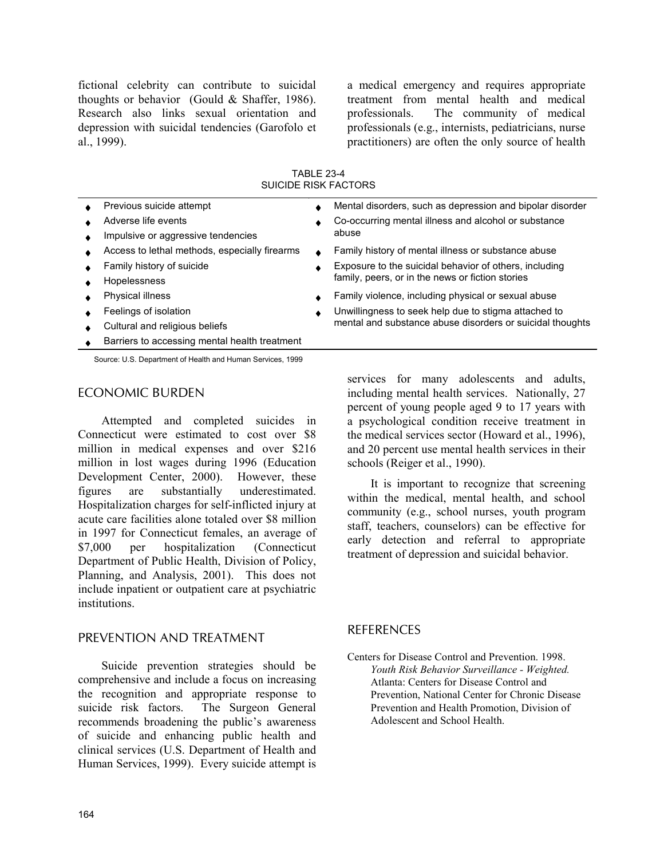fictional celebrity can contribute to suicidal thoughts or behavior (Gould & Shaffer, 1986). Research also links sexual orientation and depression with suicidal tendencies (Garofolo et al., 1999).

a medical emergency and requires appropriate treatment from mental health and medical professionals. The community of medical professionals (e.g., internists, pediatricians, nurse practitioners) are often the only source of health

TABLE 23-4 SUICIDE RISK FACTORS

| Previous suicide attempt                      | Mental disorders, such as depression and bipolar disorder |
|-----------------------------------------------|-----------------------------------------------------------|
| Adverse life events                           | Co-occurring mental illness and alcohol or substance      |
| Impulsive or aggressive tendencies            | abuse                                                     |
| Access to lethal methods, especially firearms | Family history of mental illness or substance abuse       |
| Family history of suicide                     | Exposure to the suicidal behavior of others, including    |
| Hopelessness                                  | family, peers, or in the news or fiction stories          |
| Physical illness                              | Family violence, including physical or sexual abuse       |
| Feelings of isolation                         | Unwillingness to seek help due to stigma attached to      |
| Cultural and religious beliefs                | mental and substance abuse disorders or suicidal thoughts |
| Barriers to accessing mental health treatment |                                                           |
|                                               |                                                           |

Source: U.S. Department of Health and Human Services, 1999

#### ECONOMIC BURDEN

Attempted and completed suicides in Connecticut were estimated to cost over \$8 million in medical expenses and over \$216 million in lost wages during 1996 (Education Development Center, 2000). However, these figures are substantially underestimated. Hospitalization charges for self-inflicted injury at acute care facilities alone totaled over \$8 million in 1997 for Connecticut females, an average of \$7,000 per hospitalization (Connecticut Department of Public Health, Division of Policy, Planning, and Analysis, 2001). This does not include inpatient or outpatient care at psychiatric institutions.

# PREVENTION AND TREATMENT

Suicide prevention strategies should be comprehensive and include a focus on increasing the recognition and appropriate response to suicide risk factors. The Surgeon General recommends broadening the public's awareness of suicide and enhancing public health and clinical services (U.S. Department of Health and Human Services, 1999). Every suicide attempt is

services for many adolescents and adults, including mental health services. Nationally, 27 percent of young people aged 9 to 17 years with a psychological condition receive treatment in the medical services sector (Howard et al., 1996), and 20 percent use mental health services in their schools (Reiger et al., 1990).

It is important to recognize that screening within the medical, mental health, and school community (e.g., school nurses, youth program staff, teachers, counselors) can be effective for early detection and referral to appropriate treatment of depression and suicidal behavior.

# **REFERENCES**

Centers for Disease Control and Prevention. 1998. *Youth Risk Behavior Surveillance - Weighted.* Atlanta: Centers for Disease Control and Prevention, National Center for Chronic Disease Prevention and Health Promotion, Division of Adolescent and School Health.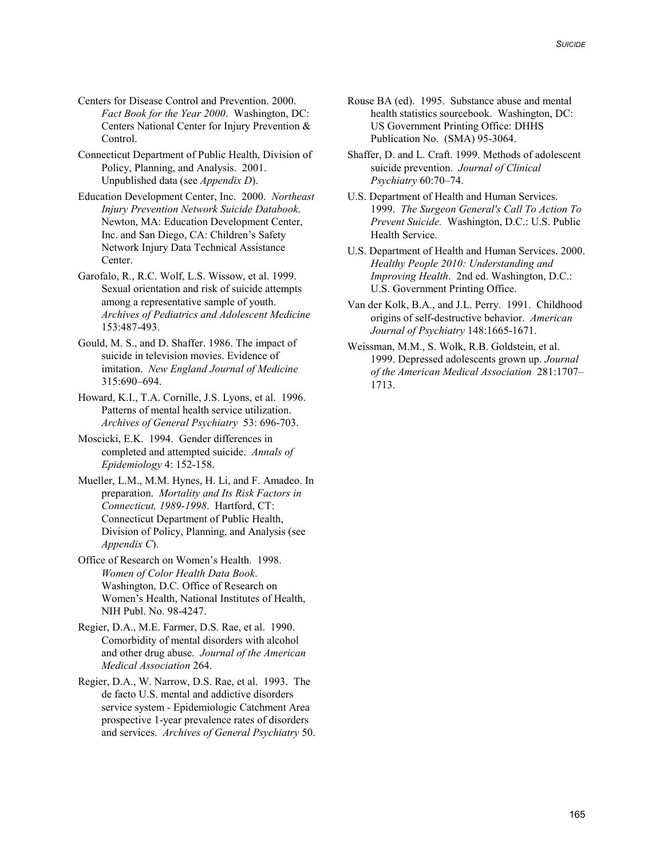- Centers for Disease Control and Prevention. 2000. *Fact Book for the Year 2000*. Washington, DC: Centers National Center for Injury Prevention & Control.
- Connecticut Department of Public Health, Division of Policy, Planning, and Analysis. 2001. Unpublished data (see *Appendix D*).
- Education Development Center, Inc. 2000. *Northeast Injury Prevention Network Suicide Databook*. Newton, MA: Education Development Center, Inc. and San Diego, CA: Children's Safety Network Injury Data Technical Assistance Center.
- Garofalo, R., R.C. Wolf, L.S. Wissow, et al. 1999. Sexual orientation and risk of suicide attempts among a representative sample of youth. *Archives of Pediatrics and Adolescent Medicine* 153:487-493.
- Gould, M. S., and D. Shaffer. 1986. The impact of suicide in television movies. Evidence of imitation. *New England Journal of Medicine* 315:690–694.
- Howard, K.I., T.A. Cornille, J.S. Lyons, et al. 1996. Patterns of mental health service utilization. *Archives of General Psychiatry* 53: 696-703.
- Moscicki, E.K. 1994. Gender differences in completed and attempted suicide. *Annals of Epidemiology* 4: 152-158.
- Mueller, L.M., M.M. Hynes, H. Li, and F. Amadeo. In preparation. *Mortality and Its Risk Factors in Connecticut, 1989-1998*. Hartford, CT: Connecticut Department of Public Health, Division of Policy, Planning, and Analysis (see *Appendix C*).
- Office of Research on Women's Health. 1998. *Women of Color Health Data Book*. Washington, D.C. Office of Research on Women's Health, National Institutes of Health, NIH Publ. No. 98-4247.
- Regier, D.A., M.E. Farmer, D.S. Rae, et al. 1990. Comorbidity of mental disorders with alcohol and other drug abuse. *Journal of the American Medical Association* 264.
- Regier, D.A., W. Narrow, D.S. Rae, et al. 1993. The de facto U.S. mental and addictive disorders service system - Epidemiologic Catchment Area prospective 1-year prevalence rates of disorders and services. *Archives of General Psychiatry* 50.
- Rouse BA (ed). 1995. Substance abuse and mental health statistics sourcebook. Washington, DC: US Government Printing Office: DHHS Publication No. (SMA) 95-3064.
- Shaffer, D. and L. Craft. 1999. Methods of adolescent suicide prevention. *Journal of Clinical Psychiatry* 60:70–74.
- U.S. Department of Health and Human Services. 1999. *The Surgeon General's Call To Action To Prevent Suicide.* Washington, D.C.: U.S. Public Health Service.
- U.S. Department of Health and Human Services. 2000. *Healthy People 2010: Understanding and Improving Health*. 2nd ed. Washington, D.C.: U.S. Government Printing Office.
- Van der Kolk, B.A., and J.L. Perry. 1991. Childhood origins of self-destructive behavior. *American Journal of Psychiatry* 148:1665-1671.
- Weissman, M.M., S. Wolk, R.B. Goldstein, et al. 1999. Depressed adolescents grown up. *Journal of the American Medical Association* 281:1707– 1713.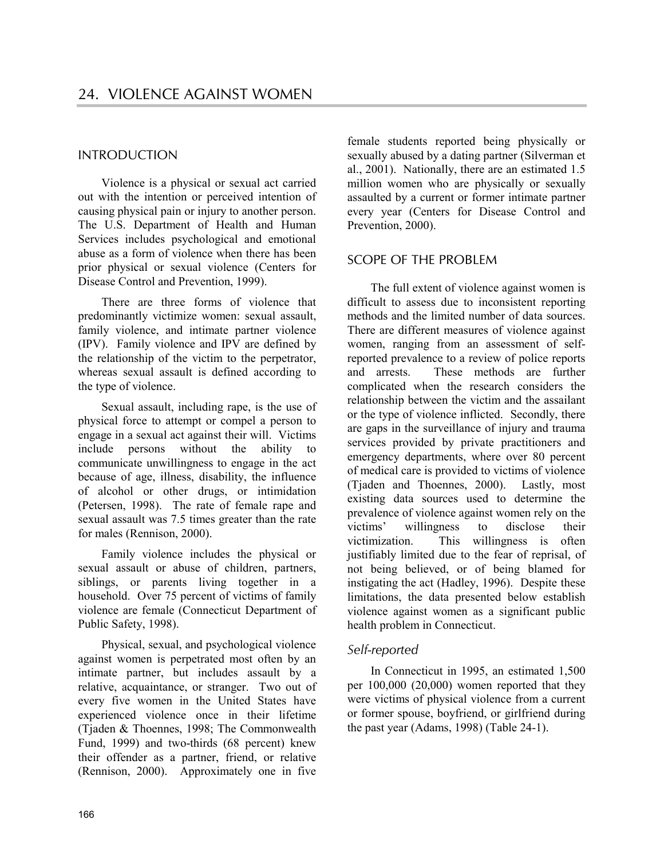# INTRODUCTION

Violence is a physical or sexual act carried out with the intention or perceived intention of causing physical pain or injury to another person. The U.S. Department of Health and Human Services includes psychological and emotional abuse as a form of violence when there has been prior physical or sexual violence (Centers for Disease Control and Prevention, 1999).

There are three forms of violence that predominantly victimize women: sexual assault, family violence, and intimate partner violence (IPV). Family violence and IPV are defined by the relationship of the victim to the perpetrator, whereas sexual assault is defined according to the type of violence.

Sexual assault, including rape, is the use of physical force to attempt or compel a person to engage in a sexual act against their will. Victims include persons without the ability to communicate unwillingness to engage in the act because of age, illness, disability, the influence of alcohol or other drugs, or intimidation (Petersen, 1998). The rate of female rape and sexual assault was 7.5 times greater than the rate for males (Rennison, 2000).

Family violence includes the physical or sexual assault or abuse of children, partners, siblings, or parents living together in a household. Over 75 percent of victims of family violence are female (Connecticut Department of Public Safety, 1998).

Physical, sexual, and psychological violence against women is perpetrated most often by an intimate partner, but includes assault by a relative, acquaintance, or stranger. Two out of every five women in the United States have experienced violence once in their lifetime (Tjaden & Thoennes, 1998; The Commonwealth Fund, 1999) and two-thirds (68 percent) knew their offender as a partner, friend, or relative (Rennison, 2000). Approximately one in five female students reported being physically or sexually abused by a dating partner (Silverman et al., 2001). Nationally, there are an estimated 1.5 million women who are physically or sexually assaulted by a current or former intimate partner every year (Centers for Disease Control and Prevention, 2000).

# SCOPE OF THE PROBLEM

The full extent of violence against women is difficult to assess due to inconsistent reporting methods and the limited number of data sources. There are different measures of violence against women, ranging from an assessment of selfreported prevalence to a review of police reports and arrests. These methods are further complicated when the research considers the relationship between the victim and the assailant or the type of violence inflicted. Secondly, there are gaps in the surveillance of injury and trauma services provided by private practitioners and emergency departments, where over 80 percent of medical care is provided to victims of violence (Tjaden and Thoennes, 2000). Lastly, most existing data sources used to determine the prevalence of violence against women rely on the victims' willingness to disclose their victimization. This willingness is often justifiably limited due to the fear of reprisal, of not being believed, or of being blamed for instigating the act (Hadley, 1996). Despite these limitations, the data presented below establish violence against women as a significant public health problem in Connecticut.

# *Self-reported*

In Connecticut in 1995, an estimated 1,500 per 100,000 (20,000) women reported that they were victims of physical violence from a current or former spouse, boyfriend, or girlfriend during the past year (Adams, 1998) (Table 24-1).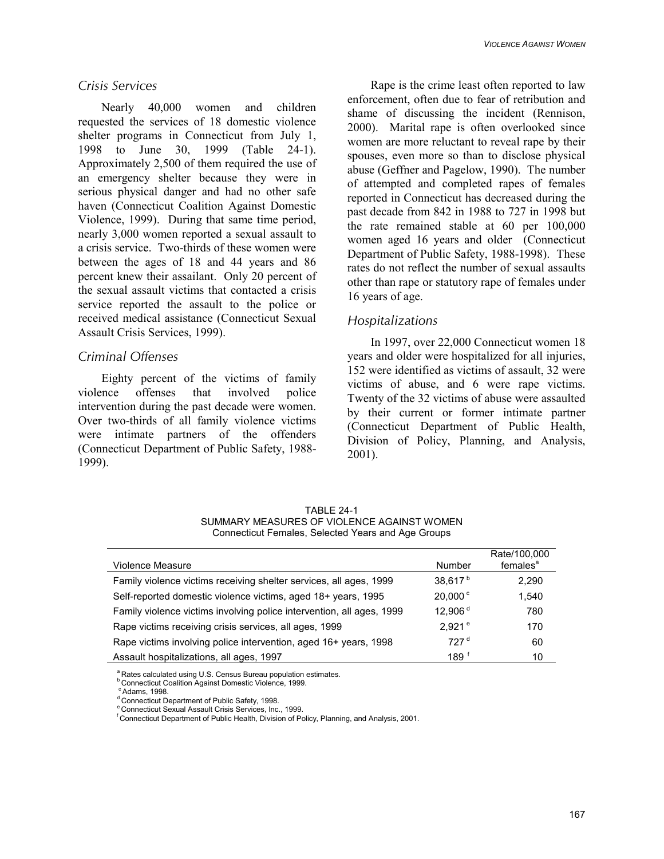# *Crisis Services*

Nearly 40,000 women and children requested the services of 18 domestic violence shelter programs in Connecticut from July 1, 1998 to June 30, 1999 (Table 24-1). Approximately 2,500 of them required the use of an emergency shelter because they were in serious physical danger and had no other safe haven (Connecticut Coalition Against Domestic Violence, 1999). During that same time period, nearly 3,000 women reported a sexual assault to a crisis service. Two-thirds of these women were between the ages of 18 and 44 years and 86 percent knew their assailant. Only 20 percent of the sexual assault victims that contacted a crisis service reported the assault to the police or received medical assistance (Connecticut Sexual Assault Crisis Services, 1999).

# *Criminal Offenses*

Eighty percent of the victims of family violence offenses that involved police intervention during the past decade were women. Over two-thirds of all family violence victims were intimate partners of the offenders (Connecticut Department of Public Safety, 1988- 1999).

Rape is the crime least often reported to law enforcement, often due to fear of retribution and shame of discussing the incident (Rennison, 2000). Marital rape is often overlooked since women are more reluctant to reveal rape by their spouses, even more so than to disclose physical abuse (Geffner and Pagelow, 1990). The number of attempted and completed rapes of females reported in Connecticut has decreased during the past decade from 842 in 1988 to 727 in 1998 but the rate remained stable at 60 per 100,000 women aged 16 years and older (Connecticut Department of Public Safety, 1988-1998). These rates do not reflect the number of sexual assaults other than rape or statutory rape of females under 16 years of age.

# *Hospitalizations*

In 1997, over 22,000 Connecticut women 18 years and older were hospitalized for all injuries, 152 were identified as victims of assault, 32 were victims of abuse, and 6 were rape victims. Twenty of the 32 victims of abuse were assaulted by their current or former intimate partner (Connecticut Department of Public Health, Division of Policy, Planning, and Analysis, 2001).

| <b>TABLE 24-1</b>                                  |
|----------------------------------------------------|
| SUMMARY MEASURES OF VIOLENCE AGAINST WOMEN         |
| Connecticut Females, Selected Years and Age Groups |

| <b>Violence Measure</b>                                               | Number              | Rate/100,000<br>females <sup>a</sup> |
|-----------------------------------------------------------------------|---------------------|--------------------------------------|
| Family violence victims receiving shelter services, all ages, 1999    | 38.617 <sup>b</sup> | 2.290                                |
| Self-reported domestic violence victims, aged 18+ years, 1995         | $20.000^{\circ}$    | 1.540                                |
| Family violence victims involving police intervention, all ages, 1999 | 12,906 <sup>d</sup> | 780                                  |
| Rape victims receiving crisis services, all ages, 1999                | 2.921 <sup>e</sup>  | 170                                  |
| Rape victims involving police intervention, aged 16+ years, 1998      | 727 <sup>d</sup>    | 60                                   |
| Assault hospitalizations, all ages, 1997                              | 189 <sup>†</sup>    | 10                                   |

<sup>a</sup> Rates calculated using U.S. Census Bureau population estimates.

**b Connecticut Coalition Against Domestic Violence, 1999.** 

 $\degree$  Adams, 1998.<br> $\degree$  Connecticut Department of Public Safety, 1998.

e Connecticut Sexual Assault Crisis Services, Inc., 1999.

<sup>f</sup> Connecticut Department of Public Health, Division of Policy, Planning, and Analysis, 2001.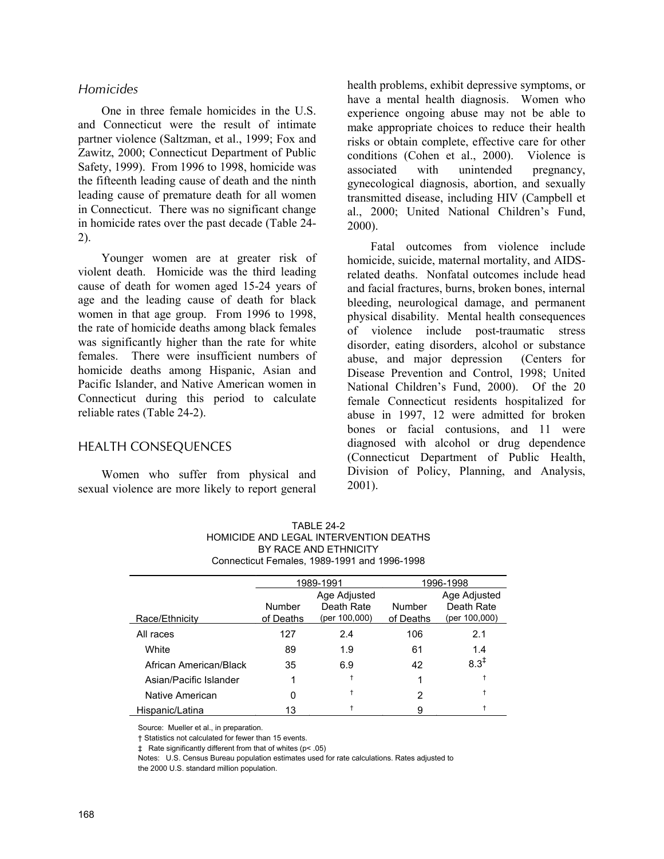# *Homicides*

One in three female homicides in the U.S. and Connecticut were the result of intimate partner violence (Saltzman, et al., 1999; Fox and Zawitz, 2000; Connecticut Department of Public Safety, 1999). From 1996 to 1998, homicide was the fifteenth leading cause of death and the ninth leading cause of premature death for all women in Connecticut. There was no significant change in homicide rates over the past decade (Table 24- 2).

Younger women are at greater risk of violent death. Homicide was the third leading cause of death for women aged 15-24 years of age and the leading cause of death for black women in that age group. From 1996 to 1998, the rate of homicide deaths among black females was significantly higher than the rate for white females. There were insufficient numbers of homicide deaths among Hispanic, Asian and Pacific Islander, and Native American women in Connecticut during this period to calculate reliable rates (Table 24-2).

# HEALTH CONSEQUENCES

Women who suffer from physical and sexual violence are more likely to report general health problems, exhibit depressive symptoms, or have a mental health diagnosis. Women who experience ongoing abuse may not be able to make appropriate choices to reduce their health risks or obtain complete, effective care for other conditions (Cohen et al., 2000). Violence is associated with unintended pregnancy, gynecological diagnosis, abortion, and sexually transmitted disease, including HIV (Campbell et al., 2000; United National Children's Fund, 2000).

Fatal outcomes from violence include homicide, suicide, maternal mortality, and AIDSrelated deaths. Nonfatal outcomes include head and facial fractures, burns, broken bones, internal bleeding, neurological damage, and permanent physical disability. Mental health consequences of violence include post-traumatic stress disorder, eating disorders, alcohol or substance abuse, and major depression (Centers for Disease Prevention and Control, 1998; United National Children's Fund, 2000). Of the 20 female Connecticut residents hospitalized for abuse in 1997, 12 were admitted for broken bones or facial contusions, and 11 were diagnosed with alcohol or drug dependence (Connecticut Department of Public Health, Division of Policy, Planning, and Analysis, 2001).

| TARI F 24-2                                  |
|----------------------------------------------|
| HOMICIDE AND LEGAL INTERVENTION DEATHS       |
| BY RACE AND ETHNICITY                        |
| Connecticut Females, 1989-1991 and 1996-1998 |
|                                              |

|                        | 1989-1991                      |               |           | 1996-1998        |
|------------------------|--------------------------------|---------------|-----------|------------------|
|                        |                                | Age Adjusted  |           | Age Adjusted     |
|                        | Death Rate<br>Number<br>Number |               |           | Death Rate       |
| Race/Ethnicity         | of Deaths                      | (per 100,000) | of Deaths | (per 100,000)    |
| All races              | 127                            | 24            | 106       | 2.1              |
| White                  | 89                             | 1.9           | 61        | 1.4              |
| African American/Black | 35                             | 6.9           | 42        | $8.3^{\ddagger}$ |
| Asian/Pacific Islander |                                |               |           |                  |
| Native American        | 0                              |               | 2         |                  |
| Hispanic/Latina        | 13                             |               | я         |                  |

Source: Mueller et al., in preparation.

† Statistics not calculated for fewer than 15 events.

‡ Rate significantly different from that of whites (p< .05)

Notes: U.S. Census Bureau population estimates used for rate calculations. Rates adjusted to the 2000 U.S. standard million population.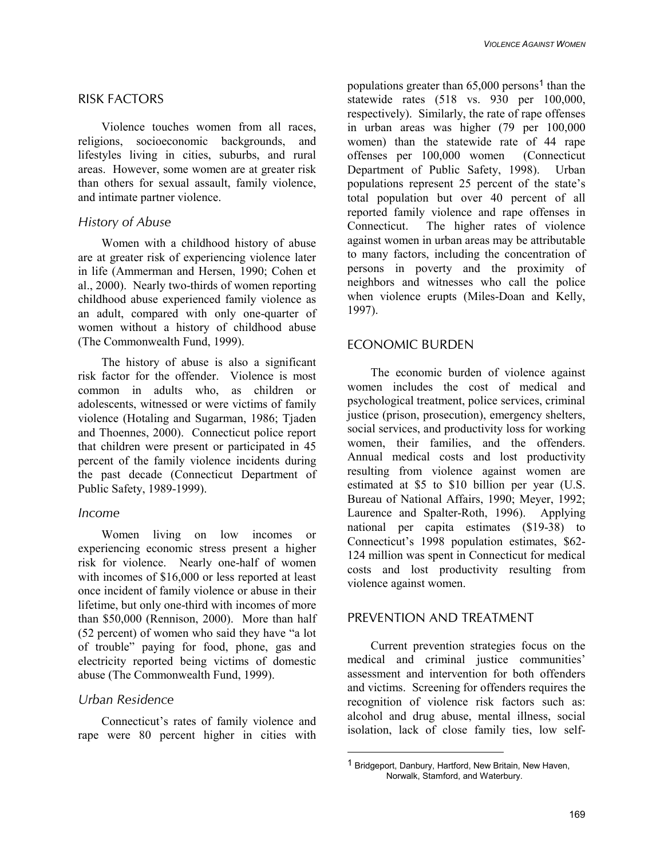# RISK FACTORS

Violence touches women from all races, religions, socioeconomic backgrounds, and lifestyles living in cities, suburbs, and rural areas. However, some women are at greater risk than others for sexual assault, family violence, and intimate partner violence.

# *History of Abuse*

Women with a childhood history of abuse are at greater risk of experiencing violence later in life (Ammerman and Hersen, 1990; Cohen et al., 2000). Nearly two-thirds of women reporting childhood abuse experienced family violence as an adult, compared with only one-quarter of women without a history of childhood abuse (The Commonwealth Fund, 1999).

The history of abuse is also a significant risk factor for the offender. Violence is most common in adults who, as children or adolescents, witnessed or were victims of family violence (Hotaling and Sugarman, 1986; Tjaden and Thoennes, 2000). Connecticut police report that children were present or participated in 45 percent of the family violence incidents during the past decade (Connecticut Department of Public Safety, 1989-1999).

# *Income*

Women living on low incomes or experiencing economic stress present a higher risk for violence. Nearly one-half of women with incomes of \$16,000 or less reported at least once incident of family violence or abuse in their lifetime, but only one-third with incomes of more than \$50,000 (Rennison, 2000). More than half (52 percent) of women who said they have "a lot of trouble" paying for food, phone, gas and electricity reported being victims of domestic abuse (The Commonwealth Fund, 1999).

# *Urban Residence*

Connecticut's rates of family violence and rape were 80 percent higher in cities with populations greater than  $65,000$  persons<sup>1</sup> than the statewide rates (518 vs. 930 per 100,000, respectively). Similarly, the rate of rape offenses in urban areas was higher (79 per 100,000 women) than the statewide rate of 44 rape offenses per 100,000 women (Connecticut Department of Public Safety, 1998). Urban populations represent 25 percent of the state's total population but over 40 percent of all reported family violence and rape offenses in Connecticut. The higher rates of violence against women in urban areas may be attributable to many factors, including the concentration of persons in poverty and the proximity of neighbors and witnesses who call the police when violence erupts (Miles-Doan and Kelly, 1997).

# ECONOMIC BURDEN

The economic burden of violence against women includes the cost of medical and psychological treatment, police services, criminal justice (prison, prosecution), emergency shelters, social services, and productivity loss for working women, their families, and the offenders. Annual medical costs and lost productivity resulting from violence against women are estimated at \$5 to \$10 billion per year (U.S. Bureau of National Affairs, 1990; Meyer, 1992; Laurence and Spalter-Roth, 1996). Applying national per capita estimates (\$19-38) to Connecticut's 1998 population estimates, \$62- 124 million was spent in Connecticut for medical costs and lost productivity resulting from violence against women.

# PREVENTION AND TREATMENT

Current prevention strategies focus on the medical and criminal justice communities' assessment and intervention for both offenders and victims. Screening for offenders requires the recognition of violence risk factors such as: alcohol and drug abuse, mental illness, social isolation, lack of close family ties, low self-

<sup>1</sup> Bridgeport, Danbury, Hartford, New Britain, New Haven, Norwalk, Stamford, and Waterbury.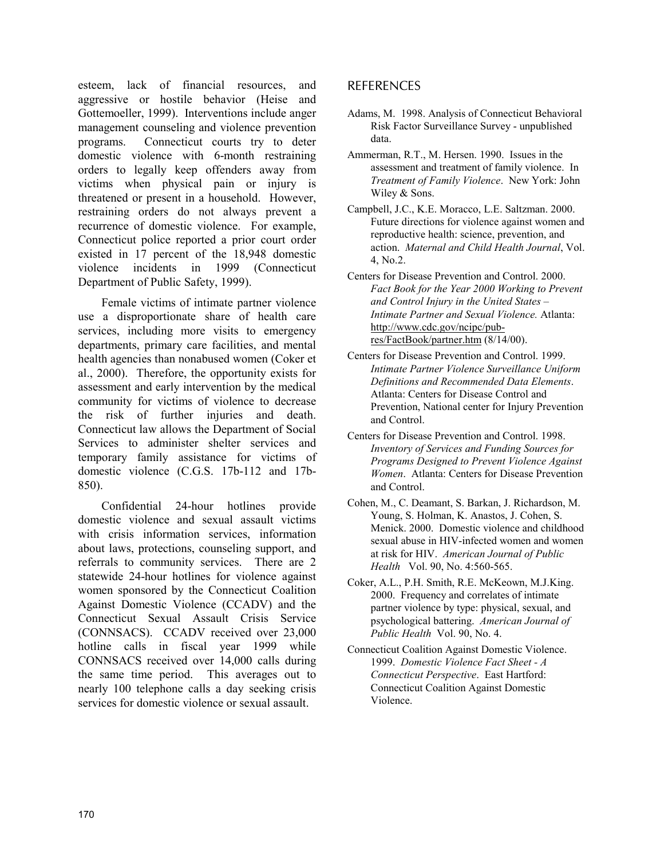esteem, lack of financial resources, and aggressive or hostile behavior (Heise and Gottemoeller, 1999). Interventions include anger management counseling and violence prevention programs. Connecticut courts try to deter domestic violence with 6-month restraining orders to legally keep offenders away from victims when physical pain or injury is threatened or present in a household. However, restraining orders do not always prevent a recurrence of domestic violence. For example, Connecticut police reported a prior court order existed in 17 percent of the 18,948 domestic violence incidents in 1999 (Connecticut Department of Public Safety, 1999).

Female victims of intimate partner violence use a disproportionate share of health care services, including more visits to emergency departments, primary care facilities, and mental health agencies than nonabused women (Coker et al., 2000). Therefore, the opportunity exists for assessment and early intervention by the medical community for victims of violence to decrease the risk of further injuries and death. Connecticut law allows the Department of Social Services to administer shelter services and temporary family assistance for victims of domestic violence (C.G.S. 17b-112 and 17b-850).

Confidential 24-hour hotlines provide domestic violence and sexual assault victims with crisis information services, information about laws, protections, counseling support, and referrals to community services. There are 2 statewide 24-hour hotlines for violence against women sponsored by the Connecticut Coalition Against Domestic Violence (CCADV) and the Connecticut Sexual Assault Crisis Service (CONNSACS). CCADV received over 23,000 hotline calls in fiscal year 1999 while CONNSACS received over 14,000 calls during the same time period. This averages out to nearly 100 telephone calls a day seeking crisis services for domestic violence or sexual assault.

# REFERENCES

- Adams, M. 1998. Analysis of Connecticut Behavioral Risk Factor Surveillance Survey - unpublished data.
- Ammerman, R.T., M. Hersen. 1990. Issues in the assessment and treatment of family violence. In *Treatment of Family Violence*. New York: John Wiley & Sons.
- Campbell, J.C., K.E. Moracco, L.E. Saltzman. 2000. Future directions for violence against women and reproductive health: science, prevention, and action. *Maternal and Child Health Journal*, Vol. 4, No.2.
- Centers for Disease Prevention and Control. 2000. *Fact Book for the Year 2000 Working to Prevent and Control Injury in the United States – Intimate Partner and Sexual Violence.* Atlanta: http://www.cdc.gov/ncipc/pubres/FactBook/partner.htm (8/14/00).
- Centers for Disease Prevention and Control. 1999. *Intimate Partner Violence Surveillance Uniform Definitions and Recommended Data Elements*. Atlanta: Centers for Disease Control and Prevention, National center for Injury Prevention and Control.
- Centers for Disease Prevention and Control. 1998. *Inventory of Services and Funding Sources for Programs Designed to Prevent Violence Against Women*. Atlanta: Centers for Disease Prevention and Control.
- Cohen, M., C. Deamant, S. Barkan, J. Richardson, M. Young, S. Holman, K. Anastos, J. Cohen, S. Menick. 2000. Domestic violence and childhood sexual abuse in HIV-infected women and women at risk for HIV. *American Journal of Public Health* Vol. 90, No. 4:560-565.
- Coker, A.L., P.H. Smith, R.E. McKeown, M.J.King. 2000. Frequency and correlates of intimate partner violence by type: physical, sexual, and psychological battering. *American Journal of Public Health* Vol. 90, No. 4.
- Connecticut Coalition Against Domestic Violence. 1999. *Domestic Violence Fact Sheet - A Connecticut Perspective*. East Hartford: Connecticut Coalition Against Domestic Violence.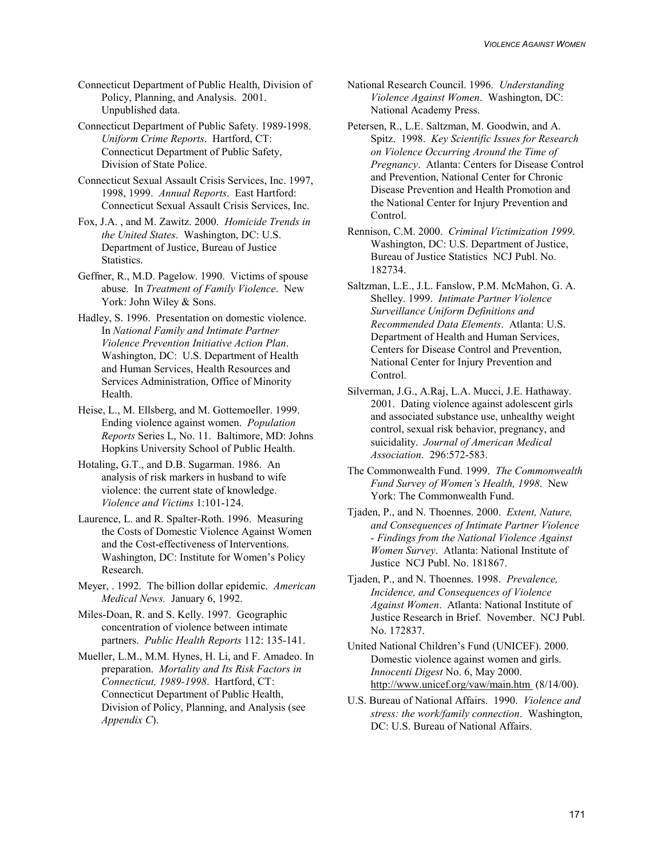Connecticut Department of Public Health, Division of Policy, Planning, and Analysis. 2001. Unpublished data.

Connecticut Department of Public Safety. 1989-1998. *Uniform Crime Reports*. Hartford, CT: Connecticut Department of Public Safety, Division of State Police.

Connecticut Sexual Assault Crisis Services, Inc. 1997, 1998, 1999. *Annual Reports*. East Hartford: Connecticut Sexual Assault Crisis Services, Inc.

Fox, J.A. , and M. Zawitz. 2000. *Homicide Trends in the United States*. Washington, DC: U.S. Department of Justice, Bureau of Justice Statistics.

Geffner, R., M.D. Pagelow. 1990. Victims of spouse abuse. In *Treatment of Family Violence*. New York: John Wiley & Sons.

Hadley, S. 1996. Presentation on domestic violence. In *National Family and Intimate Partner Violence Prevention Initiative Action Plan*. Washington, DC: U.S. Department of Health and Human Services, Health Resources and Services Administration, Office of Minority Health.

Heise, L., M. Ellsberg, and M. Gottemoeller. 1999. Ending violence against women. *Population Reports* Series L, No. 11. Baltimore, MD: Johns Hopkins University School of Public Health.

- Hotaling, G.T., and D.B. Sugarman. 1986. An analysis of risk markers in husband to wife violence: the current state of knowledge. *Violence and Victims* 1:101-124.
- Laurence, L. and R. Spalter-Roth. 1996. Measuring the Costs of Domestic Violence Against Women and the Cost-effectiveness of Interventions. Washington, DC: Institute for Women's Policy Research.
- Meyer, . 1992. The billion dollar epidemic. *American Medical News.* January 6, 1992.

Miles-Doan, R. and S. Kelly. 1997. Geographic concentration of violence between intimate partners. *Public Health Reports* 112: 135-141.

Mueller, L.M., M.M. Hynes, H. Li, and F. Amadeo. In preparation. *Mortality and Its Risk Factors in Connecticut, 1989-1998*. Hartford, CT: Connecticut Department of Public Health, Division of Policy, Planning, and Analysis (see *Appendix C*).

- National Research Council. 1996. *Understanding Violence Against Women*. Washington, DC: National Academy Press.
- Petersen, R., L.E. Saltzman, M. Goodwin, and A. Spitz. 1998. *Key Scientific Issues for Research on Violence Occurring Around the Time of Pregnancy*. Atlanta: Centers for Disease Control and Prevention, National Center for Chronic Disease Prevention and Health Promotion and the National Center for Injury Prevention and Control.
- Rennison, C.M. 2000. *Criminal Victimization 1999*. Washington, DC: U.S. Department of Justice, Bureau of Justice Statistics NCJ Publ. No. 182734.
- Saltzman, L.E., J.L. Fanslow, P.M. McMahon, G. A. Shelley. 1999. *Intimate Partner Violence Surveillance Uniform Definitions and Recommended Data Elements*. Atlanta: U.S. Department of Health and Human Services, Centers for Disease Control and Prevention, National Center for Injury Prevention and Control.
- Silverman, J.G., A.Raj, L.A. Mucci, J.E. Hathaway. 2001. Dating violence against adolescent girls and associated substance use, unhealthy weight control, sexual risk behavior, pregnancy, and suicidality. *Journal of American Medical Association*. 296:572-583.
- The Commonwealth Fund. 1999. *The Commonwealth Fund Survey of Women's Health, 1998*. New York: The Commonwealth Fund.
- Tjaden, P., and N. Thoennes. 2000. *Extent, Nature, and Consequences of Intimate Partner Violence - Findings from the National Violence Against Women Survey*. Atlanta: National Institute of Justice NCJ Publ. No. 181867.
- Tjaden, P., and N. Thoennes. 1998. *Prevalence, Incidence, and Consequences of Violence Against Women*. Atlanta: National Institute of Justice Research in Brief. November. NCJ Publ. No. 172837.
- United National Children's Fund (UNICEF). 2000. Domestic violence against women and girls. *Innocenti Digest* No. 6, May 2000. http://www.unicef.org/vaw/main.htm (8/14/00).
- U.S. Bureau of National Affairs. 1990. *Violence and stress: the work/family connection*. Washington, DC: U.S. Bureau of National Affairs.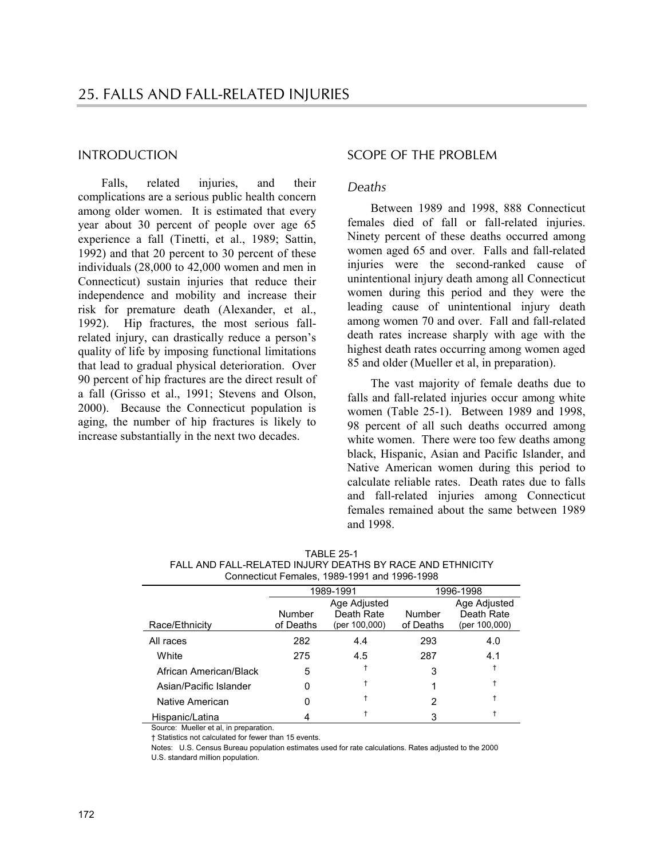# INTRODUCTION

Falls, related injuries, and their complications are a serious public health concern among older women. It is estimated that every year about 30 percent of people over age 65 experience a fall (Tinetti, et al., 1989; Sattin, 1992) and that 20 percent to 30 percent of these individuals (28,000 to 42,000 women and men in Connecticut) sustain injuries that reduce their independence and mobility and increase their risk for premature death (Alexander, et al., 1992). Hip fractures, the most serious fallrelated injury, can drastically reduce a person's quality of life by imposing functional limitations that lead to gradual physical deterioration. Over 90 percent of hip fractures are the direct result of a fall (Grisso et al., 1991; Stevens and Olson, 2000). Because the Connecticut population is aging, the number of hip fractures is likely to increase substantially in the next two decades.

# SCOPE OF THE PROBLEM

# *Deaths*

Between 1989 and 1998, 888 Connecticut females died of fall or fall-related injuries. Ninety percent of these deaths occurred among women aged 65 and over. Falls and fall-related injuries were the second-ranked cause of unintentional injury death among all Connecticut women during this period and they were the leading cause of unintentional injury death among women 70 and over. Fall and fall-related death rates increase sharply with age with the highest death rates occurring among women aged 85 and older (Mueller et al, in preparation).

The vast majority of female deaths due to falls and fall-related injuries occur among white women (Table 25-1). Between 1989 and 1998, 98 percent of all such deaths occurred among white women. There were too few deaths among black, Hispanic, Asian and Pacific Islander, and Native American women during this period to calculate reliable rates. Death rates due to falls and fall-related injuries among Connecticut females remained about the same between 1989 and 1998.

|                        | <b>COMMODIAL CHIGHOD, TOOD TOOT GITG TOOD TOOD</b> |               |              |               |  |  |  |
|------------------------|----------------------------------------------------|---------------|--------------|---------------|--|--|--|
|                        |                                                    | 1989-1991     | 1996-1998    |               |  |  |  |
|                        |                                                    | Age Adjusted  | Age Adjusted |               |  |  |  |
|                        | Number                                             | Death Rate    | Number       | Death Rate    |  |  |  |
| Race/Ethnicity         | of Deaths                                          | (per 100,000) | of Deaths    | (per 100,000) |  |  |  |
| All races              | 282                                                | 4.4           | 293          | 4.0           |  |  |  |
| White                  | 275                                                | 4.5           | 287          | 4.1           |  |  |  |
| African American/Black | 5                                                  |               | 3            |               |  |  |  |
| Asian/Pacific Islander | 0                                                  |               |              |               |  |  |  |
| Native American        | 0                                                  |               | 2            |               |  |  |  |
| Hispanic/Latina        |                                                    |               | 3            |               |  |  |  |

TABLE 25-1 FALL AND FALL-RELATED INJURY DEATHS BY RACE AND ETHNICITY Connecticut Females, 1989-1991 and 1996-1998

Source: Mueller et al, in preparation.

† Statistics not calculated for fewer than 15 events.

Notes: U.S. Census Bureau population estimates used for rate calculations. Rates adjusted to the 2000

U.S. standard million population.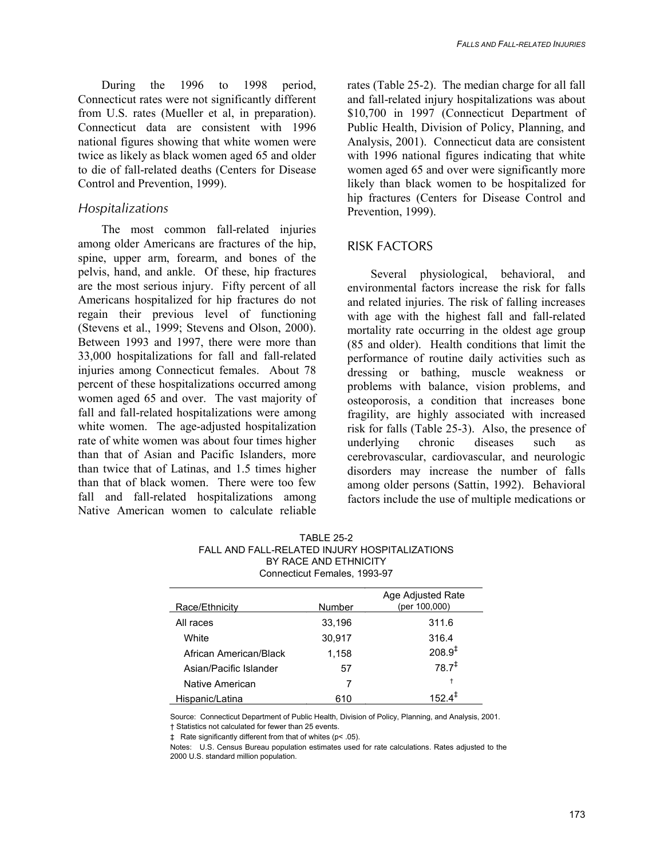During the 1996 to 1998 period. Connecticut rates were not significantly different from U.S. rates (Mueller et al, in preparation). Connecticut data are consistent with 1996 national figures showing that white women were twice as likely as black women aged 65 and older to die of fall-related deaths (Centers for Disease Control and Prevention, 1999).

# *Hospitalizations*

The most common fall-related injuries among older Americans are fractures of the hip, spine, upper arm, forearm, and bones of the pelvis, hand, and ankle. Of these, hip fractures are the most serious injury. Fifty percent of all Americans hospitalized for hip fractures do not regain their previous level of functioning (Stevens et al., 1999; Stevens and Olson, 2000). Between 1993 and 1997, there were more than 33,000 hospitalizations for fall and fall-related injuries among Connecticut females. About 78 percent of these hospitalizations occurred among women aged 65 and over. The vast majority of fall and fall-related hospitalizations were among white women. The age-adjusted hospitalization rate of white women was about four times higher than that of Asian and Pacific Islanders, more than twice that of Latinas, and 1.5 times higher than that of black women. There were too few fall and fall-related hospitalizations among Native American women to calculate reliable

rates (Table 25-2). The median charge for all fall and fall-related injury hospitalizations was about \$10,700 in 1997 (Connecticut Department of Public Health, Division of Policy, Planning, and Analysis, 2001). Connecticut data are consistent with 1996 national figures indicating that white women aged 65 and over were significantly more likely than black women to be hospitalized for hip fractures (Centers for Disease Control and Prevention, 1999).

# RISK FACTORS

Several physiological, behavioral, and environmental factors increase the risk for falls and related injuries. The risk of falling increases with age with the highest fall and fall-related mortality rate occurring in the oldest age group (85 and older). Health conditions that limit the performance of routine daily activities such as dressing or bathing, muscle weakness or problems with balance, vision problems, and osteoporosis, a condition that increases bone fragility, are highly associated with increased risk for falls (Table 25-3). Also, the presence of underlying chronic diseases such as cerebrovascular, cardiovascular, and neurologic disorders may increase the number of falls among older persons (Sattin, 1992). Behavioral factors include the use of multiple medications or

| Connecticut Females, 1993-97 |        |                                    |  |  |
|------------------------------|--------|------------------------------------|--|--|
| Race/Ethnicity               | Number | Age Adjusted Rate<br>(per 100,000) |  |  |
| All races                    | 33,196 | 311.6                              |  |  |
| White                        | 30,917 | 316.4                              |  |  |
| African American/Black       | 1,158  | $208.9^{4}$                        |  |  |
| Asian/Pacific Islander       | 57     | $78.7^{\ddagger}$                  |  |  |
| Native American              | 7      | t                                  |  |  |
| Hispanic/Latina              | 610    | 152 $4^+$                          |  |  |

TABLE 25-2 FALL AND FALL-RELATED INJURY HOSPITALIZATIONS BY RACE AND ETHNICITY

Source: Connecticut Department of Public Health, Division of Policy, Planning, and Analysis, 2001.

† Statistics not calculated for fewer than 25 events.

‡ Rate significantly different from that of whites (p< .05).

Notes: U.S. Census Bureau population estimates used for rate calculations. Rates adjusted to the 2000 U.S. standard million population.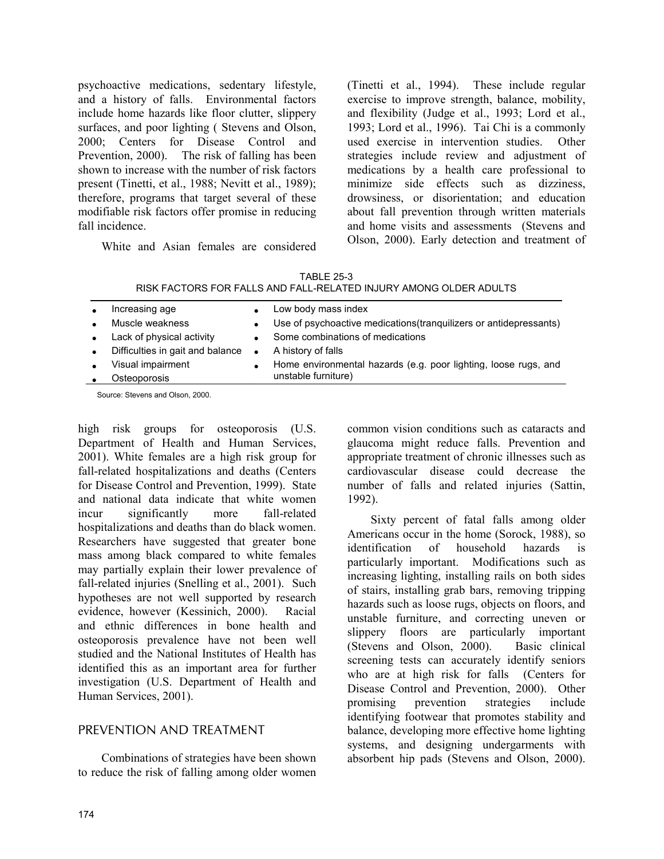psychoactive medications, sedentary lifestyle, and a history of falls. Environmental factors include home hazards like floor clutter, slippery surfaces, and poor lighting ( Stevens and Olson, 2000; Centers for Disease Control and Prevention, 2000). The risk of falling has been shown to increase with the number of risk factors present (Tinetti, et al., 1988; Nevitt et al., 1989); therefore, programs that target several of these modifiable risk factors offer promise in reducing fall incidence.

White and Asian females are considered

(Tinetti et al., 1994). These include regular exercise to improve strength, balance, mobility, and flexibility (Judge et al., 1993; Lord et al., 1993; Lord et al., 1996). Tai Chi is a commonly used exercise in intervention studies. Other strategies include review and adjustment of medications by a health care professional to minimize side effects such as dizziness, drowsiness, or disorientation; and education about fall prevention through written materials and home visits and assessments (Stevens and Olson, 2000). Early detection and treatment of

| <b>TABLE 25-3</b>                                                 |
|-------------------------------------------------------------------|
| RISK FACTORS FOR FALLS AND FALL-RELATED INJURY AMONG OLDER ADULTS |

| Increasing age                   |           | Low body mass index                                                |
|----------------------------------|-----------|--------------------------------------------------------------------|
| Muscle weakness                  | $\bullet$ | Use of psychoactive medications (tranquilizers or antidepressants) |
| Lack of physical activity        |           | Some combinations of medications                                   |
| Difficulties in gait and balance | $\bullet$ | A history of falls                                                 |
| Visual impairment                |           | Home environmental hazards (e.g. poor lighting, loose rugs, and    |
| Osteoporosis                     |           | unstable furniture)                                                |
|                                  |           |                                                                    |

Source: Stevens and Olson, 2000.

high risk groups for osteoporosis (U.S. Department of Health and Human Services, 2001). White females are a high risk group for fall-related hospitalizations and deaths (Centers for Disease Control and Prevention, 1999). State and national data indicate that white women incur significantly more fall-related hospitalizations and deaths than do black women. Researchers have suggested that greater bone mass among black compared to white females may partially explain their lower prevalence of fall-related injuries (Snelling et al., 2001). Such hypotheses are not well supported by research evidence, however (Kessinich, 2000). Racial and ethnic differences in bone health and osteoporosis prevalence have not been well studied and the National Institutes of Health has identified this as an important area for further investigation (U.S. Department of Health and Human Services, 2001).

# PREVENTION AND TREATMENT

Combinations of strategies have been shown to reduce the risk of falling among older women common vision conditions such as cataracts and glaucoma might reduce falls. Prevention and appropriate treatment of chronic illnesses such as cardiovascular disease could decrease the number of falls and related injuries (Sattin, 1992).

Sixty percent of fatal falls among older Americans occur in the home (Sorock, 1988), so identification of household hazards is particularly important. Modifications such as increasing lighting, installing rails on both sides of stairs, installing grab bars, removing tripping hazards such as loose rugs, objects on floors, and unstable furniture, and correcting uneven or slippery floors are particularly important (Stevens and Olson, 2000). Basic clinical screening tests can accurately identify seniors who are at high risk for falls (Centers for Disease Control and Prevention, 2000). Other promising prevention strategies include identifying footwear that promotes stability and balance, developing more effective home lighting systems, and designing undergarments with absorbent hip pads (Stevens and Olson, 2000).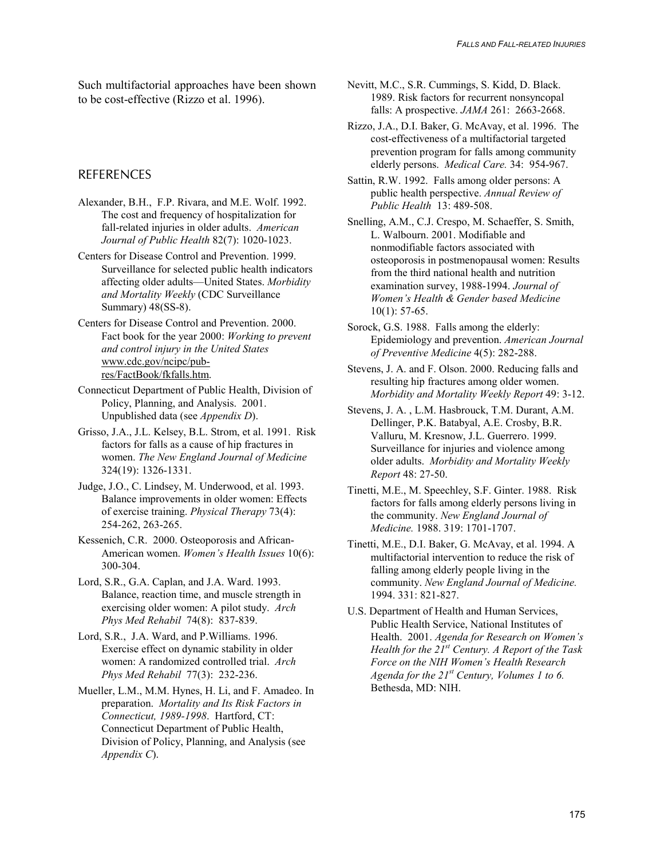Such multifactorial approaches have been shown to be cost-effective (Rizzo et al. 1996).

# **REFERENCES**

- Alexander, B.H., F.P. Rivara, and M.E. Wolf. 1992. The cost and frequency of hospitalization for fall-related injuries in older adults. *American Journal of Public Health* 82(7): 1020-1023.
- Centers for Disease Control and Prevention. 1999. Surveillance for selected public health indicators affecting older adults—United States. *Morbidity and Mortality Weekly* (CDC Surveillance Summary) 48(SS-8).
- Centers for Disease Control and Prevention. 2000. Fact book for the year 2000: *Working to prevent and control injury in the United States* www.cdc.gov/ncipc/pubres/FactBook/fkfalls.htm.
- Connecticut Department of Public Health, Division of Policy, Planning, and Analysis. 2001. Unpublished data (see *Appendix D*).
- Grisso, J.A., J.L. Kelsey, B.L. Strom, et al. 1991. Risk factors for falls as a cause of hip fractures in women. *The New England Journal of Medicine* 324(19): 1326-1331.
- Judge, J.O., C. Lindsey, M. Underwood, et al. 1993. Balance improvements in older women: Effects of exercise training. *Physical Therapy* 73(4): 254-262, 263-265.
- Kessenich, C.R. 2000. Osteoporosis and African-American women. *Women's Health Issues* 10(6): 300-304.
- Lord, S.R., G.A. Caplan, and J.A. Ward. 1993. Balance, reaction time, and muscle strength in exercising older women: A pilot study. *Arch Phys Med Rehabil* 74(8): 837-839.
- Lord, S.R., J.A. Ward, and P.Williams. 1996. Exercise effect on dynamic stability in older women: A randomized controlled trial. *Arch Phys Med Rehabil* 77(3): 232-236.
- Mueller, L.M., M.M. Hynes, H. Li, and F. Amadeo. In preparation. *Mortality and Its Risk Factors in Connecticut, 1989-1998*. Hartford, CT: Connecticut Department of Public Health, Division of Policy, Planning, and Analysis (see *Appendix C*).
- Nevitt, M.C., S.R. Cummings, S. Kidd, D. Black. 1989. Risk factors for recurrent nonsyncopal falls: A prospective. *JAMA* 261: 2663-2668.
- Rizzo, J.A., D.I. Baker, G. McAvay, et al. 1996. The cost-effectiveness of a multifactorial targeted prevention program for falls among community elderly persons. *Medical Care.* 34: 954-967.
- Sattin, R.W. 1992. Falls among older persons: A public health perspective. *Annual Review of Public Health* 13: 489-508.
- Snelling, A.M., C.J. Crespo, M. Schaeffer, S. Smith, L. Walbourn. 2001. Modifiable and nonmodifiable factors associated with osteoporosis in postmenopausal women: Results from the third national health and nutrition examination survey, 1988-1994. *Journal of Women's Health & Gender based Medicine*  $10(1)$ : 57-65.
- Sorock, G.S. 1988. Falls among the elderly: Epidemiology and prevention. *American Journal of Preventive Medicine* 4(5): 282-288.
- Stevens, J. A. and F. Olson. 2000. Reducing falls and resulting hip fractures among older women. *Morbidity and Mortality Weekly Report* 49: 3-12.
- Stevens, J. A. , L.M. Hasbrouck, T.M. Durant, A.M. Dellinger, P.K. Batabyal, A.E. Crosby, B.R. Valluru, M. Kresnow, J.L. Guerrero. 1999. Surveillance for injuries and violence among older adults. *Morbidity and Mortality Weekly Report* 48: 27-50.
- Tinetti, M.E., M. Speechley, S.F. Ginter. 1988. Risk factors for falls among elderly persons living in the community. *New England Journal of Medicine.* 1988. 319: 1701-1707.
- Tinetti, M.E., D.I. Baker, G. McAvay, et al. 1994. A multifactorial intervention to reduce the risk of falling among elderly people living in the community. *New England Journal of Medicine.* 1994. 331: 821-827.
- U.S. Department of Health and Human Services, Public Health Service, National Institutes of Health. 2001. *Agenda for Research on Women's Health for the 21st Century. A Report of the Task Force on the NIH Women's Health Research Agenda for the 21st Century, Volumes 1 to 6.* Bethesda, MD: NIH.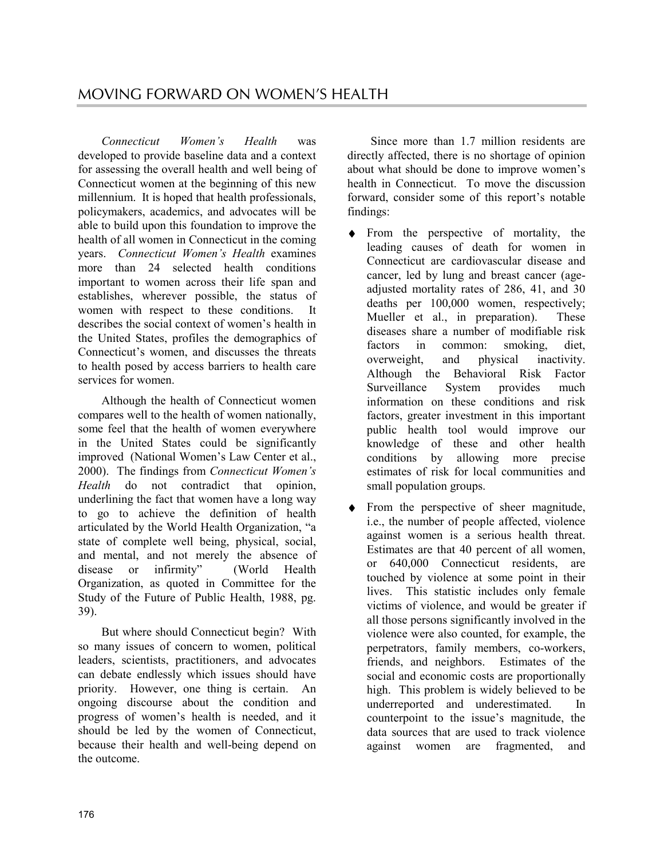*Connecticut Women's Health* was developed to provide baseline data and a context for assessing the overall health and well being of Connecticut women at the beginning of this new millennium. It is hoped that health professionals, policymakers, academics, and advocates will be able to build upon this foundation to improve the health of all women in Connecticut in the coming years. *Connecticut Women's Health* examines more than 24 selected health conditions important to women across their life span and establishes, wherever possible, the status of women with respect to these conditions. It describes the social context of women's health in the United States, profiles the demographics of Connecticut's women, and discusses the threats to health posed by access barriers to health care services for women.

Although the health of Connecticut women compares well to the health of women nationally, some feel that the health of women everywhere in the United States could be significantly improved (National Women's Law Center et al., 2000). The findings from *Connecticut Women's Health* do not contradict that opinion, underlining the fact that women have a long way to go to achieve the definition of health articulated by the World Health Organization, "a state of complete well being, physical, social, and mental, and not merely the absence of disease or infirmity" (World Health Organization, as quoted in Committee for the Study of the Future of Public Health, 1988, pg. 39).

But where should Connecticut begin? With so many issues of concern to women, political leaders, scientists, practitioners, and advocates can debate endlessly which issues should have priority. However, one thing is certain. An ongoing discourse about the condition and progress of women's health is needed, and it should be led by the women of Connecticut, because their health and well-being depend on the outcome.

Since more than 1.7 million residents are directly affected, there is no shortage of opinion about what should be done to improve women's health in Connecticut. To move the discussion forward, consider some of this report's notable findings:

- ♦ From the perspective of mortality, the leading causes of death for women in Connecticut are cardiovascular disease and cancer, led by lung and breast cancer (ageadjusted mortality rates of 286, 41, and 30 deaths per 100,000 women, respectively; Mueller et al., in preparation). These diseases share a number of modifiable risk factors in common: smoking, diet, overweight, and physical inactivity. Although the Behavioral Risk Factor Surveillance System provides much information on these conditions and risk factors, greater investment in this important public health tool would improve our knowledge of these and other health conditions by allowing more precise estimates of risk for local communities and small population groups.
- ♦ From the perspective of sheer magnitude, i.e., the number of people affected, violence against women is a serious health threat. Estimates are that 40 percent of all women, or 640,000 Connecticut residents, are touched by violence at some point in their lives. This statistic includes only female victims of violence, and would be greater if all those persons significantly involved in the violence were also counted, for example, the perpetrators, family members, co-workers, friends, and neighbors. Estimates of the social and economic costs are proportionally high. This problem is widely believed to be underreported and underestimated. In counterpoint to the issue's magnitude, the data sources that are used to track violence against women are fragmented, and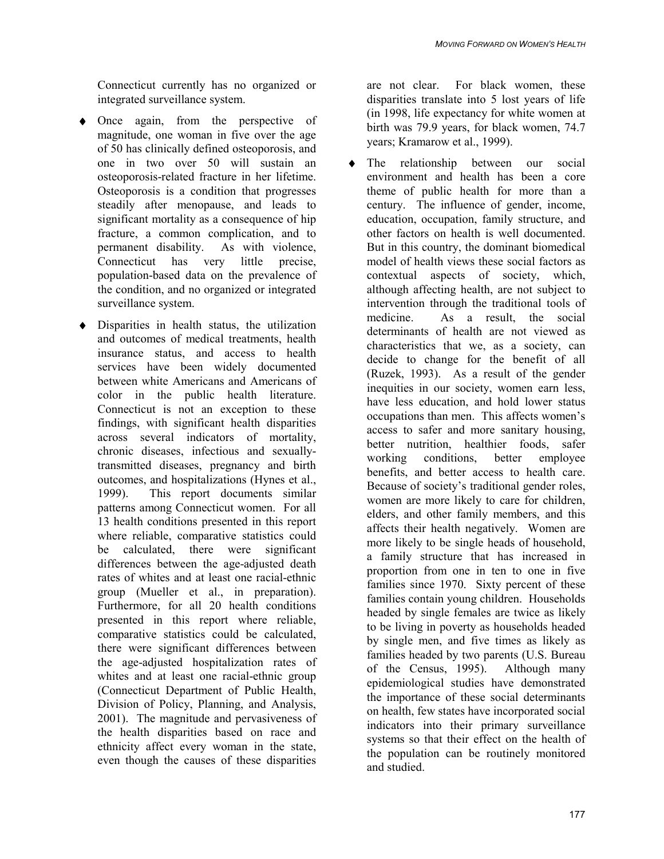Connecticut currently has no organized or integrated surveillance system.

- ♦ Once again, from the perspective of magnitude, one woman in five over the age of 50 has clinically defined osteoporosis, and one in two over 50 will sustain an osteoporosis-related fracture in her lifetime. Osteoporosis is a condition that progresses steadily after menopause, and leads to significant mortality as a consequence of hip fracture, a common complication, and to permanent disability. As with violence, Connecticut has very little precise, population-based data on the prevalence of the condition, and no organized or integrated surveillance system.
- ♦ Disparities in health status, the utilization and outcomes of medical treatments, health insurance status, and access to health services have been widely documented between white Americans and Americans of color in the public health literature. Connecticut is not an exception to these findings, with significant health disparities across several indicators of mortality, chronic diseases, infectious and sexuallytransmitted diseases, pregnancy and birth outcomes, and hospitalizations (Hynes et al., 1999). This report documents similar patterns among Connecticut women. For all 13 health conditions presented in this report where reliable, comparative statistics could be calculated, there were significant differences between the age-adjusted death rates of whites and at least one racial-ethnic group (Mueller et al., in preparation). Furthermore, for all 20 health conditions presented in this report where reliable, comparative statistics could be calculated, there were significant differences between the age-adjusted hospitalization rates of whites and at least one racial-ethnic group (Connecticut Department of Public Health, Division of Policy, Planning, and Analysis, 2001). The magnitude and pervasiveness of the health disparities based on race and ethnicity affect every woman in the state, even though the causes of these disparities

are not clear. For black women, these disparities translate into 5 lost years of life (in 1998, life expectancy for white women at birth was 79.9 years, for black women, 74.7 years; Kramarow et al., 1999).

♦ The relationship between our social environment and health has been a core theme of public health for more than a century. The influence of gender, income, education, occupation, family structure, and other factors on health is well documented. But in this country, the dominant biomedical model of health views these social factors as contextual aspects of society, which, although affecting health, are not subject to intervention through the traditional tools of medicine. As a result, the social determinants of health are not viewed as characteristics that we, as a society, can decide to change for the benefit of all (Ruzek, 1993). As a result of the gender inequities in our society, women earn less, have less education, and hold lower status occupations than men. This affects women's access to safer and more sanitary housing, better nutrition, healthier foods, safer working conditions, better employee benefits, and better access to health care. Because of society's traditional gender roles, women are more likely to care for children, elders, and other family members, and this affects their health negatively. Women are more likely to be single heads of household, a family structure that has increased in proportion from one in ten to one in five families since 1970. Sixty percent of these families contain young children. Households headed by single females are twice as likely to be living in poverty as households headed by single men, and five times as likely as families headed by two parents (U.S. Bureau of the Census, 1995). Although many epidemiological studies have demonstrated the importance of these social determinants on health, few states have incorporated social indicators into their primary surveillance systems so that their effect on the health of the population can be routinely monitored and studied.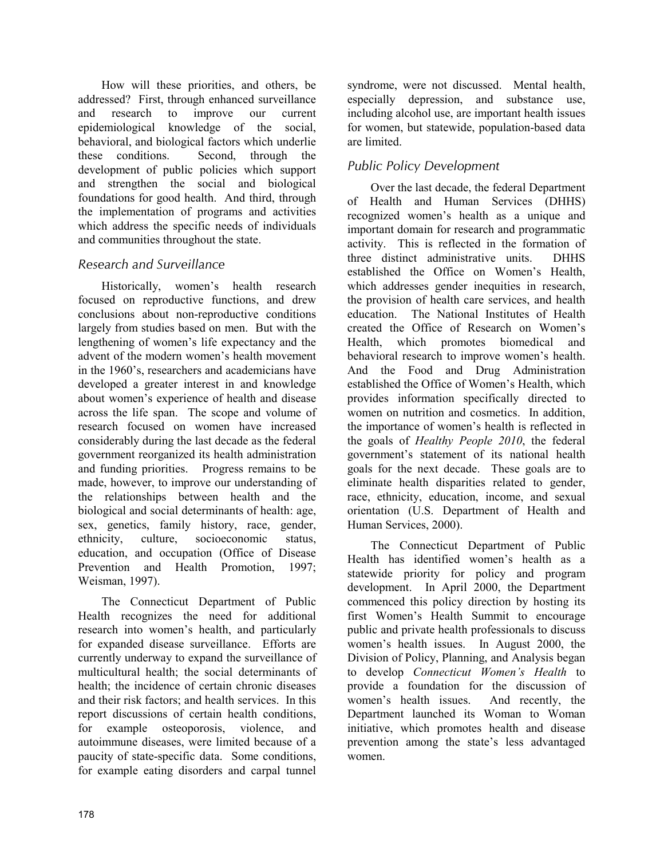How will these priorities, and others, be addressed? First, through enhanced surveillance and research to improve our current epidemiological knowledge of the social, behavioral, and biological factors which underlie these conditions. Second, through the development of public policies which support and strengthen the social and biological foundations for good health. And third, through the implementation of programs and activities which address the specific needs of individuals and communities throughout the state.

# *Research and Surveillance*

Historically, women's health research focused on reproductive functions, and drew conclusions about non-reproductive conditions largely from studies based on men. But with the lengthening of women's life expectancy and the advent of the modern women's health movement in the 1960's, researchers and academicians have developed a greater interest in and knowledge about women's experience of health and disease across the life span. The scope and volume of research focused on women have increased considerably during the last decade as the federal government reorganized its health administration and funding priorities. Progress remains to be made, however, to improve our understanding of the relationships between health and the biological and social determinants of health: age, sex, genetics, family history, race, gender, ethnicity, culture, socioeconomic status, education, and occupation (Office of Disease Prevention and Health Promotion, 1997; Weisman, 1997).

The Connecticut Department of Public Health recognizes the need for additional research into women's health, and particularly for expanded disease surveillance. Efforts are currently underway to expand the surveillance of multicultural health; the social determinants of health; the incidence of certain chronic diseases and their risk factors; and health services. In this report discussions of certain health conditions, for example osteoporosis, violence, and autoimmune diseases, were limited because of a paucity of state-specific data. Some conditions, for example eating disorders and carpal tunnel

syndrome, were not discussed. Mental health, especially depression, and substance use, including alcohol use, are important health issues for women, but statewide, population-based data are limited.

# *Public Policy Development*

Over the last decade, the federal Department of Health and Human Services (DHHS) recognized women's health as a unique and important domain for research and programmatic activity. This is reflected in the formation of three distinct administrative units. DHHS established the Office on Women's Health, which addresses gender inequities in research, the provision of health care services, and health education. The National Institutes of Health created the Office of Research on Women's Health, which promotes biomedical and behavioral research to improve women's health. And the Food and Drug Administration established the Office of Women's Health, which provides information specifically directed to women on nutrition and cosmetics. In addition, the importance of women's health is reflected in the goals of *Healthy People 2010*, the federal government's statement of its national health goals for the next decade. These goals are to eliminate health disparities related to gender, race, ethnicity, education, income, and sexual orientation (U.S. Department of Health and Human Services, 2000).

The Connecticut Department of Public Health has identified women's health as a statewide priority for policy and program development. In April 2000, the Department commenced this policy direction by hosting its first Women's Health Summit to encourage public and private health professionals to discuss women's health issues. In August 2000, the Division of Policy, Planning, and Analysis began to develop *Connecticut Women's Health* to provide a foundation for the discussion of women's health issues. And recently, the Department launched its Woman to Woman initiative, which promotes health and disease prevention among the state's less advantaged women.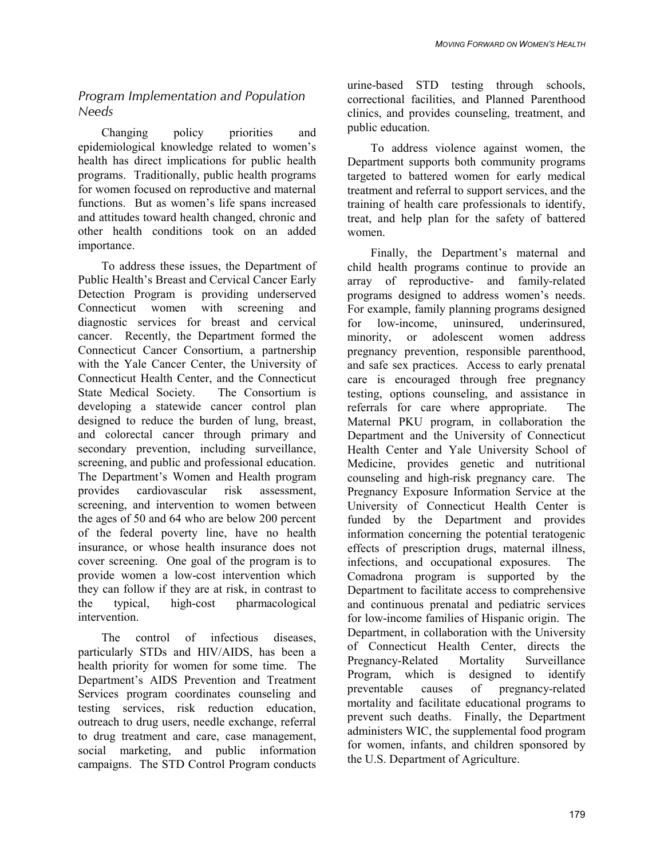# *Program Implementation and Population Needs*

Changing policy priorities and epidemiological knowledge related to women's health has direct implications for public health programs. Traditionally, public health programs for women focused on reproductive and maternal functions. But as women's life spans increased and attitudes toward health changed, chronic and other health conditions took on an added importance.

To address these issues, the Department of Public Health's Breast and Cervical Cancer Early Detection Program is providing underserved Connecticut women with screening and diagnostic services for breast and cervical cancer. Recently, the Department formed the Connecticut Cancer Consortium, a partnership with the Yale Cancer Center, the University of Connecticut Health Center, and the Connecticut State Medical Society. The Consortium is developing a statewide cancer control plan designed to reduce the burden of lung, breast, and colorectal cancer through primary and secondary prevention, including surveillance, screening, and public and professional education. The Department's Women and Health program provides cardiovascular risk assessment, screening, and intervention to women between the ages of 50 and 64 who are below 200 percent of the federal poverty line, have no health insurance, or whose health insurance does not cover screening. One goal of the program is to provide women a low-cost intervention which they can follow if they are at risk, in contrast to the typical, high-cost pharmacological intervention.

The control of infectious diseases, particularly STDs and HIV/AIDS, has been a health priority for women for some time. The Department's AIDS Prevention and Treatment Services program coordinates counseling and testing services, risk reduction education, outreach to drug users, needle exchange, referral to drug treatment and care, case management, social marketing, and public information campaigns. The STD Control Program conducts

urine-based STD testing through schools, correctional facilities, and Planned Parenthood clinics, and provides counseling, treatment, and public education.

To address violence against women, the Department supports both community programs targeted to battered women for early medical treatment and referral to support services, and the training of health care professionals to identify, treat, and help plan for the safety of battered women.

Finally, the Department's maternal and child health programs continue to provide an array of reproductive- and family-related programs designed to address women's needs. For example, family planning programs designed for low-income, uninsured, underinsured, minority, or adolescent women address pregnancy prevention, responsible parenthood, and safe sex practices. Access to early prenatal care is encouraged through free pregnancy testing, options counseling, and assistance in referrals for care where appropriate. The Maternal PKU program, in collaboration the Department and the University of Connecticut Health Center and Yale University School of Medicine, provides genetic and nutritional counseling and high-risk pregnancy care. The Pregnancy Exposure Information Service at the University of Connecticut Health Center is funded by the Department and provides information concerning the potential teratogenic effects of prescription drugs, maternal illness, infections, and occupational exposures. The Comadrona program is supported by the Department to facilitate access to comprehensive and continuous prenatal and pediatric services for low-income families of Hispanic origin. The Department, in collaboration with the University of Connecticut Health Center, directs the Pregnancy-Related Mortality Surveillance Program, which is designed to identify preventable causes of pregnancy-related mortality and facilitate educational programs to prevent such deaths. Finally, the Department administers WIC, the supplemental food program for women, infants, and children sponsored by the U.S. Department of Agriculture.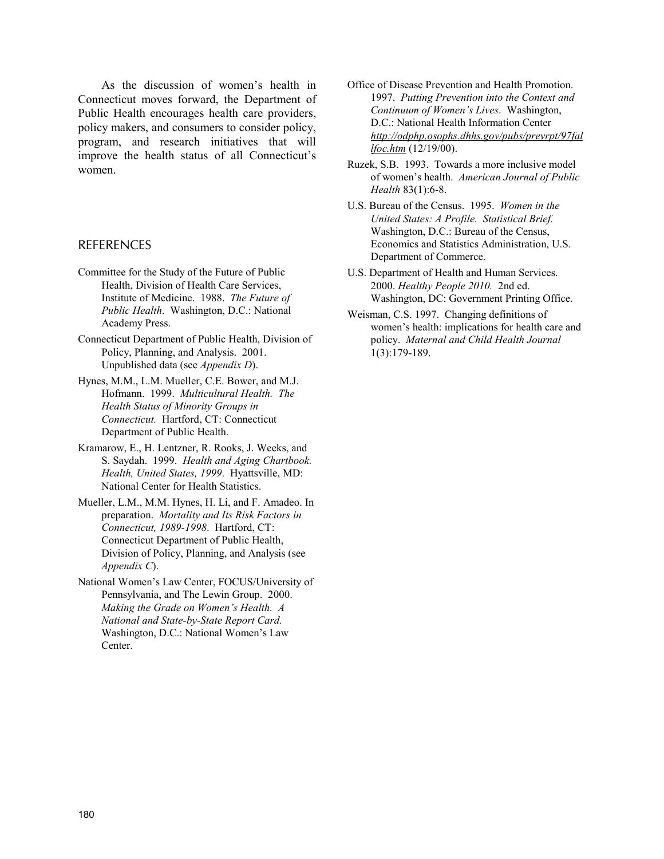As the discussion of women's health in Connecticut moves forward, the Department of Public Health encourages health care providers, policy makers, and consumers to consider policy, program, and research initiatives that will improve the health status of all Connecticut's women.

#### REFERENCES

- Committee for the Study of the Future of Public Health, Division of Health Care Services, Institute of Medicine. 1988. *The Future of Public Health*. Washington, D.C.: National Academy Press.
- Connecticut Department of Public Health, Division of Policy, Planning, and Analysis. 2001. Unpublished data (see *Appendix D*).
- Hynes, M.M., L.M. Mueller, C.E. Bower, and M.J. Hofmann. 1999. *Multicultural Health. The Health Status of Minority Groups in Connecticut.* Hartford, CT: Connecticut Department of Public Health.
- Kramarow, E., H. Lentzner, R. Rooks, J. Weeks, and S. Saydah. 1999. *Health and Aging Chartbook. Health, United States, 1999*. Hyattsville, MD: National Center for Health Statistics.
- Mueller, L.M., M.M. Hynes, H. Li, and F. Amadeo. In preparation. *Mortality and Its Risk Factors in Connecticut, 1989-1998*. Hartford, CT: Connecticut Department of Public Health, Division of Policy, Planning, and Analysis (see *Appendix C*).
- National Women's Law Center, FOCUS/University of Pennsylvania, and The Lewin Group. 2000. *Making the Grade on Women's Health. A National and State-by-State Report Card.* Washington, D.C.: National Women's Law Center.
- Office of Disease Prevention and Health Promotion. 1997. *Putting Prevention into the Context and Continuum of Women's Lives*. Washington, D.C.: National Health Information Center *http://odphp.osophs.dhhs.gov/pubs/prevrpt/97fal lfoc.htm* (12/19/00).
- Ruzek, S.B. 1993. Towards a more inclusive model of women's health. *American Journal of Public Health* 83(1):6-8.
- U.S. Bureau of the Census. 1995. *Women in the United States: A Profile. Statistical Brief.* Washington, D.C.: Bureau of the Census, Economics and Statistics Administration, U.S. Department of Commerce.
- U.S. Department of Health and Human Services. 2000. *Healthy People 2010.* 2nd ed. Washington, DC: Government Printing Office.
- Weisman, C.S. 1997. Changing definitions of women's health: implications for health care and policy. *Maternal and Child Health Journal* 1(3):179-189.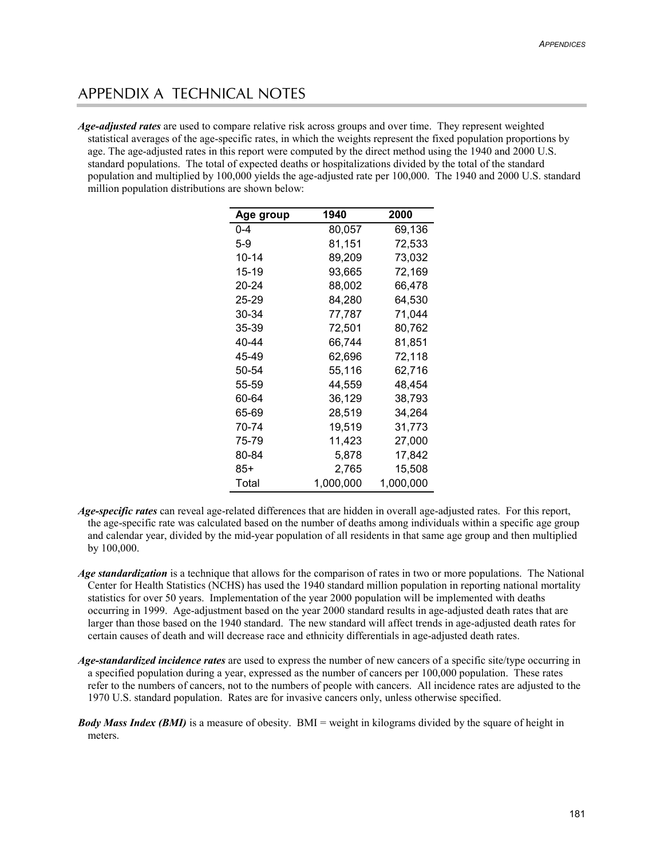# APPENDIX A TECHNICAL NOTES

*Age-adjusted rates* are used to compare relative risk across groups and over time. They represent weighted statistical averages of the age-specific rates, in which the weights represent the fixed population proportions by age. The age-adjusted rates in this report were computed by the direct method using the 1940 and 2000 U.S. standard populations. The total of expected deaths or hospitalizations divided by the total of the standard population and multiplied by 100,000 yields the age-adjusted rate per 100,000. The 1940 and 2000 U.S. standard million population distributions are shown below:

| Age group | 1940      | 2000      |
|-----------|-----------|-----------|
| $0 - 4$   | 80.057    | 69.136    |
| 5-9       | 81,151    | 72,533    |
| 10-14     | 89.209    | 73,032    |
| 15-19     | 93.665    | 72,169    |
| 20-24     | 88.002    | 66,478    |
| 25-29     | 84.280    | 64.530    |
| 30-34     | 77,787    | 71.044    |
| 35-39     | 72,501    | 80,762    |
| 40-44     | 66,744    | 81,851    |
| 45-49     | 62,696    | 72,118    |
| 50-54     | 55,116    | 62,716    |
| 55-59     | 44,559    | 48,454    |
| 60-64     | 36,129    | 38,793    |
| 65-69     | 28,519    | 34,264    |
| 70-74     | 19,519    | 31,773    |
| 75-79     | 11,423    | 27,000    |
| 80-84     | 5,878     | 17,842    |
| 85+       | 2,765     | 15,508    |
| Total     | 1,000,000 | 1,000,000 |

- *Age-specific rates* can reveal age-related differences that are hidden in overall age-adjusted rates. For this report, the age-specific rate was calculated based on the number of deaths among individuals within a specific age group and calendar year, divided by the mid-year population of all residents in that same age group and then multiplied by 100,000.
- *Age standardization* is a technique that allows for the comparison of rates in two or more populations. The National Center for Health Statistics (NCHS) has used the 1940 standard million population in reporting national mortality statistics for over 50 years. Implementation of the year 2000 population will be implemented with deaths occurring in 1999. Age-adjustment based on the year 2000 standard results in age-adjusted death rates that are larger than those based on the 1940 standard. The new standard will affect trends in age-adjusted death rates for certain causes of death and will decrease race and ethnicity differentials in age-adjusted death rates.
- *Age-standardized incidence rates* are used to express the number of new cancers of a specific site/type occurring in a specified population during a year, expressed as the number of cancers per 100,000 population. These rates refer to the numbers of cancers, not to the numbers of people with cancers. All incidence rates are adjusted to the 1970 U.S. standard population. Rates are for invasive cancers only, unless otherwise specified.
- *Body Mass Index (BMI)* is a measure of obesity. BMI = weight in kilograms divided by the square of height in meters.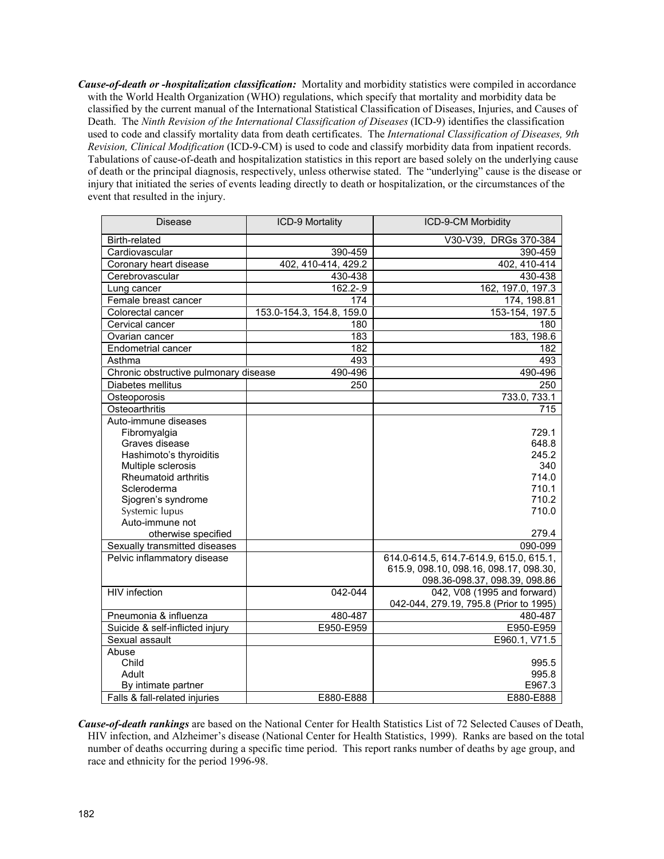*Cause-of-death or -hospitalization classification:* Mortality and morbidity statistics were compiled in accordance with the World Health Organization (WHO) regulations, which specify that mortality and morbidity data be classified by the current manual of the International Statistical Classification of Diseases, Injuries, and Causes of Death. The *Ninth Revision of the International Classification of Diseases* (ICD-9) identifies the classification used to code and classify mortality data from death certificates. The *International Classification of Diseases, 9th Revision, Clinical Modification* (ICD-9-CM) is used to code and classify morbidity data from inpatient records. Tabulations of cause-of-death and hospitalization statistics in this report are based solely on the underlying cause of death or the principal diagnosis, respectively, unless otherwise stated. The "underlying" cause is the disease or injury that initiated the series of events leading directly to death or hospitalization, or the circumstances of the event that resulted in the injury.

| <b>Disease</b>                        | ICD-9 Mortality           | ICD-9-CM Morbidity                      |  |  |
|---------------------------------------|---------------------------|-----------------------------------------|--|--|
| Birth-related                         |                           | V30-V39, DRGs 370-384                   |  |  |
| Cardiovascular                        | 390-459                   | 390-459                                 |  |  |
| Coronary heart disease                | 402, 410-414, 429.2       | 402, 410-414                            |  |  |
| Cerebrovascular                       | 430-438                   | 430-438                                 |  |  |
| Lung cancer                           | 162.2-.9                  | 162, 197.0, 197.3                       |  |  |
| Female breast cancer                  | 174                       | 174, 198.81                             |  |  |
| Colorectal cancer                     | 153.0-154.3, 154.8, 159.0 | 153-154, 197.5                          |  |  |
| Cervical cancer                       | 180                       | 180                                     |  |  |
| Ovarian cancer                        | 183                       | 183, 198.6                              |  |  |
| <b>Endometrial cancer</b>             | 182                       | 182                                     |  |  |
| Asthma                                | 493                       | 493                                     |  |  |
| Chronic obstructive pulmonary disease | 490-496                   | 490-496                                 |  |  |
| Diabetes mellitus                     | 250                       | 250                                     |  |  |
| Osteoporosis                          |                           | 733.0, 733.1                            |  |  |
| Osteoarthritis                        |                           | 715                                     |  |  |
| Auto-immune diseases                  |                           |                                         |  |  |
| Fibromyalgia                          |                           | 729.1                                   |  |  |
| Graves disease                        |                           | 648.8                                   |  |  |
| Hashimoto's thyroiditis               |                           | 245.2                                   |  |  |
| Multiple sclerosis                    |                           | 340                                     |  |  |
| Rheumatoid arthritis                  |                           | 714.0                                   |  |  |
| Scleroderma                           |                           | 710.1                                   |  |  |
| Sjogren's syndrome                    |                           | 710.2                                   |  |  |
| Systemic lupus                        |                           | 710.0                                   |  |  |
| Auto-immune not                       |                           |                                         |  |  |
| otherwise specified                   |                           | 279.4                                   |  |  |
| Sexually transmitted diseases         |                           | 090-099                                 |  |  |
| Pelvic inflammatory disease           |                           | 614.0-614.5, 614.7-614.9, 615.0, 615.1, |  |  |
|                                       |                           | 615.9, 098.10, 098.16, 098.17, 098.30,  |  |  |
|                                       |                           | 098.36-098.37, 098.39, 098.86           |  |  |
| <b>HIV</b> infection                  | 042-044                   | 042, V08 (1995 and forward)             |  |  |
|                                       |                           | 042-044, 279.19, 795.8 (Prior to 1995)  |  |  |
| Pneumonia & influenza                 | 480-487                   | 480-487                                 |  |  |
| Suicide & self-inflicted injury       | E950-E959                 | E950-E959                               |  |  |
| Sexual assault                        |                           | E960.1, V71.5                           |  |  |
| Abuse                                 |                           |                                         |  |  |
| Child                                 |                           | 995.5                                   |  |  |
| Adult                                 |                           | 995.8                                   |  |  |
| By intimate partner                   |                           | E967.3                                  |  |  |
| Falls & fall-related injuries         | E880-E888                 | E880-E888                               |  |  |

*Cause-of-death rankings* are based on the National Center for Health Statistics List of 72 Selected Causes of Death, HIV infection, and Alzheimer's disease (National Center for Health Statistics, 1999). Ranks are based on the total number of deaths occurring during a specific time period. This report ranks number of deaths by age group, and race and ethnicity for the period 1996-98.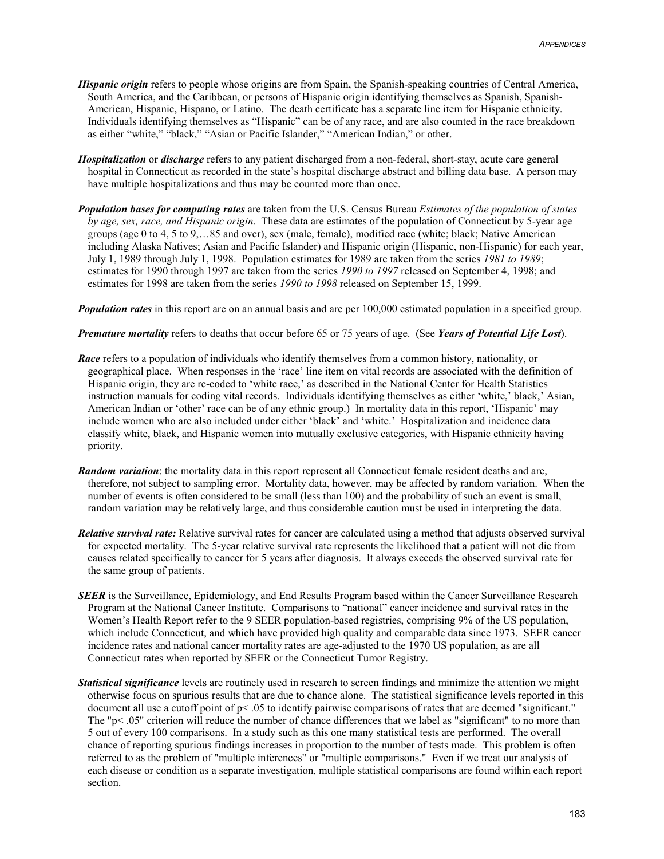- *Hispanic origin* refers to people whose origins are from Spain, the Spanish-speaking countries of Central America, South America, and the Caribbean, or persons of Hispanic origin identifying themselves as Spanish, Spanish-American, Hispanic, Hispano, or Latino. The death certificate has a separate line item for Hispanic ethnicity. Individuals identifying themselves as "Hispanic" can be of any race, and are also counted in the race breakdown as either "white," "black," "Asian or Pacific Islander," "American Indian," or other.
- *Hospitalization* or *discharge* refers to any patient discharged from a non-federal, short-stay, acute care general hospital in Connecticut as recorded in the state's hospital discharge abstract and billing data base. A person may have multiple hospitalizations and thus may be counted more than once.
- *Population bases for computing rates* are taken from the U.S. Census Bureau *Estimates of the population of states by age, sex, race, and Hispanic origin*. These data are estimates of the population of Connecticut by 5-year age groups (age 0 to 4, 5 to 9,…85 and over), sex (male, female), modified race (white; black; Native American including Alaska Natives; Asian and Pacific Islander) and Hispanic origin (Hispanic, non-Hispanic) for each year, July 1, 1989 through July 1, 1998. Population estimates for 1989 are taken from the series *1981 to 1989*; estimates for 1990 through 1997 are taken from the series *1990 to 1997* released on September 4, 1998; and estimates for 1998 are taken from the series *1990 to 1998* released on September 15, 1999.

*Population rates* in this report are on an annual basis and are per 100,000 estimated population in a specified group.

*Premature mortality* refers to deaths that occur before 65 or 75 years of age. (See *Years of Potential Life Lost*).

- *Race* refers to a population of individuals who identify themselves from a common history, nationality, or geographical place. When responses in the 'race' line item on vital records are associated with the definition of Hispanic origin, they are re-coded to 'white race,' as described in the National Center for Health Statistics instruction manuals for coding vital records. Individuals identifying themselves as either 'white,' black,' Asian, American Indian or 'other' race can be of any ethnic group.) In mortality data in this report, 'Hispanic' may include women who are also included under either 'black' and 'white.' Hospitalization and incidence data classify white, black, and Hispanic women into mutually exclusive categories, with Hispanic ethnicity having priority.
- *Random variation*: the mortality data in this report represent all Connecticut female resident deaths and are, therefore, not subject to sampling error. Mortality data, however, may be affected by random variation. When the number of events is often considered to be small (less than 100) and the probability of such an event is small, random variation may be relatively large, and thus considerable caution must be used in interpreting the data.
- *Relative survival rate:* Relative survival rates for cancer are calculated using a method that adjusts observed survival for expected mortality. The 5-year relative survival rate represents the likelihood that a patient will not die from causes related specifically to cancer for 5 years after diagnosis. It always exceeds the observed survival rate for the same group of patients.
- *SEER* is the Surveillance, Epidemiology, and End Results Program based within the Cancer Surveillance Research Program at the National Cancer Institute. Comparisons to "national" cancer incidence and survival rates in the Women's Health Report refer to the 9 SEER population-based registries, comprising 9% of the US population, which include Connecticut, and which have provided high quality and comparable data since 1973. SEER cancer incidence rates and national cancer mortality rates are age-adjusted to the 1970 US population, as are all Connecticut rates when reported by SEER or the Connecticut Tumor Registry.
- *Statistical significance* levels are routinely used in research to screen findings and minimize the attention we might otherwise focus on spurious results that are due to chance alone. The statistical significance levels reported in this document all use a cutoff point of  $p < .05$  to identify pairwise comparisons of rates that are deemed "significant." The "p< .05" criterion will reduce the number of chance differences that we label as "significant" to no more than 5 out of every 100 comparisons. In a study such as this one many statistical tests are performed. The overall chance of reporting spurious findings increases in proportion to the number of tests made. This problem is often referred to as the problem of "multiple inferences" or "multiple comparisons." Even if we treat our analysis of each disease or condition as a separate investigation, multiple statistical comparisons are found within each report section.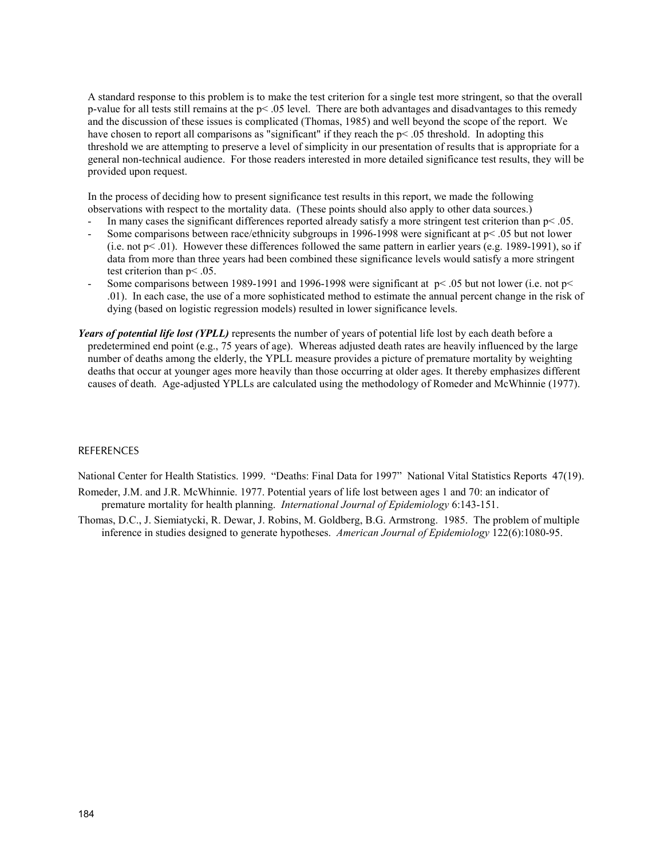A standard response to this problem is to make the test criterion for a single test more stringent, so that the overall p-value for all tests still remains at the  $p<.05$  level. There are both advantages and disadvantages to this remedy and the discussion of these issues is complicated (Thomas, 1985) and well beyond the scope of the report. We have chosen to report all comparisons as "significant" if they reach the  $p<.05$  threshold. In adopting this threshold we are attempting to preserve a level of simplicity in our presentation of results that is appropriate for a general non-technical audience. For those readers interested in more detailed significance test results, they will be provided upon request.

In the process of deciding how to present significance test results in this report, we made the following observations with respect to the mortality data. (These points should also apply to other data sources.)

- In many cases the significant differences reported already satisfy a more stringent test criterion than  $p < 0.05$ .
- Some comparisons between race/ethnicity subgroups in 1996-1998 were significant at  $p < .05$  but not lower (i.e. not  $p<01$ ). However these differences followed the same pattern in earlier years (e.g. 1989-1991), so if data from more than three years had been combined these significance levels would satisfy a more stringent test criterion than p< .05.
- Some comparisons between 1989-1991 and 1996-1998 were significant at  $p < .05$  but not lower (i.e. not  $p <$ .01). In each case, the use of a more sophisticated method to estimate the annual percent change in the risk of dying (based on logistic regression models) resulted in lower significance levels.
- *Years of potential life lost (YPLL)* represents the number of years of potential life lost by each death before a predetermined end point (e.g., 75 years of age). Whereas adjusted death rates are heavily influenced by the large number of deaths among the elderly, the YPLL measure provides a picture of premature mortality by weighting deaths that occur at younger ages more heavily than those occurring at older ages. It thereby emphasizes different causes of death. Age-adjusted YPLLs are calculated using the methodology of Romeder and McWhinnie (1977).

#### **REFERENCES**

National Center for Health Statistics. 1999. "Deaths: Final Data for 1997" National Vital Statistics Reports 47(19).

- Romeder, J.M. and J.R. McWhinnie. 1977. Potential years of life lost between ages 1 and 70: an indicator of premature mortality for health planning. *International Journal of Epidemiology* 6:143-151.
- Thomas, D.C., J. Siemiatycki, R. Dewar, J. Robins, M. Goldberg, B.G. Armstrong. 1985. The problem of multiple inference in studies designed to generate hypotheses. *American Journal of Epidemiology* 122(6):1080-95.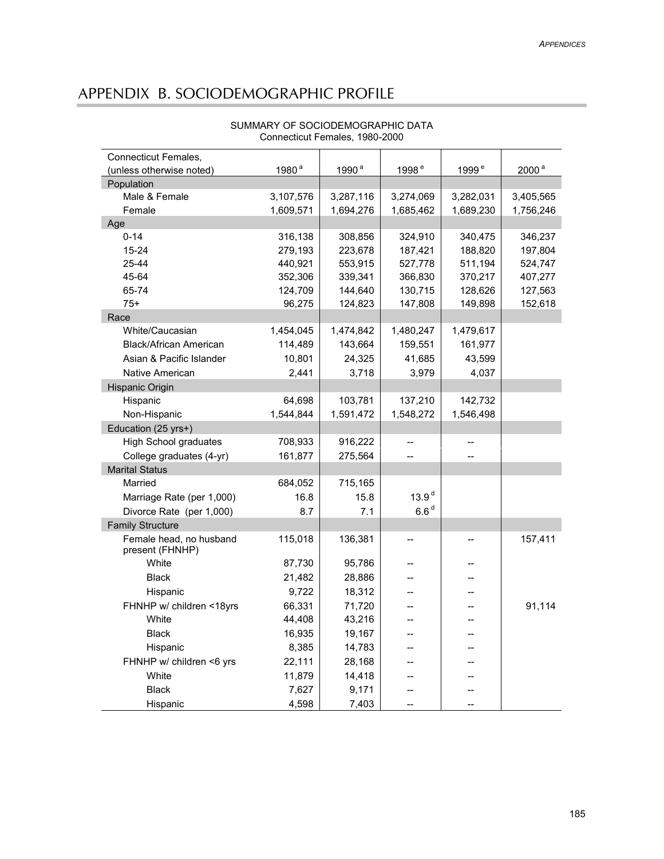# APPENDIX B. SOCIODEMOGRAPHIC PROFILE

| Connecticut Females,                       | 1980 <sup>a</sup> | 1990 <sup>a</sup> | 1998 <sup>e</sup> | 1999 <sup>e</sup> | 2000 <sup>a</sup> |
|--------------------------------------------|-------------------|-------------------|-------------------|-------------------|-------------------|
| (unless otherwise noted)<br>Population     |                   |                   |                   |                   |                   |
| Male & Female                              | 3,107,576         | 3,287,116         | 3,274,069         | 3,282,031         | 3,405,565         |
| Female                                     | 1,609,571         | 1,694,276         | 1,685,462         | 1,689,230         | 1,756,246         |
| Age                                        |                   |                   |                   |                   |                   |
| $0 - 14$                                   | 316,138           | 308,856           | 324,910           | 340,475           | 346,237           |
| 15-24                                      | 279,193           | 223,678           | 187,421           | 188,820           | 197,804           |
| 25-44                                      | 440,921           | 553,915           | 527,778           | 511,194           | 524,747           |
| 45-64                                      | 352,306           | 339,341           | 366,830           | 370,217           | 407,277           |
| 65-74                                      | 124,709           | 144,640           | 130,715           | 128,626           | 127,563           |
| $75+$                                      | 96,275            | 124,823           | 147,808           | 149,898           | 152,618           |
| Race                                       |                   |                   |                   |                   |                   |
| White/Caucasian                            | 1,454,045         | 1,474,842         | 1,480,247         | 1,479,617         |                   |
| Black/African American                     | 114,489           | 143,664           | 159,551           | 161,977           |                   |
| Asian & Pacific Islander                   | 10,801            | 24,325            | 41,685            | 43,599            |                   |
| Native American                            | 2,441             | 3,718             | 3,979             | 4,037             |                   |
| Hispanic Origin                            |                   |                   |                   |                   |                   |
| Hispanic                                   | 64,698            | 103,781           | 137,210           | 142,732           |                   |
| Non-Hispanic                               | 1,544,844         | 1,591,472         | 1,548,272         | 1,546,498         |                   |
| Education (25 yrs+)                        |                   |                   |                   |                   |                   |
| <b>High School graduates</b>               | 708,933           | 916,222           |                   |                   |                   |
| College graduates (4-yr)                   | 161,877           | 275,564           |                   |                   |                   |
| <b>Marital Status</b>                      |                   |                   |                   |                   |                   |
| Married                                    | 684,052           | 715,165           |                   |                   |                   |
| Marriage Rate (per 1,000)                  | 16.8              | 15.8              | 13.9 <sup>d</sup> |                   |                   |
| Divorce Rate (per 1,000)                   | 8.7               | 7.1               | 6.6 <sup>d</sup>  |                   |                   |
|                                            |                   |                   |                   |                   |                   |
| <b>Family Structure</b>                    |                   |                   |                   |                   |                   |
| Female head, no husband<br>present (FHNHP) | 115,018           | 136,381           | --                |                   | 157,411           |
| White                                      | 87,730            | 95,786            |                   |                   |                   |
| <b>Black</b>                               | 21,482            | 28,886            |                   |                   |                   |
| Hispanic                                   | 9,722             | 18,312            |                   |                   |                   |
| FHNHP w/ children <18yrs                   | 66,331            | 71,720            |                   |                   | 91,114            |
| White                                      | 44,408            | 43,216            |                   |                   |                   |
| <b>Black</b>                               | 16,935            | 19,167            |                   |                   |                   |
| Hispanic                                   | 8,385             | 14,783            |                   |                   |                   |
| FHNHP w/ children <6 yrs                   | 22,111            | 28,168            |                   |                   |                   |
| White                                      | 11,879            | 14,418            |                   |                   |                   |
| <b>Black</b>                               | 7,627             | 9,171             |                   |                   |                   |
| Hispanic                                   | 4,598             | 7,403             |                   |                   |                   |

#### SUMMARY OF SOCIODEMOGRAPHIC DATA Connecticut Females, 1980-2000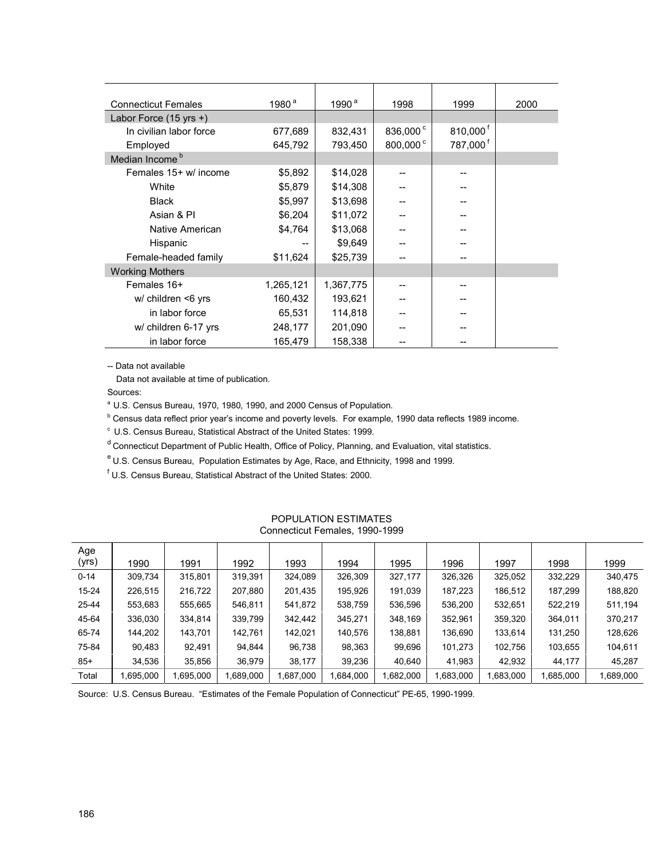| <b>Connecticut Females</b>       | 1980 <sup>a</sup> | 1990 $a$  | 1998                 | 1999                   | 2000 |
|----------------------------------|-------------------|-----------|----------------------|------------------------|------|
| Labor Force $(15 \text{ yrs +})$ |                   |           |                      |                        |      |
| In civilian labor force          | 677,689           | 832,431   | 836,000 <sup>c</sup> | $810,000$ <sup>f</sup> |      |
| Employed                         | 645,792           | 793,450   | 800,000 <sup>c</sup> | 787,000 <sup>f</sup>   |      |
| Median Income <sup>b</sup>       |                   |           |                      |                        |      |
| Females 15+ w/ income            | \$5,892           | \$14,028  |                      |                        |      |
| White                            | \$5,879           | \$14,308  |                      |                        |      |
| <b>Black</b>                     | \$5,997           | \$13,698  |                      |                        |      |
| Asian & PI                       | \$6,204           | \$11,072  |                      |                        |      |
| Native American                  | \$4,764           | \$13,068  |                      |                        |      |
| Hispanic                         |                   | \$9,649   |                      |                        |      |
| Female-headed family             | \$11,624          | \$25,739  |                      |                        |      |
| <b>Working Mothers</b>           |                   |           |                      |                        |      |
| Females 16+                      | 1,265,121         | 1,367,775 |                      |                        |      |
| w/ children <6 yrs               | 160,432           | 193,621   |                      |                        |      |
| in labor force                   | 65,531            | 114,818   |                      |                        |      |
| w/ children 6-17 yrs             | 248,177           | 201,090   |                      |                        |      |
| in labor force                   | 165,479           | 158,338   |                      |                        |      |

-- Data not available

Data not available at time of publication.

Sources:

<sup>a</sup> U.S. Census Bureau, 1970, 1980, 1990, and 2000 Census of Population.

<sup>b</sup> Census data reflect prior year's income and poverty levels. For example, 1990 data reflects 1989 income.

c U.S. Census Bureau, Statistical Abstract of the United States: 1999.

<sup>d</sup> Connecticut Department of Public Health, Office of Policy, Planning, and Evaluation, vital statistics.

e U.S. Census Bureau, Population Estimates by Age, Race, and Ethnicity, 1998 and 1999.

<sup>f</sup> U.S. Census Bureau, Statistical Abstract of the United States: 2000.

| Age<br>(yrs) | 1990      | 1991     | 1992     | 1993     | 1994     | 1995      | 1996     | 1997     | 1998     | 1999      |
|--------------|-----------|----------|----------|----------|----------|-----------|----------|----------|----------|-----------|
| $0 - 14$     | 309,734   | 315,801  | 319,391  | 324,089  | 326,309  | 327,177   | 326,326  | 325,052  | 332,229  | 340,475   |
| $15 - 24$    | 226,515   | 216,722  | 207,880  | 201,435  | 195,926  | 191,039   | 187,223  | 186,512  | 187,299  | 188,820   |
| 25-44        | 553,683   | 555,665  | 546,811  | 541,872  | 538,759  | 536,596   | 536,200  | 532,651  | 522,219  | 511,194   |
| 45-64        | 336,030   | 334,814  | 339,799  | 342,442  | 345,271  | 348,169   | 352,961  | 359,320  | 364,011  | 370,217   |
| 65-74        | 144,202   | 143,701  | 142,761  | 142,021  | 140,576  | 138,881   | 136,690  | 133,614  | 131,250  | 128,626   |
| 75-84        | 90,483    | 92.491   | 94,844   | 96,738   | 98,363   | 99,696    | 101,273  | 102,756  | 103,655  | 104,611   |
| $85 +$       | 34,536    | 35,856   | 36,979   | 38,177   | 39,236   | 40,640    | 41,983   | 42,932   | 44,177   | 45,287    |
| Total        | 1,695,000 | .695,000 | ,689,000 | 000,788. | ,684,000 | 1,682,000 | .683,000 | .683,000 | .685,000 | 1,689,000 |

#### POPULATION ESTIMATES Connecticut Females, 1990-1999

Source: U.S. Census Bureau. "Estimates of the Female Population of Connecticut" PE-65, 1990-1999.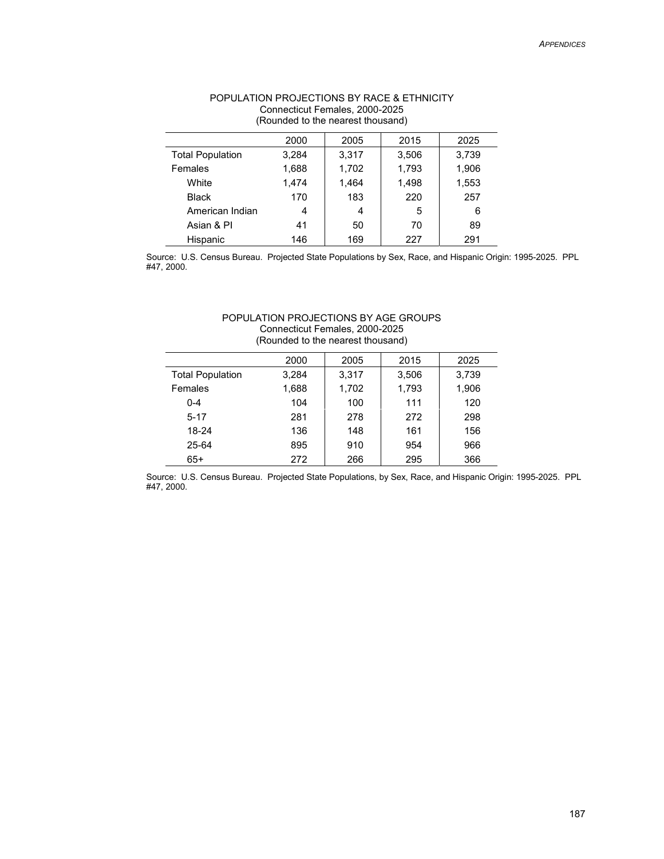| (Rounded to the nearest thousand) |       |       |       |       |  |
|-----------------------------------|-------|-------|-------|-------|--|
|                                   | 2000  | 2005  | 2015  | 2025  |  |
| <b>Total Population</b>           | 3,284 | 3.317 | 3,506 | 3,739 |  |
| Females                           | 1,688 | 1,702 | 1,793 | 1,906 |  |
| White                             | 1,474 | 1,464 | 1,498 | 1,553 |  |
| <b>Black</b>                      | 170   | 183   | 220   | 257   |  |
| American Indian                   | 4     | 4     | 5     | 6     |  |
| Asian & PI                        | 41    | 50    | 70    | 89    |  |
| Hispanic                          | 146   | 169   | 227   | 291   |  |

# POPULATION PROJECTIONS BY RACE & ETHNICITY Connecticut Females, 2000-2025

Source: U.S. Census Bureau. Projected State Populations by Sex, Race, and Hispanic Origin: 1995-2025. PPL #47, 2000.

#### POPULATION PROJECTIONS BY AGE GROUPS Connecticut Females, 2000-2025 (Rounded to the nearest thousand)

|                         | 2000  | 2005  | 2015  | 2025  |
|-------------------------|-------|-------|-------|-------|
| <b>Total Population</b> | 3.284 | 3.317 | 3.506 | 3.739 |
| Females                 | 1.688 | 1,702 | 1,793 | 1,906 |
| $0 - 4$                 | 104   | 100   | 111   | 120   |
| $5 - 17$                | 281   | 278   | 272   | 298   |
| 18-24                   | 136   | 148   | 161   | 156   |
| 25-64                   | 895   | 910   | 954   | 966   |
| $65+$                   | 272   | 266   | 295   | 366   |

Source: U.S. Census Bureau. Projected State Populations, by Sex, Race, and Hispanic Origin: 1995-2025. PPL #47, 2000.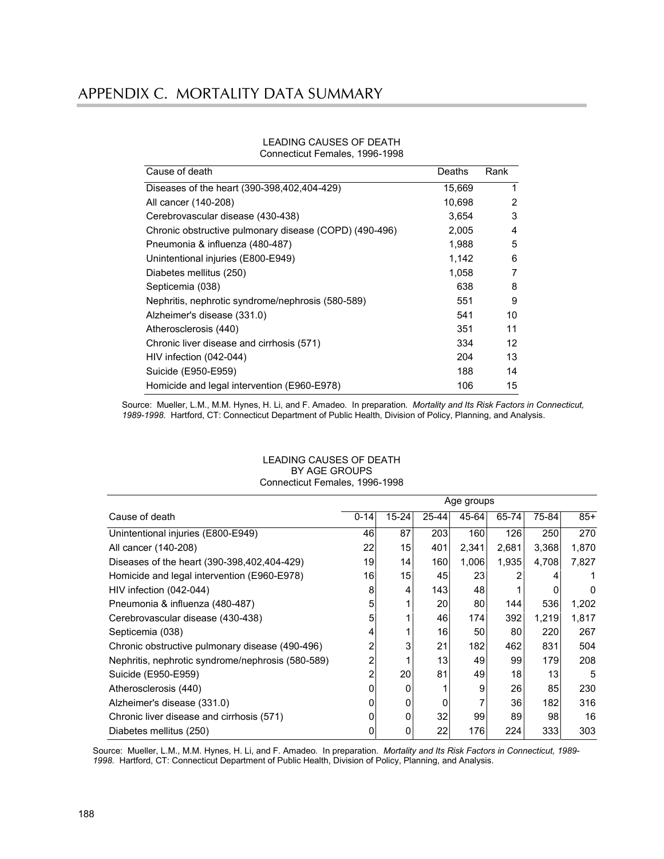| Cause of death                                         | Deaths | Rank           |
|--------------------------------------------------------|--------|----------------|
| Diseases of the heart (390-398,402,404-429)            | 15,669 | 1              |
| All cancer (140-208)                                   | 10,698 | $\overline{2}$ |
| Cerebrovascular disease (430-438)                      | 3,654  | 3              |
| Chronic obstructive pulmonary disease (COPD) (490-496) | 2,005  | 4              |
| Pneumonia & influenza (480-487)                        | 1,988  | 5              |
| Unintentional injuries (E800-E949)                     | 1,142  | 6              |
| Diabetes mellitus (250)                                | 1,058  | 7              |
| Septicemia (038)                                       | 638    | 8              |
| Nephritis, nephrotic syndrome/nephrosis (580-589)      | 551    | 9              |
| Alzheimer's disease (331.0)                            | 541    | 10             |
| Atherosclerosis (440)                                  | 351    | 11             |
| Chronic liver disease and cirrhosis (571)              | 334    | 12             |
| HIV infection (042-044)                                | 204    | 13             |
| Suicide (E950-E959)                                    | 188    | 14             |
| Homicide and legal intervention (E960-E978)            | 106    | 15             |

#### LEADING CAUSES OF DEATH Connecticut Females, 1996-1998

Source: Mueller, L.M., M.M. Hynes, H. Li, and F. Amadeo. In preparation. *Mortality and Its Risk Factors in Connecticut, 1989-1998*. Hartford, CT: Connecticut Department of Public Health, Division of Policy, Planning, and Analysis.

|                                                   | Age groups |           |           |       |       |       |       |
|---------------------------------------------------|------------|-----------|-----------|-------|-------|-------|-------|
| Cause of death                                    | $0 - 14$   | $15 - 24$ | $25 - 44$ | 45-64 | 65-74 | 75-84 | $85+$ |
| Unintentional injuries (E800-E949)                | 46         | 87        | 203       | 160   | 126   | 250   | 270   |
| All cancer (140-208)                              | 22         | 15        | 401       | 2,341 | 2,681 | 3,368 | 1,870 |
| Diseases of the heart (390-398,402,404-429)       | 19         | 14        | 160       | 1,006 | 1,935 | 4,708 | 7,827 |
| Homicide and legal intervention (E960-E978)       | 16         | 15        | 45        | 23    |       |       |       |
| HIV infection (042-044)                           | 8          | 4         | 143       | 48    |       |       | 0     |
| Pneumonia & influenza (480-487)                   | 5          |           | 20        | 80    | 144   | 536   | 1,202 |
| Cerebrovascular disease (430-438)                 | 5          |           | 46        | 174   | 392   | 1,219 | 1,817 |
| Septicemia (038)                                  | 4          |           | 16        | 50    | 80    | 220   | 267   |
| Chronic obstructive pulmonary disease (490-496)   | 2          | 3         | 21        | 182   | 462   | 831   | 504   |
| Nephritis, nephrotic syndrome/nephrosis (580-589) | 2          |           | 13        | 49    | 99    | 179   | 208   |
| Suicide (E950-E959)                               | 2          | 20        | 81        | 49    | 18    | 13    | 5     |
| Atherosclerosis (440)                             | 0          | 0         |           | 9     | 26    | 85    | 230   |
| Alzheimer's disease (331.0)                       | 0          | 0         |           |       | 36    | 182   | 316   |
| Chronic liver disease and cirrhosis (571)         | ი          | 0         | 32        | 99    | 89    | 98    | 16    |
| Diabetes mellitus (250)                           | 0          | 0         | 22        | 176   | 224   | 333   | 303   |

#### LEADING CAUSES OF DEATH BY AGE GROUPS Connecticut Females, 1996-1998

Source: Mueller, L.M., M.M. Hynes, H. Li, and F. Amadeo. In preparation. *Mortality and Its Risk Factors in Connecticut, 1989- 1998*. Hartford, CT: Connecticut Department of Public Health, Division of Policy, Planning, and Analysis.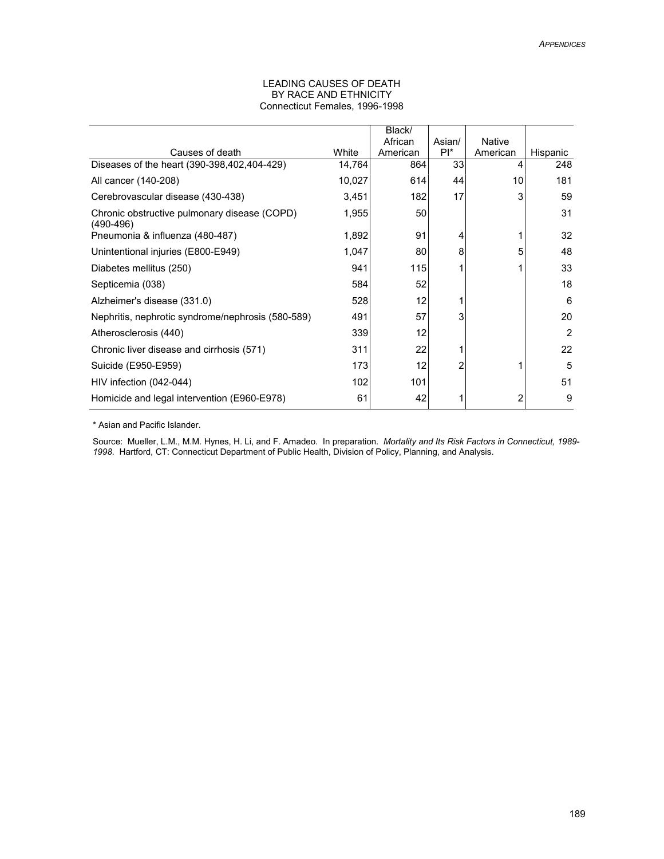#### LEADING CAUSES OF DEATH BY RACE AND ETHNICITY Connecticut Females, 1996-1998

|                                                               |        | Black/   |        |               |          |
|---------------------------------------------------------------|--------|----------|--------|---------------|----------|
|                                                               |        | African  | Asian/ | <b>Native</b> |          |
| Causes of death                                               | White  | American | $PI^*$ | American      | Hispanic |
| Diseases of the heart (390-398,402,404-429)                   | 14,764 | 864      | 33     | 4             | 248      |
| All cancer (140-208)                                          | 10,027 | 614      | 44     | 10            | 181      |
| Cerebrovascular disease (430-438)                             | 3,451  | 182      | 17     | 3             | 59       |
| Chronic obstructive pulmonary disease (COPD)<br>$(490 - 496)$ | 1,955  | 50       |        |               | 31       |
| Pneumonia & influenza (480-487)                               | 1,892  | 91       | 4      | 1             | 32       |
| Unintentional injuries (E800-E949)                            | 1,047  | 80       | 8      | 5             | 48       |
| Diabetes mellitus (250)                                       | 941    | 115      |        | 1             | 33       |
| Septicemia (038)                                              | 584    | 52       |        |               | 18       |
| Alzheimer's disease (331.0)                                   | 528    | 12       |        |               | 6        |
| Nephritis, nephrotic syndrome/nephrosis (580-589)             | 491    | 57       | 3      |               | 20       |
| Atherosclerosis (440)                                         | 339    | 12       |        |               | 2        |
| Chronic liver disease and cirrhosis (571)                     | 311    | 22       |        |               | 22       |
| Suicide (E950-E959)                                           | 173    | 12       | 2      | 1             | 5        |
| HIV infection (042-044)                                       | 102    | 101      |        |               | 51       |
| Homicide and legal intervention (E960-E978)                   | 61     | 42       |        | 2             | 9        |

\* Asian and Pacific Islander.

Source: Mueller, L.M., M.M. Hynes, H. Li, and F. Amadeo. In preparation. *Mortality and Its Risk Factors in Connecticut, 1989- 1998*. Hartford, CT: Connecticut Department of Public Health, Division of Policy, Planning, and Analysis.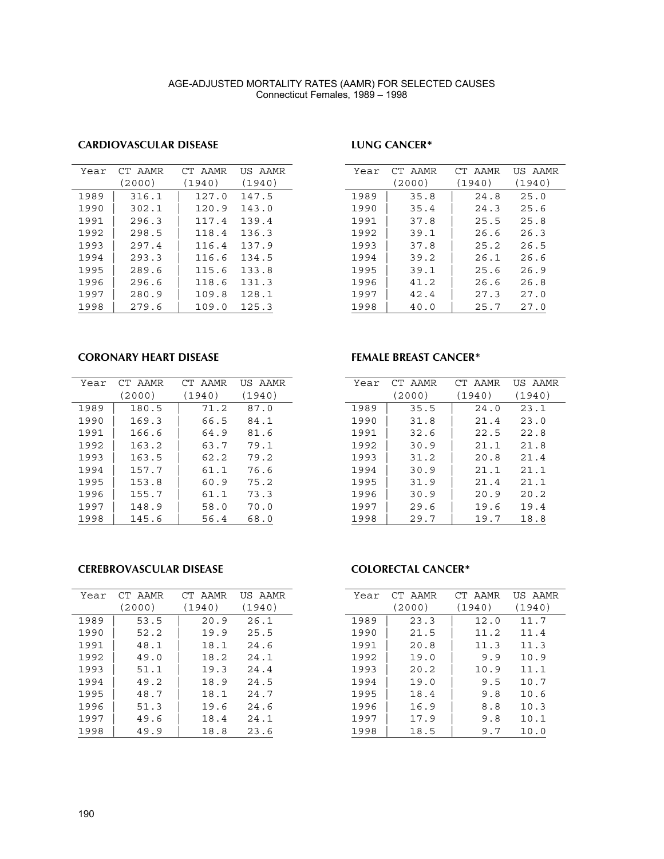#### AGE-ADJUSTED MORTALITY RATES (AAMR) FOR SELECTED CAUSES Connecticut Females, 1989 – 1998

## **CARDIOVASCULAR DISEASE**

#### **LUNG CANCER\***

| Year | CT AAMR | CT AAMR | US AAMR |
|------|---------|---------|---------|
|      | (2000)  | (1940)  | (1940)  |
| 1989 | 316.1   | 127.0   | 147.5   |
| 1990 | 302.1   | 120.9   | 143.0   |
| 1991 | 296.3   | 117.4   | 139.4   |
| 1992 | 298.5   | 118.4   | 136.3   |
| 1993 | 297.4   | 116.4   | 137.9   |
| 1994 | 293.3   | 116.6   | 134.5   |
| 1995 | 289.6   | 115.6   | 133.8   |
| 1996 | 296.6   | 118.6   | 131.3   |
| 1997 | 280.9   | 109.8   | 128.1   |
| 1998 | 279.6   | 109.0   | 125.3   |

| Year | CT AAMR | CT AAMR | <b>IIS AAMR</b> |
|------|---------|---------|-----------------|
|      | (2000)  | (1940)  | (1940)          |
| 1989 | 35.8    | 24.8    | 25.0            |
| 1990 | 35.4    | 24.3    | 25.6            |
| 1991 | 37.8    | 25.5    | 25.8            |
| 1992 | 39.1    | 26.6    | 26.3            |
| 1993 | 37.8    | 25.2    | 26.5            |
| 1994 | 39.2    | 26.1    | 26.6            |
| 1995 | 39.1    | 25.6    | 26.9            |
| 1996 | 41.2    | 26.6    | 26.8            |
| 1997 | 42.4    | 27.3    | 27.0            |
| 1998 | 40.0    | 25.7    | 27.0            |

#### **CORONARY HEART DISEASE**

| Year | CT AAMR | CT AAMR | IIS AAMR |
|------|---------|---------|----------|
|      | (2000)  | (1940)  | (1940)   |
| 1989 | 180.5   | 71.2    | 87.0     |
| 1990 | 169.3   | 66.5    | 84.1     |
| 1991 | 166.6   | 64.9    | 81.6     |
| 1992 | 163.2   | 63.7    | 79.1     |
| 1993 | 163.5   | 62.2    | 79.2     |
| 1994 | 157.7   | 61.1    | 76.6     |
| 1995 | 153.8   | 60.9    | 75.2     |
| 1996 | 155.7   | 61.1    | 73.3     |
| 1997 | 148.9   | 58.0    | 70.0     |
| 1998 | 145.6   | 56.4    | 68.0     |

# **FEMALE BREAST CANCER\***

| Year | CT AAMR | CT AAMR | US AAMR |
|------|---------|---------|---------|
|      | (2000)  | (1940)  | (1940)  |
| 1989 | 35.5    | 24.0    | 23.1    |
| 1990 | 31.8    | 21.4    | 23.0    |
| 1991 | 32.6    | 22.5    | 22.8    |
| 1992 | 30.9    | 21.1    | 21.8    |
| 1993 | 31.2    | 20.8    | 21.4    |
| 1994 | 30.9    | 21.1    | 21.1    |
| 1995 | 31.9    | 21.4    | 21.1    |
| 1996 | 30.9    | 20.9    | 20.2    |
| 1997 | 29.6    | 19.6    | 19.4    |
| 1998 | 29.7    | 19.7    | 18.8    |

#### **CEREBROVASCULAR DISEASE**

| Year | CT AAMR | CT AAMR | US AAMR |
|------|---------|---------|---------|
|      | (2000)  | (1940)  | (1940)  |
| 1989 | 53.5    | 20.9    | 26.1    |
| 1990 | 52.2    | 19.9    | 25.5    |
| 1991 | 48.1    | 18.1    | 24.6    |
| 1992 | 49.0    | 18.2    | 24.1    |
| 1993 | 51.1    | 19.3    | 24.4    |
| 1994 | 49.2    | 18.9    | 24.5    |
| 1995 | 48.7    | 18.1    | 24.7    |
| 1996 | 51.3    | 19.6    | 24.6    |
| 1997 | 49.6    | 18.4    | 24.1    |
| 1998 | 49.9    | 18.8    | 23.6    |
|      |         |         |         |

#### **COLORECTAL CANCER\***

| Year | CT AAMR | CT AAMR | IIS AAMR |
|------|---------|---------|----------|
|      | (2000)  | (1940)  | (1940)   |
| 1989 | 23.3    | 12.0    | 11.7     |
| 1990 | 21.5    | 11.2    | 11.4     |
| 1991 | 20.8    | 11.3    | 11.3     |
| 1992 | 19.0    | 9.9     | 10.9     |
| 1993 | 20.2    | 10.9    | 11.1     |
| 1994 | 19.0    | 9.5     | 10.7     |
| 1995 | 18.4    | 9.8     | 10.6     |
| 1996 | 16.9    | 8.8     | 10.3     |
| 1997 | 17.9    | 9.8     | 10.1     |
| 1998 | 18.5    | 9.7     | 10.0     |
|      |         |         |          |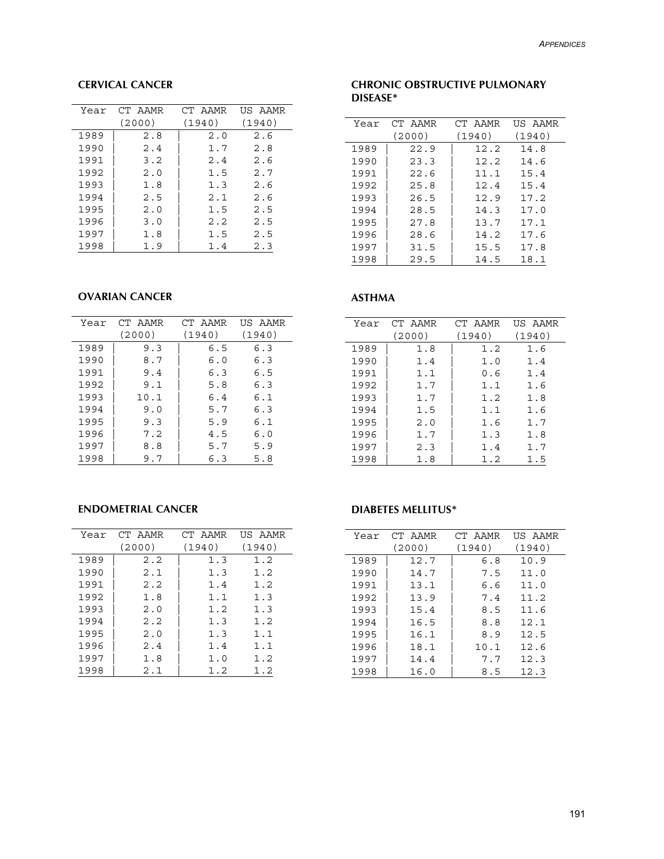# **CERVICAL CANCER**

| Year | CT AAMR | CT AAMR | US AAMR |
|------|---------|---------|---------|
|      | (2000)  | (1940)  | (1940)  |
| 1989 | 2.8     | 2.0     | 2.6     |
| 1990 | 2.4     | 1.7     | 2.8     |
| 1991 | 3.2     | 2.4     | 2.6     |
| 1992 | 2.0     | 1.5     | 2.7     |
| 1993 | 1.8     | 1.3     | 2.6     |
| 1994 | 2.5     | 2.1     | 2.6     |
| 1995 | 2.0     | 1.5     | 2.5     |
| 1996 | 3.0     | 2.2     | 2.5     |
| 1997 | 1.8     | 1.5     | 2.5     |
| 1998 | 1.9     | 1.4     | 2.3     |

#### **CHRONIC OBSTRUCTIVE PULMONARY DISEASE\***

| Year | CT AAMR | CT AAMR | US AAMR |
|------|---------|---------|---------|
|      | (2000)  | (1940)  | (1940)  |
| 1989 | 22.9    | 12.2    | 14.8    |
| 1990 | 23.3    | 12.2    | 14.6    |
| 1991 | 22.6    | 11.1    | 15.4    |
| 1992 | 25.8    | 12.4    | 15.4    |
| 1993 | 26.5    | 12.9    | 17.2    |
| 1994 | 28.5    | 14.3    | 17.0    |
| 1995 | 27.8    | 13.7    | 17.1    |
| 1996 | 28.6    | 14.2    | 17.6    |
| 1997 | 31.5    | 15.5    | 17.8    |
| 1998 | 29.5    | 14.5    | 18.1    |

#### **OVARIAN CANCER**

| Year | CT AAMR | CT AAMR | US AAMR |
|------|---------|---------|---------|
|      | (2000)  | (1940)  | (1940)  |
| 1989 | 9.3     | 6.5     | 6.3     |
| 1990 | 8.7     | 6.0     | 6.3     |
| 1991 | 9.4     | 6.3     | 6.5     |
| 1992 | 9.1     | 5.8     | 6.3     |
| 1993 | 10.1    | 6.4     | 6.1     |
| 1994 | 9.0     | 5.7     | 6.3     |
| 1995 | 9.3     | 5.9     | 6.1     |
| 1996 | 7.2     | 4.5     | 6.0     |
| 1997 | 8.8     | 5.7     | 5.9     |
| 1998 | 9.7     | 6.3     | 5.8     |

#### **ASTHMA**

| Year | CT AAMR | CT AAMR | US AAMR |
|------|---------|---------|---------|
|      | (2000)  | (1940)  | (1940)  |
| 1989 | 1.8     | 1.2     | 1.6     |
| 1990 | 1.4     | 1.0     | 1.4     |
| 1991 | 1.1     | 0.6     | 1.4     |
| 1992 | 1.7     | 1.1     | 1.6     |
| 1993 | 1.7     | 1.2     | 1.8     |
| 1994 | 1.5     | 1.1     | 1.6     |
| 1995 | 2.0     | 1.6     | 1.7     |
| 1996 | 1.7     | 1.3     | 1.8     |
| 1997 | 2.3     | 1.4     | 1.7     |
| 1998 | 1.8     | 1.2     | 1.5     |

## **ENDOMETRIAL CANCER**

| Year | CT AAMR | CT AAMR | US AAMR |
|------|---------|---------|---------|
|      | (2000)  | (1940)  | (1940)  |
| 1989 | 2.2     | 1.3     | 1.2     |
| 1990 | 2.1     | 1.3     | 1.2     |
| 1991 | 2.2     | 1.4     | 1.2     |
| 1992 | 1.8     | 1.1     | 1.3     |
| 1993 | 2.0     | 1.2     | 1.3     |
| 1994 | 2.2     | 1.3     | 1.2     |
| 1995 | 2.0     | 1.3     | 1.1     |
| 1996 | 2.4     | 1.4     | 1.1     |
| 1997 | 1.8     | 1.0     | 1.2     |
| 1998 | 2.1     | 1.2     | 1.2     |

## **DIABETES MELLITUS\***

| Year | CT AAMR | CT AAMR | US AAMR |
|------|---------|---------|---------|
|      | (2000)  | (1940)  | (1940)  |
| 1989 | 12.7    | 6.8     | 10.9    |
| 1990 | 14.7    | 7.5     | 11.0    |
| 1991 | 13.1    | 6.6     | 11.0    |
| 1992 | 13.9    | 7.4     | 11.2    |
| 1993 | 15.4    | 8.5     | 11.6    |
| 1994 | 16.5    | 8.8     | 12.1    |
| 1995 | 16.1    | 8.9     | 12.5    |
| 1996 | 18.1    | 10.1    | 12.6    |
| 1997 | 14.4    | 7.7     | 12.3    |
| 1998 | 16.0    | 8.5     | 12.3    |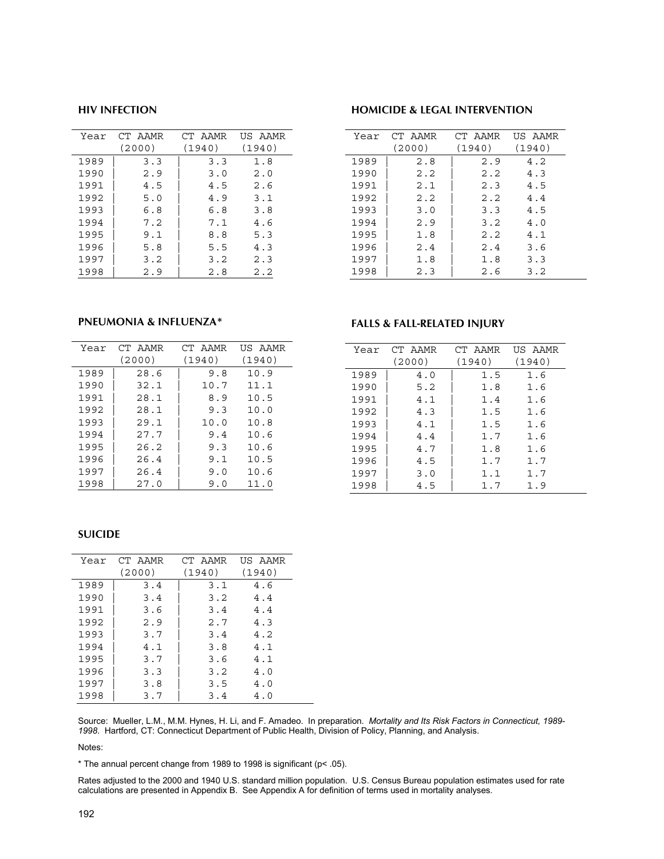#### **HIV INFECTION**

| Year | CT AAMR | CT AAMR | US AAMR |
|------|---------|---------|---------|
|      | (2000)  | (1940)  | (1940)  |
| 1989 | 3.3     | 3.3     | 1.8     |
| 1990 | 2.9     | 3.0     | 2.0     |
| 1991 | 4.5     | 4.5     | 2.6     |
| 1992 | 5.0     | 4.9     | 3.1     |
| 1993 | 6.8     | 6.8     | 3.8     |
| 1994 | 7.2     | 7.1     | 4.6     |
| 1995 | 9.1     | 8.8     | 5.3     |
| 1996 | 5.8     | 5.5     | 4.3     |
| 1997 | 3.2     | 3.2     | 2.3     |
| 1998 | 2.9     | 2.8     | 2.2     |

## **HOMICIDE & LEGAL INTERVENTION**

**FALLS & FALL-RELATED INJURY**

1989 | 4.0 | 1.5 1.6 1990 | 5.2 | 1.8 1.6 1991 | 4.1 | 1.4 1.6 1992 | 4.3 | 1.5 1.6 1993 | 4.1 | 1.5 1.6 1994 | 4.4 | 1.7 1.6 1995 | 4.7 | 1.8 1.6 1996 | 4.5 | 1.7 1.7 1997 | 3.0 | 1.1 1.7 1998 | 4.5 | 1.7 1.9

Year CT AAMR (2000)

| Year | CT AAMR | CT AAMR | US AAMR |
|------|---------|---------|---------|
|      | (2000)  | (1940)  | (1940)  |
| 1989 | 2.8     | 2.9     | 4.2     |
| 1990 | 2.2     | 2.2     | 4.3     |
| 1991 | 2.1     | 2.3     | 4.5     |
| 1992 | 2.2     | 2.2     | 4.4     |
| 1993 | 3.0     | 3.3     | 4.5     |
| 1994 | 2.9     | 3.2     | 4.0     |
| 1995 | 1.8     | 2.2     | 4.1     |
| 1996 | 2.4     | 2.4     | 3.6     |
| 1997 | 1.8     | 1.8     | 3.3     |
| 1998 | 2.3     | 2.6     | 3.2     |

CT AAMR (1940)

US AAMR (1940)

#### **PNEUMONIA & INFLUENZA\***

| Year | CT AAMR | CT AAMR | <b>IIS AAMR</b> |
|------|---------|---------|-----------------|
|      | (2000)  | (1940)  | (1940)          |
| 1989 | 28.6    | 9.8     | 10.9            |
| 1990 | 32.1    | 10.7    | 11.1            |
| 1991 | 28.1    | 8.9     | 10.5            |
| 1992 | 28.1    | 9.3     | 10.0            |
| 1993 | 29.1    | 10.0    | 10.8            |
| 1994 | 27.7    | 9.4     | 10.6            |
| 1995 | 26.2    | 9.3     | 10.6            |
| 1996 | 26.4    | 9.1     | 10.5            |
| 1997 | 26.4    | 9.0     | 10.6            |
| 1998 | 27.0    | 9.0     | 11.0            |

#### **SUICIDE**

| Year | CT AAMR | CT AAMR | US AAMR |
|------|---------|---------|---------|
|      | (2000)  | (1940)  | (1940)  |
| 1989 | 3.4     | 3.1     | 4.6     |
| 1990 | 3.4     | 3.2     | 4.4     |
| 1991 | 3.6     | 3.4     | 4.4     |
| 1992 | 2.9     | 2.7     | 4.3     |
| 1993 | 3.7     | 3.4     | 4.2     |
| 1994 | 4.1     | 3.8     | 4.1     |
| 1995 | 3.7     | 3.6     | 4.1     |
| 1996 | 3.3     | 3.2     | 4.0     |
| 1997 | 3.8     | 3.5     | 4.0     |
| 1998 | 3.7     | 3.4     | 4.0     |

#### Source: Mueller, L.M., M.M. Hynes, H. Li, and F. Amadeo. In preparation. *Mortality and Its Risk Factors in Connecticut, 1989- 1998*. Hartford, CT: Connecticut Department of Public Health, Division of Policy, Planning, and Analysis.

Notes:

\* The annual percent change from 1989 to 1998 is significant (p< .05).

Rates adjusted to the 2000 and 1940 U.S. standard million population. U.S. Census Bureau population estimates used for rate calculations are presented in Appendix B. See Appendix A for definition of terms used in mortality analyses.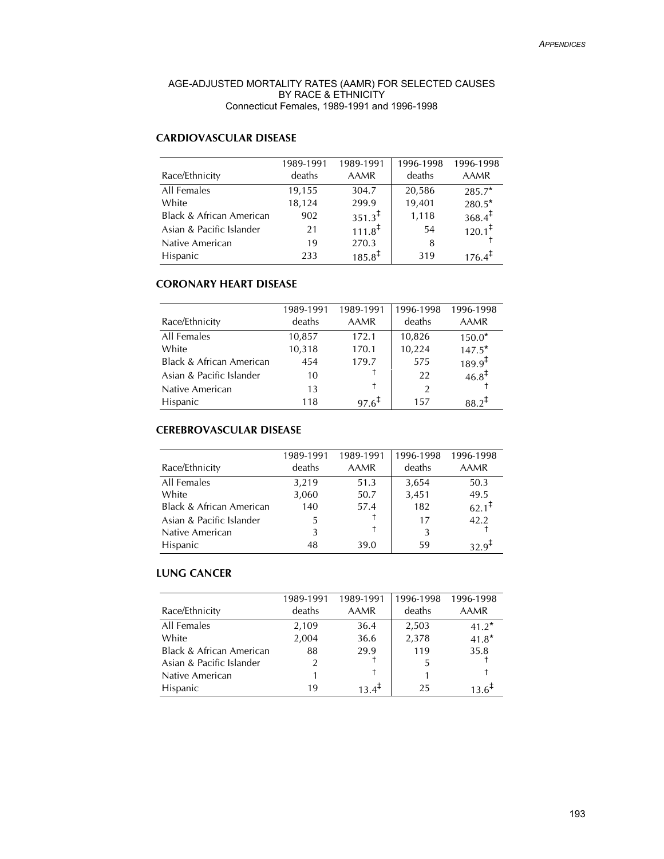#### AGE-ADJUSTED MORTALITY RATES (AAMR) FOR SELECTED CAUSES BY RACE & ETHNICITY Connecticut Females, 1989-1991 and 1996-1998

# **CARDIOVASCULAR DISEASE**

| Race/Ethnicity                      | 1989-1991<br>deaths | 1989-1991<br><b>AAMR</b> | 1996-1998<br>deaths | 1996-1998<br><b>AAMR</b> |
|-------------------------------------|---------------------|--------------------------|---------------------|--------------------------|
| All Females                         | 19,155              | 304.7                    | 20,586              | 285.7*                   |
| White                               | 18,124              | 299.9                    | 19,401              | $280.5*$                 |
| <b>Black &amp; African American</b> | 902                 | $351.3^{\ddagger}$       | 1,118               | $368.4^{\ddagger}$       |
| Asian & Pacific Islander            | 21                  | $111.8^{\ddagger}$       | 54                  | $120.1^{\ddagger}$       |
| Native American                     | 19                  | 270.3                    | 8                   |                          |
| Hispanic                            | 233                 | $185.8^{\ddagger}$       | 319                 | $176.4^{+}$              |

## **CORONARY HEART DISEASE**

|                                     | 1989-1991 | 1989-1991         | 1996-1998 | 1996-1998          |
|-------------------------------------|-----------|-------------------|-----------|--------------------|
| Race/Ethnicity                      | deaths    | AAMR              | deaths    | <b>AAMR</b>        |
| All Females                         | 10,857    | 172.1             | 10,826    | $150.0*$           |
| White                               | 10,318    | 170.1             | 10,224    | $147.5*$           |
| <b>Black &amp; African American</b> | 454       | 179.7             | 575       | $189.9^{\ddagger}$ |
| Asian & Pacific Islander            | 10        |                   | 22        | $46.8^{\ddagger}$  |
| Native American                     | 13        | t                 | 2         |                    |
| Hispanic                            | 118       | $97.6^{\text{+}}$ | 157       | $38.2^{+}$         |

# **CEREBROVASCULAR DISEASE**

| Race/Ethnicity                      | 1989-1991<br>deaths | 1989-1991<br>AAMR | 1996-1998<br>deaths | 1996-1998<br><b>AAMR</b> |
|-------------------------------------|---------------------|-------------------|---------------------|--------------------------|
| All Females                         | 3,219               | 51.3              | 3,654               | 50.3                     |
| White                               | 3,060               | 50.7              | 3,451               | 49.5                     |
| <b>Black &amp; African American</b> | 140                 | 57.4              | 182                 | $62.1^{\ddagger}$        |
| Asian & Pacific Islander            | 5.                  |                   | 17                  | 42.2                     |
| Native American                     | 3                   |                   | 3                   |                          |
| <b>Hispanic</b>                     | 48                  | 39.0              | 59                  |                          |

# **LUNG CANCER**

| Race/Ethnicity           | 1989-1991<br>deaths | 1989-1991<br>AAMR | 1996-1998<br>deaths | 1996-1998<br>AAMR |
|--------------------------|---------------------|-------------------|---------------------|-------------------|
| All Females              | 2,109               | 36.4              | 2,503               | $41.2*$           |
| White                    | 2,004               | 36.6              | 2,378               | $41.8*$           |
| Black & African American | 88                  | 29.9              | 119                 | 35.8              |
| Asian & Pacific Islander | $\mathcal{P}$       |                   | 5                   |                   |
| Native American          |                     |                   |                     |                   |
| <b>Hispanic</b>          | 19                  |                   | 25                  |                   |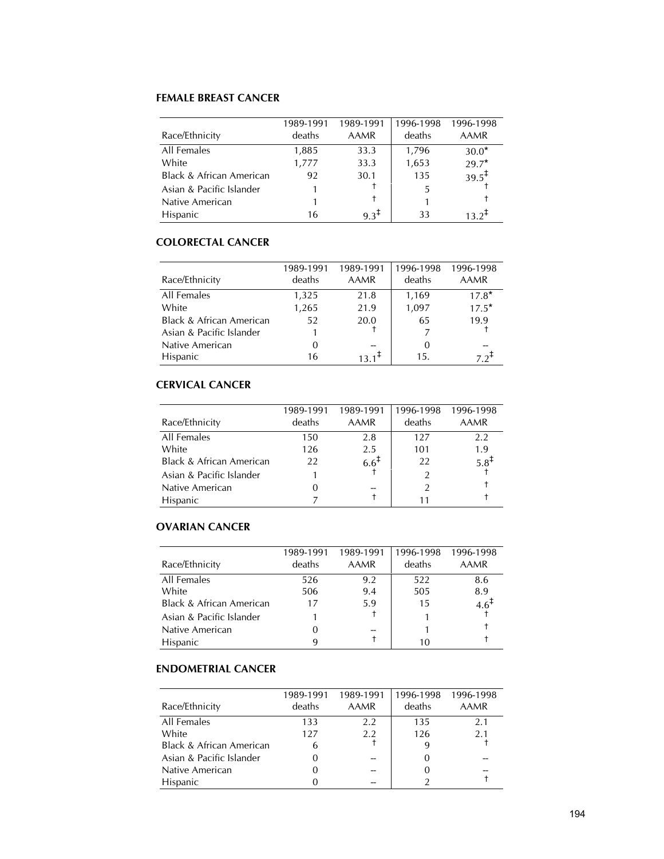## **FEMALE BREAST CANCER**

|                                     | 1989-1991 | 1989-1991        | 1996-1998 | 1996-1998         |
|-------------------------------------|-----------|------------------|-----------|-------------------|
| Race/Ethnicity                      | deaths    | AAMR             | deaths    | <b>AAMR</b>       |
| All Females                         | 1,885     | 33.3             | 1,796     | $30.0*$           |
| White                               | 1,777     | 33.3             | 1,653     | $29.7*$           |
| <b>Black &amp; African American</b> | 92        | 30.1             | 135       | $39.5^{\ddagger}$ |
| Asian & Pacific Islander            |           |                  | 5         |                   |
| Native American                     |           |                  |           |                   |
| <b>Hispanic</b>                     | 16        | $9.3^{\ddagger}$ | 33        | 13 2+             |

## **COLORECTAL CANCER**

|                                     | 1989-1991 | 1989-1991         | 1996-1998 | 1996-1998          |
|-------------------------------------|-----------|-------------------|-----------|--------------------|
| Race/Ethnicity                      | deaths    | AAMR              | deaths    | <b>AAMR</b>        |
| All Females                         | 1,325     | 21.8              | 1,169     | $17.8*$            |
| White                               | 1,265     | 21.9              | 1,097     | $17.5*$            |
| <b>Black &amp; African American</b> | 52        | 20.0              | 65        | 19.9               |
| Asian & Pacific Islander            |           |                   |           |                    |
| Native American                     | 0         |                   | 0         |                    |
| Hispanic                            | 16        | $13.1^{\text{F}}$ | 15.       | $7.2^{\mathrm{+}}$ |

# **CERVICAL CANCER**

|                                     | 1989-1991 | 1989-1991 | 1996-1998 | 1996-1998   |
|-------------------------------------|-----------|-----------|-----------|-------------|
| Race/Ethnicity                      | deaths    | AAMR      | deaths    | <b>AAMR</b> |
| All Females                         | 150       | 2.8       | 127       | 2.2         |
| White                               | 126       | 2.5       | 101       | 1.9         |
| <b>Black &amp; African American</b> | 22        | $6.6^{+}$ | 22        | $5.8^{+}$   |
| Asian & Pacific Islander            |           |           |           |             |
| Native American                     |           |           |           |             |
| Hispanic                            |           |           |           |             |

# **OVARIAN CANCER**

|                                     | 1989-1991 | 1989-1991 |        | 1996-1998 1996-1998 |
|-------------------------------------|-----------|-----------|--------|---------------------|
| Race/Ethnicity                      | deaths    | AAMR      | deaths | AAMR                |
| All Females                         | 526       | 9.2       | 522    | 8.6                 |
| White                               | 506       | 9.4       | 505    | 8.9                 |
| <b>Black &amp; African American</b> | 17        | 5.9       | 15     | $4.6^{\text{T}}$    |
| Asian & Pacific Islander            |           |           |        |                     |
| Native American                     |           | --        |        |                     |
| <b>Hispanic</b>                     |           |           | 10     |                     |

# **ENDOMETRIAL CANCER**

| Race/Ethnicity                      | 1989-1991<br>deaths | 1989-1991<br>AAMR | 1996-1998<br>deaths | 1996-1998<br>AAMR |
|-------------------------------------|---------------------|-------------------|---------------------|-------------------|
| All Females                         | 133                 | 2.2               | 135                 | 2.1               |
| White                               | 127                 | 2.2               | 126                 | 2.1               |
| <b>Black &amp; African American</b> | 6                   |                   | 9                   |                   |
| Asian & Pacific Islander            | O                   |                   |                     |                   |
| Native American                     |                     |                   |                     |                   |
| Hispanic                            |                     |                   |                     |                   |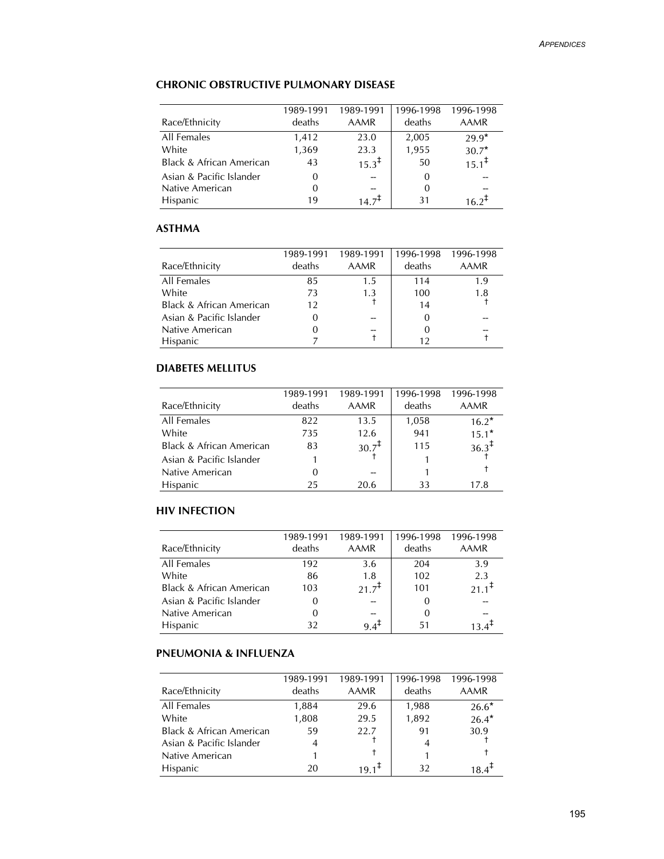# **CHRONIC OBSTRUCTIVE PULMONARY DISEASE**

|                          | 1989-1991 | 1989-1991         | 1996-1998 | 1996-1998         |
|--------------------------|-----------|-------------------|-----------|-------------------|
| Race/Ethnicity           | deaths    | AAMR              | deaths    | <b>AAMR</b>       |
| All Females              | 1,412     | 23.0              | 2,005     | $29.9*$           |
| White                    | 1,369     | 23.3              | 1,955     | $30.7*$           |
| Black & African American | 43        | $15.3^{\ddagger}$ | 50        | $15.1^{\ddagger}$ |
| Asian & Pacific Islander | 0         |                   | $\Omega$  |                   |
| Native American          | 0         |                   | 0         |                   |
| <b>Hispanic</b>          | 19        |                   | 31        |                   |

#### **ASTHMA**

| Race/Ethnicity                      | 1989-1991<br>deaths | 1989-1991<br>AAMR | 1996-1998<br>deaths | 1996-1998<br>AAMR |
|-------------------------------------|---------------------|-------------------|---------------------|-------------------|
| All Females                         | 85                  | 1.5               | 114                 | 1.9               |
| White                               | 73                  | 1.3               | 100                 | 1.8               |
| <b>Black &amp; African American</b> | 12                  |                   | 14                  |                   |
| Asian & Pacific Islander            |                     |                   |                     |                   |
| Native American                     | 0                   |                   | 0                   |                   |
| <b>Hispanic</b>                     |                     |                   | 12                  |                   |

# **DIABETES MELLITUS**

| Race/Ethnicity                      | 1989-1991<br>deaths | 1989-1991<br>AAMR | 1996-1998<br>deaths | 1996-1998<br><b>AAMR</b> |
|-------------------------------------|---------------------|-------------------|---------------------|--------------------------|
| All Females                         | 822                 | 13.5              | 1,058               | $16.2*$                  |
| White                               | 735                 | 12.6              | 941                 | $15.1*$                  |
| <b>Black &amp; African American</b> | 83                  | $30.7^{\ddagger}$ | 115                 | $36.3^{\ddagger}$        |
| Asian & Pacific Islander            |                     |                   |                     |                          |
| Native American                     |                     |                   |                     |                          |
| <b>Hispanic</b>                     | 25                  | 20.6              | 33                  | 17.8                     |

#### **HIV INFECTION**

| Race/Ethnicity                      | 1989-1991<br>deaths | 1989-1991<br>AAMR | 1996-1998<br>deaths | 1996-1998<br><b>AAMR</b> |
|-------------------------------------|---------------------|-------------------|---------------------|--------------------------|
| All Females                         | 192                 | 3.6               | 204                 | 3.9                      |
| White                               | 86                  | 1.8               | 102                 | 2.3                      |
| <b>Black &amp; African American</b> | 103                 | $21.7^{+}$        | 101                 | $21.1^{\frac{1}{2}}$     |
| Asian & Pacific Islander            |                     |                   | 0                   |                          |
| Native American                     | $\Omega$            |                   | 0                   |                          |
| <b>Hispanic</b>                     | 32                  | $9.4^{\text{+}}$  | 51                  |                          |

# **PNEUMONIA & INFLUENZA**

| Race/Ethnicity                      | 1989-1991<br>deaths | 1989-1991<br>AAMR | 1996-1998<br>deaths | 1996-1998<br><b>AAMR</b> |
|-------------------------------------|---------------------|-------------------|---------------------|--------------------------|
| All Females                         | 1,884               | 29.6              | 1,988               | $26.6*$                  |
| White                               | 1,808               | 29.5              | 1,892               | $26.4*$                  |
| <b>Black &amp; African American</b> | 59                  | 22.7              | 91                  | 30.9                     |
| Asian & Pacific Islander            | 4                   |                   |                     |                          |
| Native American                     |                     |                   |                     |                          |
| <b>Hispanic</b>                     | 20                  | $191+$            | 32                  |                          |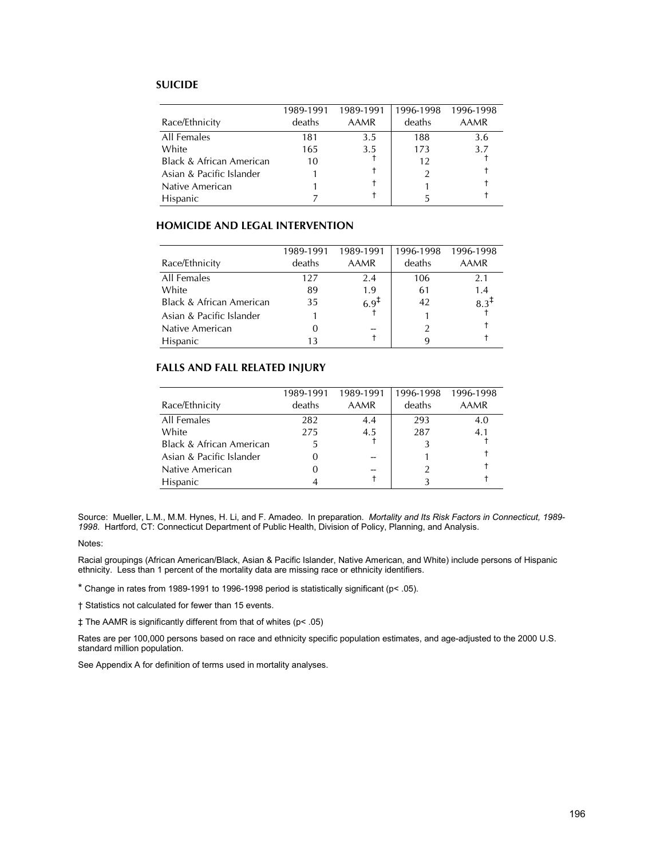#### **SUICIDE**

|                                     | 1989-1991 | 1989-1991 | 1996-1998 | 1996-1998   |
|-------------------------------------|-----------|-----------|-----------|-------------|
| Race/Ethnicity                      | deaths    | AAMR      | deaths    | <b>AAMR</b> |
| All Females                         | 181       | 3.5       | 188       | 3.6         |
| White                               | 165       | 3.5       | 173       | 3.7         |
| <b>Black &amp; African American</b> | 10        |           | 12        |             |
| Asian & Pacific Islander            |           |           |           |             |
| Native American                     |           |           |           |             |
| Hispanic                            |           |           |           |             |

#### **HOMICIDE AND LEGAL INTERVENTION**

|                                     | 1989-1991 | 1989-1991        | 1996-1998 | 1996-1998 |
|-------------------------------------|-----------|------------------|-----------|-----------|
| Race/Ethnicity                      | deaths    | AAMR             | deaths    | AAMR      |
| All Females                         | 127       | 2.4              | 106       | 2.1       |
| White                               | 89        | 1.9              | 61        | 1.4       |
| <b>Black &amp; African American</b> | 35        | 6.9 <sup>T</sup> | 42        | $8.3^{+}$ |
| Asian & Pacific Islander            |           |                  |           |           |
| Native American                     |           |                  |           |           |
| <b>Hispanic</b>                     |           |                  |           |           |

#### **FALLS AND FALL RELATED INJURY**

| Race/Ethnicity                      | 1989-1991<br>deaths | 1989-1991<br>AAMR | 1996-1998<br>deaths | 1996-1998<br><b>AAMR</b> |
|-------------------------------------|---------------------|-------------------|---------------------|--------------------------|
| All Females                         | 282                 | 4.4               | 293                 | 4.0                      |
| White                               | 275                 | 4.5               | 287                 | 4.1                      |
| <b>Black &amp; African American</b> |                     |                   |                     |                          |
| Asian & Pacific Islander            |                     |                   |                     |                          |
| Native American                     |                     |                   |                     |                          |
| <b>Hispanic</b>                     |                     |                   |                     |                          |

Source: Mueller, L.M., M.M. Hynes, H. Li, and F. Amadeo. In preparation. *Mortality and Its Risk Factors in Connecticut, 1989- 1998*. Hartford, CT: Connecticut Department of Public Health, Division of Policy, Planning, and Analysis.

#### Notes:

Racial groupings (African American/Black, Asian & Pacific Islander, Native American, and White) include persons of Hispanic ethnicity. Less than 1 percent of the mortality data are missing race or ethnicity identifiers.

\* Change in rates from 1989-1991 to 1996-1998 period is statistically significant (p< .05).

† Statistics not calculated for fewer than 15 events.

‡ The AAMR is significantly different from that of whites (p< .05)

Rates are per 100,000 persons based on race and ethnicity specific population estimates, and age-adjusted to the 2000 U.S. standard million population.

See Appendix A for definition of terms used in mortality analyses.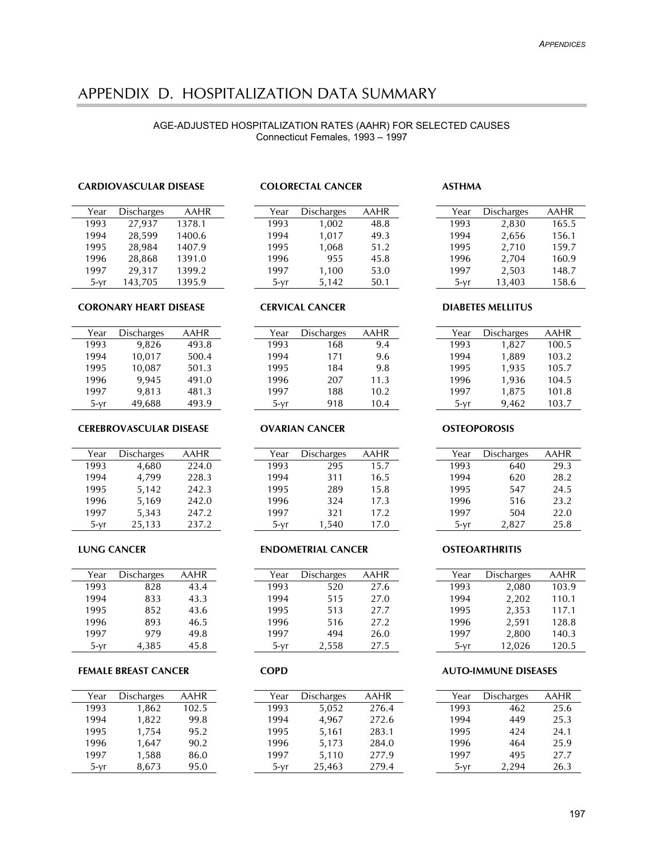# APPENDIX D. HOSPITALIZATION DATA SUMMARY

#### AGE-ADJUSTED HOSPITALIZATION RATES (AAHR) FOR SELECTED CAUSES Connecticut Females, 1993 – 1997

#### **CARDIOVASCULAR DISEASE**

| Year   | <b>Discharges</b> | <b>AAHR</b> |
|--------|-------------------|-------------|
| 1993   | 27,937            | 1378.1      |
| 1994   | 28,599            | 1400.6      |
| 1995   | 28,984            | 1407.9      |
| 1996   | 28,868            | 1391.0      |
| 1997   | 29,317            | 1399.2      |
| $5-yr$ | 143,705           | 1395.9      |

#### **CORONARY HEART DISEASE**

| Year   | <b>Discharges</b> | AAHR  |
|--------|-------------------|-------|
| 1993   | 9,826             | 493.8 |
| 1994   | 10,017            | 500.4 |
| 1995   | 10,087            | 501.3 |
| 1996   | 9,945             | 491.0 |
| 1997   | 9,813             | 481.3 |
| $5-vr$ | 49,688            | 493.9 |

#### **CEREBROVASCULAR DISEASE**

| Year   | <b>Discharges</b> | AAHR  |
|--------|-------------------|-------|
| 1993   | 4,680             | 224.0 |
| 1994   | 4,799             | 228.3 |
| 1995   | 5,142             | 242.3 |
| 1996   | 5,169             | 242.0 |
| 1997   | 5,343             | 247.2 |
| $5-vr$ | 25,133            | 237.2 |

#### **LUNG CANCER**

| Year   | <b>Discharges</b> | AAHR |
|--------|-------------------|------|
| 1993   | 828               | 43.4 |
| 1994   | 833               | 43.3 |
| 1995   | 852               | 43.6 |
| 1996   | 893               | 46.5 |
| 1997   | 979               | 49.8 |
| $5-yr$ | 4,385             | 45.8 |

#### **FEMALE BREAST CANCER**

| Year   | <b>Discharges</b> | AAHR  |
|--------|-------------------|-------|
| 1993   | 1,862             | 102.5 |
| 1994   | 1,822             | 99.8  |
| 1995   | 1,754             | 95.2  |
| 1996   | 1,647             | 90.2  |
| 1997   | 1,588             | 86.0  |
| $5-vr$ | 8,673             | 95.0  |

#### **COLORECTAL CANCER**

| Year   | <b>Discharges</b> | AAHR |
|--------|-------------------|------|
| 1993   | 1,002             | 48.8 |
| 1994   | 1,017             | 49.3 |
| 1995   | 1,068             | 51.2 |
| 1996   | 955               | 45.8 |
| 1997   | 1,100             | 53.0 |
| $5-vr$ | 5,142             | 50.1 |

#### **CERVICAL CANCER**

| <b>Discharges</b> | AAHR |
|-------------------|------|
| 168               | 9.4  |
| 171               | 9.6  |
| 184               | 9.8  |
| 207               | 11.3 |
| 188               | 10.2 |
| 918               | 10.4 |
|                   |      |

#### **OVARIAN CANCER**

| Year   | <b>Discharges</b> | AAHR |
|--------|-------------------|------|
| 1993   | 295               | 15.7 |
| 1994   | 311               | 16.5 |
| 1995   | 289               | 15.8 |
| 1996   | 324               | 17.3 |
| 1997   | 321               | 17.2 |
| $5-yr$ | 1,540             | 17.0 |

#### **ENDOMETRIAL CANCER**

| Year   | <b>Discharges</b> | AAHR |
|--------|-------------------|------|
| 1993   | 520               | 27.6 |
| 1994   | 515               | 27.0 |
| 1995   | 513               | 27.7 |
| 1996   | 516               | 27.2 |
| 1997   | 494               | 26.0 |
| $5-vr$ | 2,558             | 27.5 |
|        |                   |      |

#### **COPD**

| Year   | <b>Discharges</b> | AAHR  |
|--------|-------------------|-------|
| 1993   | 5,052             | 276.4 |
| 1994   | 4,967             | 272.6 |
| 1995   | 5,161             | 283.1 |
| 1996   | 5,173             | 284.0 |
| 1997   | 5,110             | 277.9 |
| $5-vr$ | 25,463            | 279.4 |
|        |                   |       |

#### **ASTHMA**

| Year   | <b>Discharges</b> | AAHR  |
|--------|-------------------|-------|
| 1993   | 2,830             | 165.5 |
| 1994   | 2,656             | 156.1 |
| 1995   | 2,710             | 159.7 |
| 1996   | 2,704             | 160.9 |
| 1997   | 2,503             | 148.7 |
| $5-yr$ | 13,403            | 158.6 |

#### **DIABETES MELLITUS**

| Year   | <b>Discharges</b> | AAHR  |
|--------|-------------------|-------|
| 1993   | 1,827             | 100.5 |
| 1994   | 1,889             | 103.2 |
| 1995   | 1,935             | 105.7 |
| 1996   | 1,936             | 104.5 |
| 1997   | 1,875             | 101.8 |
| $5-vr$ | 9,462             | 103.7 |

#### **OSTEOPOROSIS**

| Year   | <b>Discharges</b> | AAHR |
|--------|-------------------|------|
| 1993   | 640               | 29.3 |
| 1994   | 620               | 28.2 |
| 1995   | 547               | 24.5 |
| 1996   | 516               | 23.2 |
| 1997   | 504               | 22.0 |
| $5-yr$ | 2,827             | 25.8 |

#### **OSTEOARTHRITIS**

| Year   | <b>Discharges</b> | AAHR  |
|--------|-------------------|-------|
| 1993   | 2,080             | 103.9 |
| 1994   | 2,202             | 110.1 |
| 1995   | 2,353             | 117.1 |
| 1996   | 2,591             | 128.8 |
| 1997   | 2,800             | 140.3 |
| $5-vr$ | 12,026            | 120.5 |
|        |                   |       |

#### **AUTO-IMMUNE DISEASES**

| Year   | <b>Discharges</b> | AAHR |
|--------|-------------------|------|
| 1993   | 462               | 25.6 |
| 1994   | 449               | 25.3 |
| 1995   | 424               | 24.1 |
| 1996   | 464               | 25.9 |
| 1997   | 495               | 27.7 |
| $5-vr$ | 2,294             | 26.3 |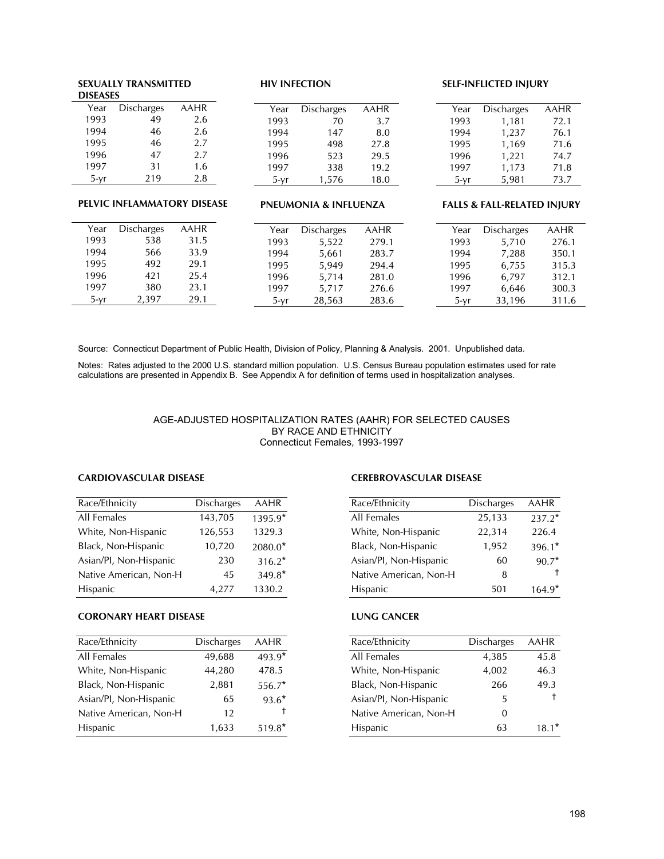#### **SEXUALLY TRANSMITTED DISEASES** Year Discharges AAHR<br>1993 49 2.6 1993 49 2.6<br>1994 46 2.6 1994 46 2.6<br>1995 46 2.7 1995 46 2.7<br>1996 47 2.7 1996 1997 31 1.6<br>5-yr 219 2.8  $5-yr$ **PELVIC INFLAMMATORY DISEASE HIV INFECTION** Year Discharges AAHR 1993 70 3.7<br>1994 147 8.0 1994 147 8.0<br>1995 498 27.8 1995 498 27.8<br>1996 523 29.5 1996 523 29.5<br>1997 338 19.2 1997 5-yr 1,576 18.0 **SELF-INFLICTED INJURY** Year Discharges AAHR 1993 1,181 72.1 1994 1,237 76.1 1995 1,169 71.6 1996 1,221 74.7 1997 1,173 71.8 5-yr 5,981 73.7

| <b>Discharges</b><br>AAHR<br>Year |  |
|-----------------------------------|--|
| 1993<br>538<br>31.5               |  |
| 1994<br>33.9<br>566               |  |
| 1995<br>492<br>29.1               |  |
| 1996<br>421<br>25.4               |  |
| 1997<br>380<br>23.1               |  |
| 2,397<br>29.1<br>5-vr             |  |

#### **PNEUMONIA & INFLUENZA**

| Year   | Discharges | AAHR |
|--------|------------|------|
| 1993   | 1,181      | 72.1 |
| 1994   | 1,237      | 76.1 |
| 1995   | 1,169      | 71.6 |
| 1996   | 1,221      | 74.7 |
| 1997   | 1,173      | 71.8 |
| $5-yr$ | 5,981      | 73.7 |

#### **FALLS & FALL-RELATED INJURY**

| Year   | Discharges | AAHR | Year |      | <b>Discharges</b> | AAHR  | Year | <b>Discharges</b> |  |
|--------|------------|------|------|------|-------------------|-------|------|-------------------|--|
| 1993   | 538        | 31.5 | 1993 |      | 5,522             | 279.1 | 1993 | 5,710             |  |
| 1994   | 566        | 33.9 | 1994 |      | 5,661             | 283.7 | 1994 | 7,288             |  |
| 1995   | 492        | 29.1 | 1995 |      | 5.949             | 294.4 | 1995 | 6,755             |  |
| 1996   | 421        | 25.4 | 1996 |      | 5.714             | 281.0 | 1996 | 6,797             |  |
| 1997   | 380        | 23.1 | 1997 |      | 5.717             | 276.6 | 1997 | 6.646             |  |
| $5-vr$ | 2.397      | 29.1 |      | 5-vr | 28,563            | 283.6 | 5-vr | 33,196            |  |

Source: Connecticut Department of Public Health, Division of Policy, Planning & Analysis. 2001. Unpublished data.

Notes: Rates adjusted to the 2000 U.S. standard million population. U.S. Census Bureau population estimates used for rate calculations are presented in Appendix B. See Appendix A for definition of terms used in hospitalization analyses.

#### AGE-ADJUSTED HOSPITALIZATION RATES (AAHR) FOR SELECTED CAUSES BY RACE AND ETHNICITY Connecticut Females, 1993-1997

#### **CARDIOVASCULAR DISEASE**

| Race/Ethnicity         | <b>Discharges</b> | <b>AAHR</b> |
|------------------------|-------------------|-------------|
|                        |                   |             |
| All Females            | 143,705           | 1395.9*     |
| White, Non-Hispanic    | 126,553           | 1329.3      |
| Black, Non-Hispanic    | 10,720            | 2080.0*     |
| Asian/Pl, Non-Hispanic | 230               | $316.2*$    |
| Native American, Non-H | 45                | 349.8*      |
| Hispanic               | 4,277             | 1330.2      |

#### **CORONARY HEART DISEASE**

| Race/Ethnicity         | <b>Discharges</b> | AAHR     |
|------------------------|-------------------|----------|
| All Females            | 49,688            | 493.9*   |
| White, Non-Hispanic    | 44,280            | 478.5    |
| Black, Non-Hispanic    | 2,881             | $556.7*$ |
| Asian/PI, Non-Hispanic | 65                | $93.6*$  |
| Native American, Non-H | 12                |          |
| Hispanic               | 1,633             | $519.8*$ |

#### **CEREBROVASCULAR DISEASE**

| Race/Ethnicity         | <b>Discharges</b> | AAHR     |
|------------------------|-------------------|----------|
| All Females            | 25,133            | $237.2*$ |
| White, Non-Hispanic    | 22,314            | 226.4    |
| Black, Non-Hispanic    | 1,952             | $396.1*$ |
| Asian/PI, Non-Hispanic | 60                | $90.7*$  |
| Native American, Non-H | 8                 | Ť        |
| Hispanic               | 501               | $164.9*$ |

#### **LUNG CANCER**

| Race/Ethnicity         | <b>Discharges</b> | <b>AAHR</b> |
|------------------------|-------------------|-------------|
| All Females            | 4,385             | 45.8        |
| White, Non-Hispanic    | 4,002             | 46.3        |
| Black, Non-Hispanic    | 266               | 49.3        |
| Asian/PI, Non-Hispanic | 5                 | Ť           |
| Native American, Non-H | 0                 |             |
| Hispanic               | 63                | $18.1*$     |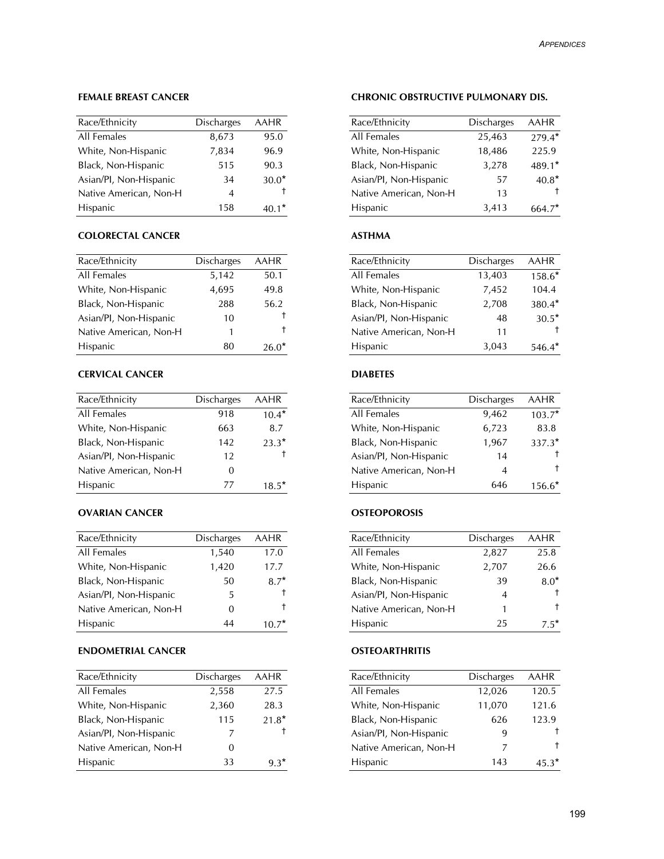#### **FEMALE BREAST CANCER**

| Race/Ethnicity         | <b>Discharges</b> | <b>AAHR</b> |
|------------------------|-------------------|-------------|
| All Females            | 8,673             | 95.0        |
| White, Non-Hispanic    | 7,834             | 96.9        |
| Black, Non-Hispanic    | 515               | 90.3        |
| Asian/PI, Non-Hispanic | 34                | $30.0*$     |
| Native American, Non-H | 4                 |             |
| Hispanic               | 158               | $40.1*$     |

#### **COLORECTAL CANCER**

| Race/Ethnicity         | <b>Discharges</b> | AAHR    |
|------------------------|-------------------|---------|
| All Females            | 5,142             | 50.1    |
| White, Non-Hispanic    | 4,695             | 49.8    |
| Black, Non-Hispanic    | 288               | 56.2    |
| Asian/PI, Non-Hispanic | 10                |         |
| Native American, Non-H | 1                 | Ť       |
| <b>Hispanic</b>        | 80                | $26.0*$ |

#### **CERVICAL CANCER**

| Race/Ethnicity         | <b>Discharges</b> | <b>AAHR</b> |
|------------------------|-------------------|-------------|
| All Females            | 918               | $10.4*$     |
| White, Non-Hispanic    | 663               | 8.7         |
| Black, Non-Hispanic    | 142               | $23.3*$     |
| Asian/PI, Non-Hispanic | 12                |             |
| Native American, Non-H | 0                 |             |
| <b>Hispanic</b>        | 77                | $18.5*$     |

#### **OVARIAN CANCER**

| Race/Ethnicity         | <b>Discharges</b> | AAHR   |
|------------------------|-------------------|--------|
| All Females            | 1,540             | 17.0   |
| White, Non-Hispanic    | 1,420             | 17.7   |
| Black, Non-Hispanic    | 50                | $8.7*$ |
| Asian/Pl, Non-Hispanic | 5                 |        |
| Native American, Non-H | 0                 |        |
| Hispanic               | 44                |        |

# **ENDOMETRIAL CANCER**

| Race/Ethnicity         | <b>Discharges</b> | AAHR    |
|------------------------|-------------------|---------|
| All Females            | 2,558             | 27.5    |
| White, Non-Hispanic    | 2,360             | 28.3    |
| Black, Non-Hispanic    | 115               | $21.8*$ |
| Asian/Pl, Non-Hispanic | 7                 |         |
| Native American, Non-H | 0                 |         |
| <b>Hispanic</b>        | 33                | $9.3*$  |

#### **CHRONIC OBSTRUCTIVE PULMONARY DIS.**

| Race/Ethnicity         | <b>Discharges</b> | <b>AAHR</b> |
|------------------------|-------------------|-------------|
| All Females            | 25,463            | $279.4*$    |
| White, Non-Hispanic    | 18,486            | 225.9       |
| Black, Non-Hispanic    | 3,278             | 489.1*      |
| Asian/Pl, Non-Hispanic | 57                | $40.8*$     |
| Native American, Non-H | 13                |             |
| <b>Hispanic</b>        | 3,413             | $664.7*$    |

#### **ASTHMA**

| Race/Ethnicity         | <b>Discharges</b> | AAHR     |
|------------------------|-------------------|----------|
| All Females            | 13,403            | $158.6*$ |
| White, Non-Hispanic    | 7,452             | 104.4    |
| Black, Non-Hispanic    | 2,708             | $380.4*$ |
| Asian/PI, Non-Hispanic | 48                | $30.5*$  |
| Native American, Non-H | 11                |          |
| <b>Hispanic</b>        | 3.043             | $546.4*$ |

#### **DIABETES**

| Race/Ethnicity         | <b>Discharges</b> | <b>AAHR</b> |
|------------------------|-------------------|-------------|
| All Females            | 9,462             | $103.7*$    |
| White, Non-Hispanic    | 6,723             | 83.8        |
| Black, Non-Hispanic    | 1,967             | 337.3*      |
| Asian/Pl, Non-Hispanic | 14                |             |
| Native American, Non-H | 4                 | Ť.          |
| <b>Hispanic</b>        | 646               | 156.6*      |

#### **OSTEOPOROSIS**

| Race/Ethnicity         | <b>Discharges</b> | AAHR   |
|------------------------|-------------------|--------|
| All Females            | 2,827             | 25.8   |
| White, Non-Hispanic    | 2,707             | 26.6   |
| Black, Non-Hispanic    | 39                | $8.0*$ |
| Asian/Pl, Non-Hispanic | 4                 |        |
| Native American, Non-H | 1                 |        |
| Hispanic               | 25                | -5     |

#### **OSTEOARTHRITIS**

| Race/Ethnicity         | <b>Discharges</b> | AAHR    |
|------------------------|-------------------|---------|
| All Females            | 12,026            | 120.5   |
| White, Non-Hispanic    | 11,070            | 121.6   |
| Black, Non-Hispanic    | 626               | 123.9   |
| Asian/PI, Non-Hispanic | 9                 |         |
| Native American, Non-H | 7                 |         |
| <b>Hispanic</b>        | 143               | $45.3*$ |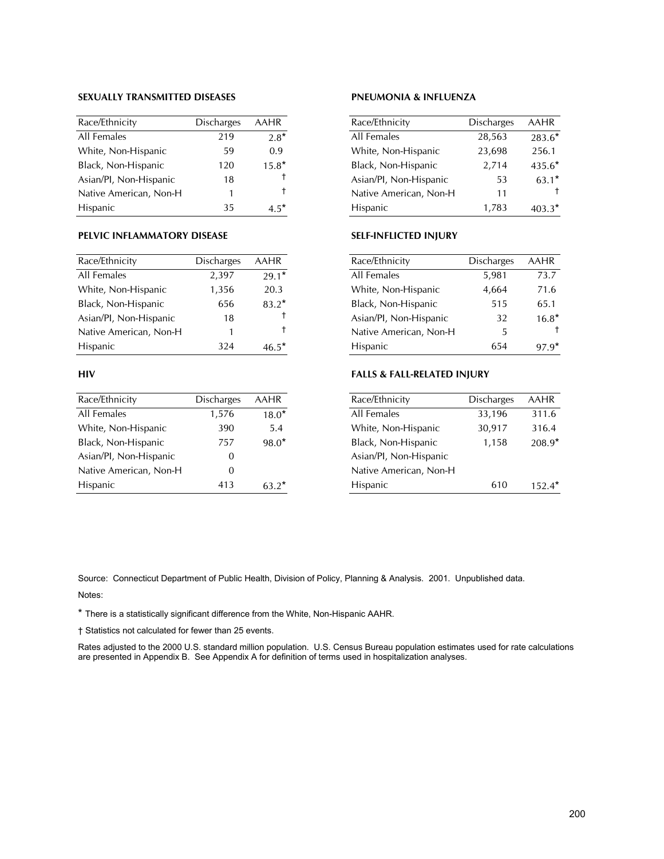#### **SEXUALLY TRANSMITTED DISEASES**

| Race/Ethnicity         | <b>Discharges</b> | <b>AAHR</b> |
|------------------------|-------------------|-------------|
| All Females            | 219               | $2.8*$      |
| White, Non-Hispanic    | 59                | 0.9         |
| Black, Non-Hispanic    | 120               | $15.8*$     |
| Asian/Pl, Non-Hispanic | 18                | Ť           |
| Native American, Non-H | 1                 | t           |
| <b>Hispanic</b>        | 35                | $-5*$       |

#### **PELVIC INFLAMMATORY DISEASE**

| Race/Ethnicity         | <b>Discharges</b> | <b>AAHR</b> |
|------------------------|-------------------|-------------|
| All Females            | 2,397             | $29.1*$     |
| White, Non-Hispanic    | 1,356             | 20.3        |
| Black, Non-Hispanic    | 656               | $83.2*$     |
| Asian/PI, Non-Hispanic | 18                | t           |
| Native American, Non-H | 1                 | Ť.          |
| <b>Hispanic</b>        | 324               | $465*$      |

#### **HIV**

| Race/Ethnicity         | <b>Discharges</b> | <b>AAHR</b> |
|------------------------|-------------------|-------------|
| All Females            | 1,576             | $18.0*$     |
| White, Non-Hispanic    | 390               | 5.4         |
| Black, Non-Hispanic    | 757               | $98.0*$     |
| Asian/Pl, Non-Hispanic | $\Omega$          |             |
| Native American, Non-H | $\Omega$          |             |
| Hispanic               | 413               | $63.2*$     |

# **PNEUMONIA & INFLUENZA**

| Race/Ethnicity         | <b>Discharges</b> | <b>AAHR</b> |
|------------------------|-------------------|-------------|
| All Females            | 28,563            | $283.6*$    |
| White, Non-Hispanic    | 23,698            | 256.1       |
| Black, Non-Hispanic    | 2,714             | $435.6*$    |
| Asian/PI, Non-Hispanic | 53                | $63.1*$     |
| Native American, Non-H | 11                |             |
| Hispanic               | 1,783             | $403.3*$    |
|                        |                   |             |

#### **SELF-INFLICTED INJURY**

| Race/Ethnicity         | <b>Discharges</b> | AAHR    |
|------------------------|-------------------|---------|
| All Females            | 5,981             | 73.7    |
| White, Non-Hispanic    | 4,664             | 71.6    |
| Black, Non-Hispanic    | 515               | 65.1    |
| Asian/Pl, Non-Hispanic | 32                | $16.8*$ |
| Native American, Non-H | 5                 |         |
| Hispanic               |                   |         |

#### **FALLS & FALL-RELATED INJURY**

| Race/Ethnicity         | <b>Discharges</b> | <b>AAHR</b> |
|------------------------|-------------------|-------------|
| All Females            | 33,196            | 311.6       |
| White, Non-Hispanic    | 30,917            | 316.4       |
| Black, Non-Hispanic    | 1,158             | 208.9*      |
| Asian/PI, Non-Hispanic |                   |             |
| Native American, Non-H |                   |             |
| Hispanic               | 610               | $152.4*$    |

Source: Connecticut Department of Public Health, Division of Policy, Planning & Analysis. 2001. Unpublished data. Notes:

\* There is a statistically significant difference from the White, Non-Hispanic AAHR.

† Statistics not calculated for fewer than 25 events.

Rates adjusted to the 2000 U.S. standard million population. U.S. Census Bureau population estimates used for rate calculations are presented in Appendix B. See Appendix A for definition of terms used in hospitalization analyses.